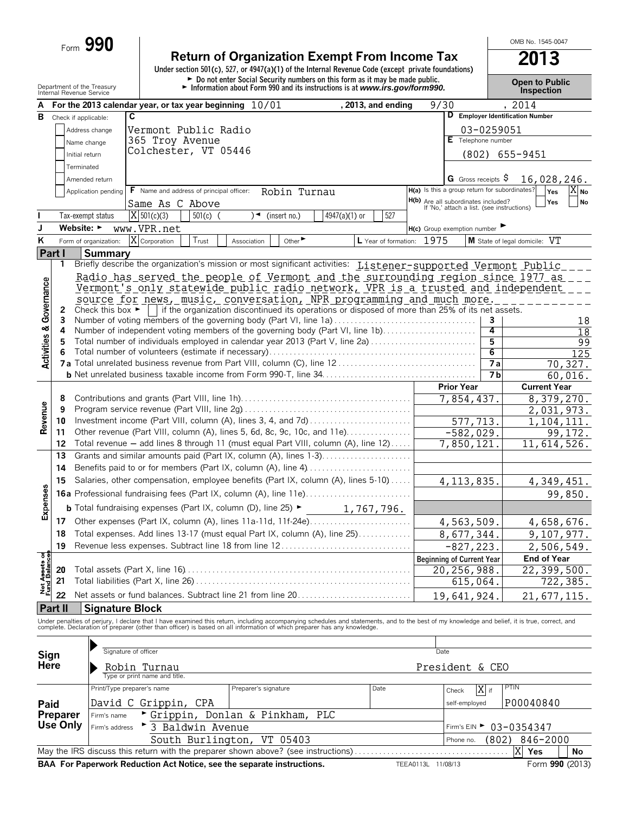| rorm | 190 |
|------|-----|
|      |     |

## **Return of Organization Exempt From Income Tax 2013**

**Under section 501(c), 527, or 4947(a)(1) of the Internal Revenue Code (except private foundations)** Department of the Treasury **and Exercise Proper to Public**<br>
Internal Revenue Service **Public**<br>
Internal Revenue Service **Public Public Propertion**<br>
Internal Revenue Service **Public Propertion** 

OMB No. 1545-0047

|                               | Department of the Treasury<br>Internal Revenue Service |                                      |                                                                                                                                                                                               | $\blacktriangleright$ Information about Form 990 and its instructions is at www.irs.gov/form990. |                 |                           |             |                                                                                          |            | <b>Inspection</b>                |                     |
|-------------------------------|--------------------------------------------------------|--------------------------------------|-----------------------------------------------------------------------------------------------------------------------------------------------------------------------------------------------|--------------------------------------------------------------------------------------------------|-----------------|---------------------------|-------------|------------------------------------------------------------------------------------------|------------|----------------------------------|---------------------|
|                               |                                                        |                                      | For the 2013 calendar year, or tax year beginning $10/01$                                                                                                                                     |                                                                                                  |                 | , 2013, and ending        | 9/30        |                                                                                          |            | , 2014                           |                     |
|                               | <b>B</b> Check if applicable:                          |                                      | C                                                                                                                                                                                             |                                                                                                  |                 |                           |             |                                                                                          |            | D Employer Identification Number |                     |
|                               |                                                        | Address change                       | Vermont Public Radio                                                                                                                                                                          |                                                                                                  |                 |                           |             |                                                                                          | 03-0259051 |                                  |                     |
|                               |                                                        | Name change                          | 365 Troy Avenue                                                                                                                                                                               |                                                                                                  |                 |                           |             | $E$ Telephone number                                                                     |            |                                  |                     |
|                               | Initial return                                         |                                      | Colchester, VT 05446                                                                                                                                                                          |                                                                                                  |                 |                           |             |                                                                                          |            | $(802)$ 655-9451                 |                     |
|                               | Terminated                                             |                                      |                                                                                                                                                                                               |                                                                                                  |                 |                           |             |                                                                                          |            |                                  |                     |
|                               |                                                        | Amended return                       |                                                                                                                                                                                               |                                                                                                  |                 |                           |             | G Gross receipts $\varsigma$                                                             |            | 16,028,246.                      |                     |
|                               |                                                        | Application pending                  | F Name and address of principal officer:                                                                                                                                                      | Robin Turnau                                                                                     |                 |                           |             | H(a) Is this a group return for subordinates?                                            |            | Yes                              | $X_{No}$            |
|                               |                                                        |                                      | Same As C Above                                                                                                                                                                               |                                                                                                  |                 |                           |             | <b>H(b)</b> Are all subordinates included?<br>If 'No,' attach a list. (see instructions) |            | Yes                              | No                  |
|                               |                                                        | Tax-exempt status                    | $\overline{X}$ 501(c)(3)<br>$501(c)$ (                                                                                                                                                        | $\sqrt{\bullet}$ (insert no.)                                                                    | $4947(a)(1)$ or | 527                       |             |                                                                                          |            |                                  |                     |
| J                             | Website: ►                                             |                                      | www.VPR.net                                                                                                                                                                                   |                                                                                                  |                 |                           |             | $H(c)$ Group exemption number                                                            |            |                                  |                     |
| Κ                             |                                                        | Form of organization:                | $\overline{X}$ Corporation<br>Trust                                                                                                                                                           | Other <sup>&gt;</sup><br>Association                                                             |                 | L Year of formation: 1975 |             |                                                                                          |            | M State of legal domicile: VT    |                     |
| <b>Part I</b>                 |                                                        | <b>Summary</b>                       |                                                                                                                                                                                               |                                                                                                  |                 |                           |             |                                                                                          |            |                                  |                     |
|                               | 1                                                      |                                      | Briefly describe the organization's mission or most significant activities: <i>Listener-supported Vermont Public</i>                                                                          |                                                                                                  |                 |                           |             |                                                                                          |            |                                  |                     |
|                               |                                                        |                                      | Radio has served the people of Vermont and the surrounding region since 1977 as                                                                                                               |                                                                                                  |                 |                           |             |                                                                                          |            |                                  |                     |
|                               |                                                        |                                      | Vermont's only statewide public radio network, VPR is a trusted and independent                                                                                                               |                                                                                                  |                 |                           |             |                                                                                          |            |                                  |                     |
|                               |                                                        |                                      | source for news, music, conversation, NPR programming and much more.                                                                                                                          |                                                                                                  |                 |                           |             |                                                                                          |            |                                  |                     |
| Governance                    | 2                                                      | Check this box $\blacktriangleright$ |                                                                                                                                                                                               | if the organization discontinued its operations or disposed of more than 25% of its net assets.  |                 |                           |             |                                                                                          |            |                                  |                     |
|                               | 3                                                      |                                      | Number of voting members of the governing body (Part VI, line 1a)                                                                                                                             |                                                                                                  |                 |                           |             |                                                                                          | 3          |                                  | 18                  |
|                               | 4                                                      |                                      | Number of independent voting members of the governing body (Part VI, line 1b)                                                                                                                 |                                                                                                  |                 |                           |             |                                                                                          | 4          |                                  | $\overline{18}$     |
| <b>Activities &amp;</b>       | 5                                                      |                                      | Total number of individuals employed in calendar year 2013 (Part V, line 2a)                                                                                                                  |                                                                                                  |                 |                           |             |                                                                                          | 5<br>6     |                                  | 99                  |
|                               | 6                                                      |                                      |                                                                                                                                                                                               |                                                                                                  |                 |                           |             |                                                                                          | 7a         |                                  | 125                 |
|                               |                                                        |                                      |                                                                                                                                                                                               |                                                                                                  |                 |                           |             |                                                                                          | <b>7b</b>  |                                  | 70, 327.<br>60.016. |
|                               |                                                        |                                      |                                                                                                                                                                                               |                                                                                                  |                 |                           |             | <b>Prior Year</b>                                                                        |            | <b>Current Year</b>              |                     |
|                               | 8                                                      |                                      |                                                                                                                                                                                               |                                                                                                  |                 |                           |             | 7,854,437.                                                                               |            | 8,379,270.                       |                     |
|                               | 9                                                      |                                      |                                                                                                                                                                                               |                                                                                                  | 2,031,973.      |                           |             |                                                                                          |            |                                  |                     |
| Revenue                       | 10                                                     |                                      | Investment income (Part VIII, column (A), lines 3, 4, and 7d)                                                                                                                                 |                                                                                                  |                 |                           |             | 577,713.                                                                                 |            | 1,104,111.                       |                     |
|                               | 11                                                     |                                      | Other revenue (Part VIII, column (A), lines 5, 6d, 8c, 9c, 10c, and 11e)                                                                                                                      |                                                                                                  | $-582,029.$     |                           |             |                                                                                          | 99,172.    |                                  |                     |
|                               | 12                                                     |                                      | Total revenue - add lines 8 through 11 (must equal Part VIII, column (A), line 12)                                                                                                            | 7,850,121.                                                                                       |                 |                           | 11,614,526. |                                                                                          |            |                                  |                     |
|                               | 13                                                     |                                      | Grants and similar amounts paid (Part IX, column (A), lines 1-3)                                                                                                                              |                                                                                                  |                 |                           |             |                                                                                          |            |                                  |                     |
|                               | 14                                                     |                                      |                                                                                                                                                                                               |                                                                                                  |                 |                           |             |                                                                                          |            |                                  |                     |
|                               | 15                                                     |                                      | Salaries, other compensation, employee benefits (Part IX, column (A), lines 5-10)                                                                                                             |                                                                                                  |                 |                           |             | 4, 113, 835.                                                                             |            | 4, 349, 451.                     |                     |
|                               |                                                        |                                      |                                                                                                                                                                                               |                                                                                                  |                 |                           |             |                                                                                          |            |                                  | 99,850.             |
| Expenses                      |                                                        |                                      | <b>b</b> Total fundraising expenses (Part IX, column (D), line 25) $\blacktriangleright$ 1, 767, 796.                                                                                         |                                                                                                  |                 |                           |             |                                                                                          |            |                                  |                     |
|                               |                                                        |                                      | Other expenses (Part IX, column (A), lines 11a-11d, 11f-24e)                                                                                                                                  |                                                                                                  |                 |                           |             |                                                                                          |            |                                  |                     |
|                               | 17<br>18                                               |                                      | Total expenses. Add lines 13-17 (must equal Part IX, column (A), line 25)                                                                                                                     |                                                                                                  |                 |                           |             | 4,563,509.                                                                               |            | 4,658,676.                       |                     |
|                               |                                                        |                                      | 19 Revenue less expenses. Subtract line 18 from line 12                                                                                                                                       |                                                                                                  |                 |                           |             | 8,677,344.                                                                               |            | 9,107,977.                       |                     |
|                               |                                                        |                                      |                                                                                                                                                                                               |                                                                                                  |                 |                           |             | $-827, 223.$                                                                             |            | 2,506,549.<br><b>End of Year</b> |                     |
| Net Assets of<br>Fund Balance | 20                                                     |                                      |                                                                                                                                                                                               |                                                                                                  |                 |                           |             | <b>Beginning of Current Year</b><br>20,256,988.                                          |            | 22,399,500.                      |                     |
|                               | 21                                                     |                                      |                                                                                                                                                                                               |                                                                                                  |                 |                           |             | 615,064.                                                                                 |            |                                  | 722,385.            |
|                               | 22                                                     |                                      | Net assets or fund balances. Subtract line 21 from line 20                                                                                                                                    |                                                                                                  |                 |                           |             |                                                                                          |            |                                  |                     |
|                               | Part II                                                | <b>Signature Block</b>               |                                                                                                                                                                                               |                                                                                                  |                 |                           |             | 19,641,924.                                                                              |            | 21,677,115.                      |                     |
|                               |                                                        |                                      | Under penalties of perjury, I declare that I have examined this return, including accompanying schedules and statements, and to the best of my knowledge and belief, it is true, correct, and |                                                                                                  |                 |                           |             |                                                                                          |            |                                  |                     |
|                               |                                                        |                                      | complete. Declaration of preparer (other than officer) is based on all information of which preparer has any knowledge.                                                                       |                                                                                                  |                 |                           |             |                                                                                          |            |                                  |                     |
|                               |                                                        |                                      |                                                                                                                                                                                               |                                                                                                  |                 |                           |             |                                                                                          |            |                                  |                     |
|                               |                                                        | Signature of officer                 |                                                                                                                                                                                               |                                                                                                  |                 |                           |             | Date                                                                                     |            |                                  |                     |
| Sign<br>Here                  |                                                        |                                      | Robin Turnau                                                                                                                                                                                  |                                                                                                  |                 |                           |             | President & CEO                                                                          |            |                                  |                     |
|                               |                                                        |                                      | Type or print name and title.                                                                                                                                                                 |                                                                                                  |                 |                           |             |                                                                                          |            |                                  |                     |
|                               |                                                        | Print/Type preparer's name           |                                                                                                                                                                                               | Preparer's signature                                                                             |                 | Date                      |             | Check                                                                                    | X if       | <b>PTIN</b>                      |                     |
| Paid                          |                                                        |                                      | David C Grippin, CPA                                                                                                                                                                          |                                                                                                  |                 |                           |             | self-employed                                                                            |            | P00040840                        |                     |
|                               | Preparer                                               | Firm's name                          | Grippin, Donlan & Pinkham, PLC                                                                                                                                                                |                                                                                                  |                 |                           |             |                                                                                          |            |                                  |                     |
|                               | Use Only                                               | Firm's address                       | 3 Baldwin Avenue                                                                                                                                                                              |                                                                                                  |                 |                           |             |                                                                                          |            | Firm's EIN > 03-0354347          |                     |
|                               |                                                        |                                      |                                                                                                                                                                                               | South Burlington, VT 05403                                                                       |                 |                           |             | Phone no.                                                                                | (802)      | 846-2000                         |                     |
|                               |                                                        |                                      | May the IRS discuss this return with the preparer shown above? (see instructions)                                                                                                             |                                                                                                  |                 |                           |             |                                                                                          |            | X<br>Yes                         | No                  |

**BAA For Paperwork Reduction Act Notice, see the separate instructions. TEEA0113L 11/08/13** Form 990 (2013)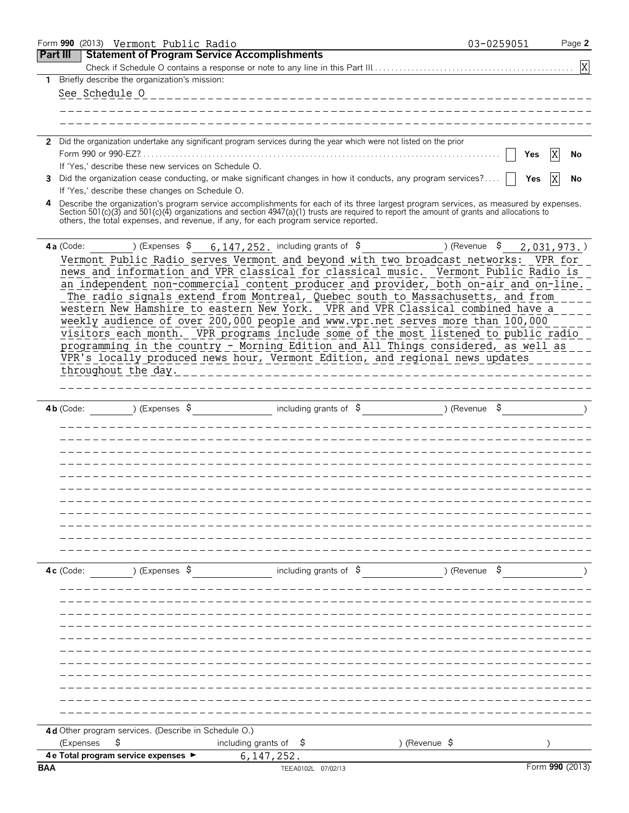|            |                | Form 990 (2013) Vermont Public Radio                       |                                                                                                                                                                                                                                                                                                                                                                                                                                                                                                                                                                                                                                                                                                                                                                                           |                                              | 03-0259051<br>Page 2 |
|------------|----------------|------------------------------------------------------------|-------------------------------------------------------------------------------------------------------------------------------------------------------------------------------------------------------------------------------------------------------------------------------------------------------------------------------------------------------------------------------------------------------------------------------------------------------------------------------------------------------------------------------------------------------------------------------------------------------------------------------------------------------------------------------------------------------------------------------------------------------------------------------------------|----------------------------------------------|----------------------|
|            | Part III       |                                                            | <b>Statement of Program Service Accomplishments</b>                                                                                                                                                                                                                                                                                                                                                                                                                                                                                                                                                                                                                                                                                                                                       |                                              |                      |
|            |                |                                                            |                                                                                                                                                                                                                                                                                                                                                                                                                                                                                                                                                                                                                                                                                                                                                                                           |                                              | X                    |
| 1          |                | Briefly describe the organization's mission:               |                                                                                                                                                                                                                                                                                                                                                                                                                                                                                                                                                                                                                                                                                                                                                                                           |                                              |                      |
|            | See Schedule O |                                                            |                                                                                                                                                                                                                                                                                                                                                                                                                                                                                                                                                                                                                                                                                                                                                                                           |                                              |                      |
|            |                |                                                            |                                                                                                                                                                                                                                                                                                                                                                                                                                                                                                                                                                                                                                                                                                                                                                                           |                                              |                      |
|            |                |                                                            |                                                                                                                                                                                                                                                                                                                                                                                                                                                                                                                                                                                                                                                                                                                                                                                           |                                              |                      |
|            |                |                                                            | 2 Did the organization undertake any significant program services during the year which were not listed on the prior                                                                                                                                                                                                                                                                                                                                                                                                                                                                                                                                                                                                                                                                      |                                              |                      |
|            |                |                                                            |                                                                                                                                                                                                                                                                                                                                                                                                                                                                                                                                                                                                                                                                                                                                                                                           |                                              | X<br>Yes<br>No       |
|            |                | If 'Yes,' describe these new services on Schedule O.       |                                                                                                                                                                                                                                                                                                                                                                                                                                                                                                                                                                                                                                                                                                                                                                                           |                                              |                      |
| 3          |                |                                                            | Did the organization cease conducting, or make significant changes in how it conducts, any program services?                                                                                                                                                                                                                                                                                                                                                                                                                                                                                                                                                                                                                                                                              |                                              | X<br>Yes<br>No       |
|            |                | If 'Yes,' describe these changes on Schedule O.            |                                                                                                                                                                                                                                                                                                                                                                                                                                                                                                                                                                                                                                                                                                                                                                                           |                                              |                      |
|            |                |                                                            | Describe the organization's program service accomplishments for each of its three largest program services, as measured by expenses.<br>Section 501(c)(3) and 501(c)(4) organizations and section 4947(a)(1) trusts are required to report the amount of grants and allocations to<br>others, the total expenses, and revenue, if any, for each program service reported.                                                                                                                                                                                                                                                                                                                                                                                                                 |                                              |                      |
|            | 4a (Code:      |                                                            | ) (Expenses $\frac{1}{9}$ 6, 147, 252, including grants of $\frac{1}{9}$                                                                                                                                                                                                                                                                                                                                                                                                                                                                                                                                                                                                                                                                                                                  | ) (Revenue \$                                | $2,031,973.$ )       |
|            |                | throughout the day.                                        | Vermont Public Radio serves Vermont and beyond with two broadcast networks: VPR for<br>news and information and VPR classical for classical music. Vermont Public Radio is<br>an independent non-commercial content producer and provider, both on-air and on-line.<br>The radio signals extend from Montreal, Quebec south to Massachusetts, and from<br>western New Hamshire to eastern New York. VPR and VPR Classical combined have a<br>weekly audience of over 200,000 people and www.vpr.net serves more than 100,000<br>visitors each month. VPR programs include some of the most listened to public radio<br>programming in the country - Morning Edition and All Things considered, as well as<br>VPR's locally produced news hour, Vermont Edition, and regional news updates |                                              |                      |
|            |                |                                                            |                                                                                                                                                                                                                                                                                                                                                                                                                                                                                                                                                                                                                                                                                                                                                                                           |                                              |                      |
|            | $4b$ (Code:    | ) (Expenses $\frac{1}{2}$                                  |                                                                                                                                                                                                                                                                                                                                                                                                                                                                                                                                                                                                                                                                                                                                                                                           | including grants of $\beta$ (Revenue $\beta$ |                      |
|            |                |                                                            |                                                                                                                                                                                                                                                                                                                                                                                                                                                                                                                                                                                                                                                                                                                                                                                           |                                              |                      |
|            |                |                                                            |                                                                                                                                                                                                                                                                                                                                                                                                                                                                                                                                                                                                                                                                                                                                                                                           | _______________________________              |                      |
|            | $4c$ (Code:    |                                                            | $(1, 5)$ (Expenses $\frac{1}{5}$ including grants of $\frac{1}{5}$ ) (Revenue $\frac{1}{5}$                                                                                                                                                                                                                                                                                                                                                                                                                                                                                                                                                                                                                                                                                               |                                              |                      |
|            |                |                                                            |                                                                                                                                                                                                                                                                                                                                                                                                                                                                                                                                                                                                                                                                                                                                                                                           |                                              |                      |
|            |                |                                                            |                                                                                                                                                                                                                                                                                                                                                                                                                                                                                                                                                                                                                                                                                                                                                                                           |                                              |                      |
|            |                |                                                            |                                                                                                                                                                                                                                                                                                                                                                                                                                                                                                                                                                                                                                                                                                                                                                                           |                                              |                      |
|            |                |                                                            |                                                                                                                                                                                                                                                                                                                                                                                                                                                                                                                                                                                                                                                                                                                                                                                           |                                              |                      |
|            |                |                                                            |                                                                                                                                                                                                                                                                                                                                                                                                                                                                                                                                                                                                                                                                                                                                                                                           |                                              |                      |
|            | (Expenses      | 4d Other program services. (Describe in Schedule O.)<br>\$ | including grants of $\frac{1}{2}$                                                                                                                                                                                                                                                                                                                                                                                                                                                                                                                                                                                                                                                                                                                                                         | ) (Revenue \$                                |                      |
|            |                | 4 e Total program service expenses ▶                       | 6, 147, 252.                                                                                                                                                                                                                                                                                                                                                                                                                                                                                                                                                                                                                                                                                                                                                                              |                                              |                      |
| <b>BAA</b> |                |                                                            | TEEA0102L 07/02/13                                                                                                                                                                                                                                                                                                                                                                                                                                                                                                                                                                                                                                                                                                                                                                        |                                              | Form 990 (2013)      |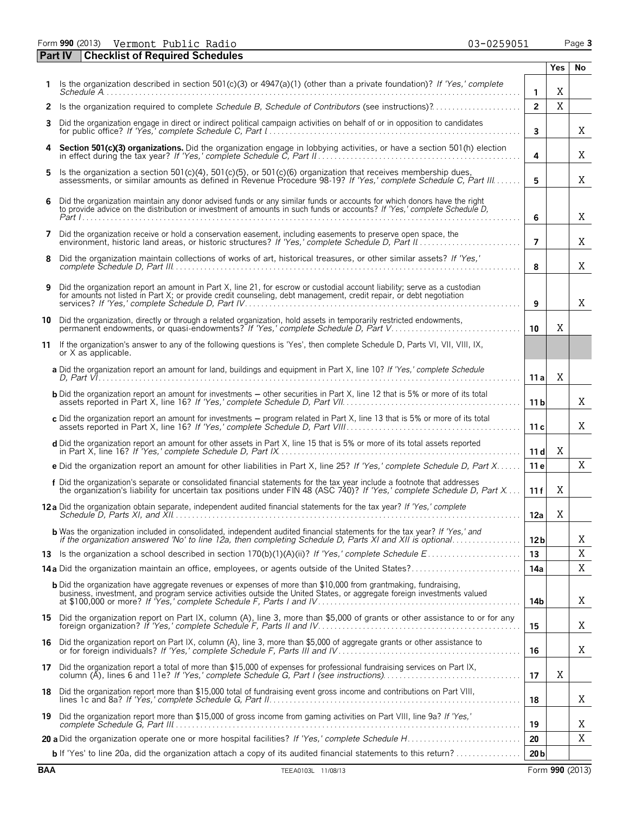Form **990** (2013) Page **3** Vermont Public Radio 03-0259051

|    | <b>Checklist of Required Schedules</b><br><b>Part IV</b>                                                                                                                                                                                          |                 |             |    |
|----|---------------------------------------------------------------------------------------------------------------------------------------------------------------------------------------------------------------------------------------------------|-----------------|-------------|----|
|    |                                                                                                                                                                                                                                                   |                 | <b>Yes</b>  | No |
| 1  | Is the organization described in section 501(c)(3) or 4947(a)(1) (other than a private foundation)? If 'Yes,' complete                                                                                                                            | $\mathbf{1}$    | X           |    |
| 2  | Is the organization required to complete Schedule B, Schedule of Contributors (see instructions)?                                                                                                                                                 | $\overline{2}$  | $\mathbf X$ |    |
| 3  | Did the organization engage in direct or indirect political campaign activities on behalf of or in opposition to candidates                                                                                                                       | 3               |             | X  |
| 4  | Section 501(c)(3) organizations. Did the organization engage in lobbying activities, or have a section 501(h) election                                                                                                                            | 4               |             | Χ  |
| 5  | Is the organization a section 501(c)(4), 501(c)(5), or 501(c)(6) organization that receives membership dues,<br>assessments, or similar amounts as defined in Revenue Procedure 98-19? If 'Yes,' complete Schedule C, Part III                    | 5               |             | Χ  |
| 6  | Did the organization maintain any donor advised funds or any similar funds or accounts for which donors have the right to provide advice on the distribution or investment of amounts in such funds or accounts? If 'Yes,' com                    | 6               |             | Χ  |
| 7  | Did the organization receive or hold a conservation easement, including easements to preserve open space, the                                                                                                                                     | 7               |             | Χ  |
| 8  | Did the organization maintain collections of works of art, historical treasures, or other similar assets? If 'Yes,'                                                                                                                               | 8               |             | X  |
| 9  | Did the organization report an amount in Part X, line 21, for escrow or custodial account liability; serve as a custodian<br>for amounts not listed in Part X; or provide credit counseling, debt management, credit repair, or debt negotiation  | 9               |             | X  |
|    | 10 Did the organization, directly or through a related organization, hold assets in temporarily restricted endowments,<br>permanent endowments, or quasi-endowments? If 'Yes,' complete Schedule D, Part V.                                       | 10              | X           |    |
| 11 | If the organization's answer to any of the following questions is 'Yes', then complete Schedule D, Parts VI, VII, VIII, IX,<br>or X as applicable.                                                                                                |                 |             |    |
|    | a Did the organization report an amount for land, buildings and equipment in Part X, line 10? If 'Yes,' complete Schedule                                                                                                                         | 11a             | X           |    |
|    | <b>b</b> Did the organization report an amount for investments - other securities in Part X, line 12 that is 5% or more of its total                                                                                                              | 11 <sub>b</sub> |             | Χ  |
|    | c Did the organization report an amount for investments - program related in Part X, line 13 that is 5% or more of its total                                                                                                                      | 11c             |             | Χ  |
|    | d Did the organization report an amount for other assets in Part X, line 15 that is 5% or more of its total assets reported                                                                                                                       | 11d             | X           |    |
|    | e Did the organization report an amount for other liabilities in Part X, line 25? If 'Yes,' complete Schedule D, Part X                                                                                                                           | 11e             |             | X  |
|    | f Did the organization's separate or consolidated financial statements for the tax year include a footnote that addresses<br>the organization's liability for uncertain tax positions under FIN 48 (ASC 740)? If 'Yes,' complete                  | 11f             | Χ           |    |
|    | <b>12a</b> Did the organization obtain separate, independent audited financial statements for the tax vear? If 'Yes,' complete                                                                                                                    | 12a             | Χ           |    |
|    | <b>b</b> Was the organization included in consolidated, independent audited financial statements for the tax year? If 'Yes,' and<br>if the organization answered 'No' to line 12a, then completing Schedule D, Parts XI and XII is optional       | 12 <sub>b</sub> |             | Χ  |
| 13 |                                                                                                                                                                                                                                                   | 13              |             | Χ  |
|    | 14a Did the organization maintain an office, employees, or agents outside of the United States?                                                                                                                                                   | 14a             |             | X  |
|    | <b>b</b> Did the organization have aggregate revenues or expenses of more than \$10,000 from grantmaking, fundraising,<br>business, investment, and program service activities outside the United States, or aggregate foreign investments valued | 14b             |             | Χ  |
|    | 15 Did the organization report on Part IX, column (A), line 3, more than \$5,000 of grants or other assistance to or for any                                                                                                                      | 15              |             | Χ  |
| 16 | Did the organization report on Part IX, column (A), line 3, more than \$5,000 of aggregate grants or other assistance to                                                                                                                          | 16              |             | X  |
|    | 17 Did the organization report a total of more than \$15,000 of expenses for professional fundraising services on Part IX,                                                                                                                        | 17              | Χ           |    |
| 18 | Did the organization report more than \$15,000 total of fundraising event gross income and contributions on Part VIII,                                                                                                                            | 18              |             | Χ  |
|    | 19 Did the organization report more than \$15,000 of gross income from gaming activities on Part VIII, line 9a? If 'Yes,'                                                                                                                         | 19              |             | Χ  |
|    |                                                                                                                                                                                                                                                   | 20              |             | Χ  |
|    | <b>b</b> If 'Yes' to line 20a, did the organization attach a copy of its audited financial statements to this return?                                                                                                                             | 20 <sub>b</sub> |             |    |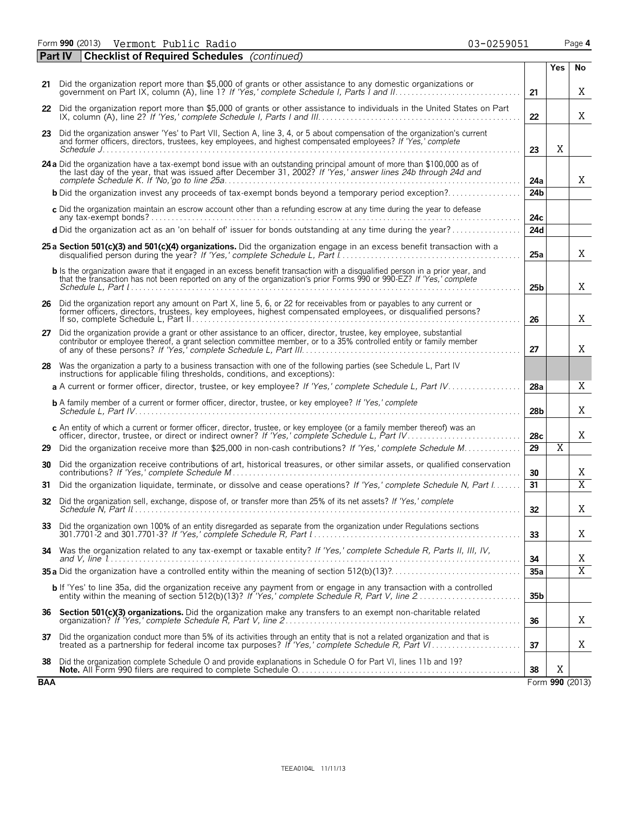Form **990** (2013) Page **4** Vermont Public Radio 03-0259051

|     | <b>Checklist of Required Schedules</b> (continued)<br><b>Part IV</b>                                                                                                                                                                                  |                 |                |                 |
|-----|-------------------------------------------------------------------------------------------------------------------------------------------------------------------------------------------------------------------------------------------------------|-----------------|----------------|-----------------|
|     |                                                                                                                                                                                                                                                       |                 | Yes            | No              |
|     | 21 Did the organization report more than \$5,000 of grants or other assistance to any domestic organizations or                                                                                                                                       | 21              |                | X               |
|     | 22 Did the organization report more than \$5,000 of grants or other assistance to individuals in the United States on Part                                                                                                                            | 22              |                | X               |
|     | 23 Did the organization answer 'Yes' to Part VII, Section A, line 3, 4, or 5 about compensation of the organization's current<br>and former officers, directors, trustees, key employees, and highest compensated employees? If 'Yes,' complete       |                 | Χ              |                 |
|     |                                                                                                                                                                                                                                                       | 23              |                |                 |
|     | 24 a Did the organization have a tax-exempt bond issue with an outstanding principal amount of more than \$100,000 as of<br>the last day of the year, that was issued after December 31, 2002? If 'Yes,' answer lines 24b through 24d and             | 24a             |                | X               |
|     | <b>b</b> Did the organization invest any proceeds of tax-exempt bonds beyond a temporary period exception?                                                                                                                                            | 24 <sub>b</sub> |                |                 |
|     | c Did the organization maintain an escrow account other than a refunding escrow at any time during the year to defease                                                                                                                                |                 |                |                 |
|     | d Did the organization act as an 'on behalf of' issuer for bonds outstanding at any time during the year?                                                                                                                                             | 24c<br>24d      |                |                 |
|     |                                                                                                                                                                                                                                                       |                 |                |                 |
|     | 25 a Section 501(c)(3) and 501(c)(4) organizations. Did the organization engage in an excess benefit transaction with a                                                                                                                               | 25a             |                | X               |
|     | b Is the organization aware that it engaged in an excess benefit transaction with a disqualified person in a prior year, and<br>that the transaction has not been reported on any of the organization's prior Forms 990 or 990-EZ? If 'Yes,' complete | 25 <sub>b</sub> |                | Χ               |
|     | 26 Did the organization report any amount on Part X, line 5, 6, or 22 for receivables from or payables to any current or<br>former officers, directors, trustees, key employees, highest compensated employees, or disqualified persons?              | 26              |                | X               |
| 27  | Did the organization provide a grant or other assistance to an officer, director, trustee, key employee, substantial<br>contributor or employee thereof, a grant selection committee member, or to a 35% controlled entity or family member           | 27              |                | X               |
|     | 28 Was the organization a party to a business transaction with one of the following parties (see Schedule L, Part IV<br>instructions for applicable filing thresholds, conditions, and exceptions):                                                   |                 |                |                 |
|     | a A current or former officer, director, trustee, or key employee? If 'Yes,' complete Schedule L, Part IV                                                                                                                                             | 28a             |                | Χ               |
|     | <b>b</b> A family member of a current or former officer, director, trustee, or key employee? If 'Yes,' complete                                                                                                                                       | 28b             |                | X               |
|     | c An entity of which a current or former officer, director, trustee, or key employee (or a family member thereof) was an                                                                                                                              | 28c             |                | X               |
| 29  | Did the organization receive more than \$25,000 in non-cash contributions? If 'Yes,' complete Schedule M                                                                                                                                              | 29              | $\overline{X}$ |                 |
| 30  | Did the organization receive contributions of art, historical treasures, or other similar assets, or qualified conservation                                                                                                                           | 30              |                | X               |
| 31  | Did the organization liquidate, terminate, or dissolve and cease operations? If 'Yes,' complete Schedule N, Part I                                                                                                                                    | 31              |                | $\overline{X}$  |
|     | 32 Did the organization sell, exchange, dispose of, or transfer more than 25% of its net assets? If 'Yes,' complete                                                                                                                                   | 32              |                | Χ               |
|     | 33 Did the organization own 100% of an entity disregarded as separate from the organization under Regulations sections                                                                                                                                | 33              |                | X               |
|     | 34 Was the organization related to any tax-exempt or taxable entity? If 'Yes,' complete Schedule R, Parts II, III, IV,                                                                                                                                | 34              |                | Χ               |
|     |                                                                                                                                                                                                                                                       | 35a             |                | $\overline{X}$  |
|     | <b>b</b> If 'Yes' to line 35a, did the organization receive any payment from or engage in any transaction with a controlled                                                                                                                           | 35 <sub>b</sub> |                |                 |
| 36  | Section 501(c)(3) organizations. Did the organization make any transfers to an exempt non-charitable related                                                                                                                                          | 36              |                | X               |
| 37  | Did the organization conduct more than 5% of its activities through an entity that is not a related organization and that is                                                                                                                          | 37              |                | X               |
| 38  | Did the organization complete Schedule O and provide explanations in Schedule O for Part VI, lines 11b and 19?                                                                                                                                        | 38              | X              |                 |
| BAA |                                                                                                                                                                                                                                                       |                 |                | Form 990 (2013) |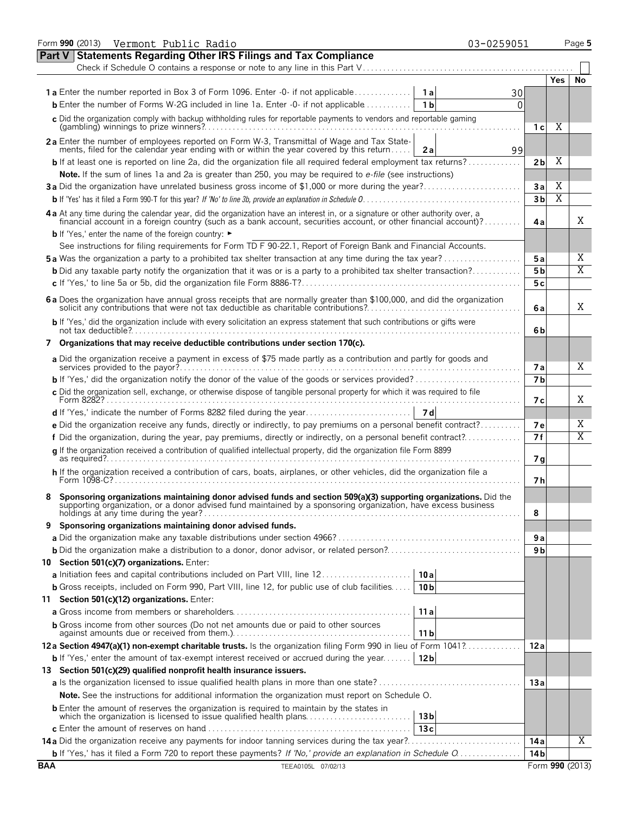|                                                                                                                                                                                                                                | Form 990 (2013) Vermont Public Radio<br>03-0259051                                                                                                                                                                                                                          |          |                 |                       | Page 5         |  |  |  |  |
|--------------------------------------------------------------------------------------------------------------------------------------------------------------------------------------------------------------------------------|-----------------------------------------------------------------------------------------------------------------------------------------------------------------------------------------------------------------------------------------------------------------------------|----------|-----------------|-----------------------|----------------|--|--|--|--|
|                                                                                                                                                                                                                                | <b>Statements Regarding Other IRS Filings and Tax Compliance</b><br>Part V                                                                                                                                                                                                  |          |                 |                       |                |  |  |  |  |
|                                                                                                                                                                                                                                | Check if Schedule O contains a response or note to any line in this Part V                                                                                                                                                                                                  |          |                 |                       |                |  |  |  |  |
|                                                                                                                                                                                                                                |                                                                                                                                                                                                                                                                             |          |                 | Yes.                  | No             |  |  |  |  |
|                                                                                                                                                                                                                                | <b>1a</b> Enter the number reported in Box 3 of Form 1096. Enter -0- if not applicable<br>1 a                                                                                                                                                                               | 30       |                 |                       |                |  |  |  |  |
|                                                                                                                                                                                                                                | <b>b</b> Enter the number of Forms W-2G included in line 1a. Enter $-0$ - if not applicable $\ldots$<br>1 <sub>b</sub>                                                                                                                                                      | $\Omega$ |                 |                       |                |  |  |  |  |
|                                                                                                                                                                                                                                | c Did the organization comply with backup withholding rules for reportable payments to vendors and reportable gaming                                                                                                                                                        |          | 1 <sub>c</sub>  | Χ                     |                |  |  |  |  |
|                                                                                                                                                                                                                                | 2a Enter the number of employees reported on Form W-3, Transmittal of Wage and Tax State-                                                                                                                                                                                   |          |                 |                       |                |  |  |  |  |
|                                                                                                                                                                                                                                | ments, filed for the calendar year ending with or within the year covered by this return<br>2a                                                                                                                                                                              | 99       |                 | Χ                     |                |  |  |  |  |
|                                                                                                                                                                                                                                | <b>b</b> If at least one is reported on line 2a, did the organization file all required federal employment tax returns?                                                                                                                                                     |          | 2 <sub>b</sub>  |                       |                |  |  |  |  |
|                                                                                                                                                                                                                                | Note. If the sum of lines 1a and 2a is greater than 250, you may be required to e-file (see instructions)                                                                                                                                                                   |          |                 | Χ                     |                |  |  |  |  |
|                                                                                                                                                                                                                                | 3a Did the organization have unrelated business gross income of \$1,000 or more during the year?                                                                                                                                                                            |          | 3a              | $\overline{\text{X}}$ |                |  |  |  |  |
|                                                                                                                                                                                                                                |                                                                                                                                                                                                                                                                             |          | 3 <sub>b</sub>  |                       |                |  |  |  |  |
| 4 a At any time during the calendar year, did the organization have an interest in, or a signature or other authority over, a financial account in a foreign country (such as a bank account, securities account, or other fin |                                                                                                                                                                                                                                                                             |          |                 |                       |                |  |  |  |  |
|                                                                                                                                                                                                                                | <b>b</b> If 'Yes,' enter the name of the foreign country: ►                                                                                                                                                                                                                 |          |                 |                       |                |  |  |  |  |
|                                                                                                                                                                                                                                | See instructions for filing requirements for Form TD F 90-22.1, Report of Foreign Bank and Financial Accounts.                                                                                                                                                              |          |                 |                       |                |  |  |  |  |
|                                                                                                                                                                                                                                | <b>5a</b> Was the organization a party to a prohibited tax shelter transaction at any time during the tax year?                                                                                                                                                             |          | 5 a             |                       | Χ              |  |  |  |  |
|                                                                                                                                                                                                                                | <b>b</b> Did any taxable party notify the organization that it was or is a party to a prohibited tax shelter transaction?                                                                                                                                                   |          | 5 <sub>b</sub>  |                       | X              |  |  |  |  |
|                                                                                                                                                                                                                                |                                                                                                                                                                                                                                                                             |          | 5c              |                       |                |  |  |  |  |
|                                                                                                                                                                                                                                | 6 a Does the organization have annual gross receipts that are normally greater than \$100,000, and did the organization solicit any contributions that were not tax deductible as charitable contributions?                                                                 |          | 6 a             |                       | Χ              |  |  |  |  |
|                                                                                                                                                                                                                                | b If 'Yes,' did the organization include with every solicitation an express statement that such contributions or gifts were                                                                                                                                                 |          | 6b              |                       |                |  |  |  |  |
|                                                                                                                                                                                                                                | 7 Organizations that may receive deductible contributions under section 170(c).                                                                                                                                                                                             |          |                 |                       |                |  |  |  |  |
|                                                                                                                                                                                                                                | a Did the organization receive a payment in excess of \$75 made partly as a contribution and partly for goods and                                                                                                                                                           |          | 7а              |                       | Χ              |  |  |  |  |
|                                                                                                                                                                                                                                |                                                                                                                                                                                                                                                                             |          | 7 <sub>b</sub>  |                       |                |  |  |  |  |
|                                                                                                                                                                                                                                | c Did the organization sell, exchange, or otherwise dispose of tangible personal property for which it was required to file                                                                                                                                                 |          | 7 с             |                       | Χ              |  |  |  |  |
|                                                                                                                                                                                                                                |                                                                                                                                                                                                                                                                             |          |                 |                       |                |  |  |  |  |
|                                                                                                                                                                                                                                | e Did the organization receive any funds, directly or indirectly, to pay premiums on a personal benefit contract?                                                                                                                                                           |          | 7е              |                       | Χ              |  |  |  |  |
|                                                                                                                                                                                                                                | f Did the organization, during the year, pay premiums, directly or indirectly, on a personal benefit contract?                                                                                                                                                              |          | 7f              |                       | $\overline{X}$ |  |  |  |  |
|                                                                                                                                                                                                                                | g If the organization received a contribution of qualified intellectual property, did the organization file Form 8899                                                                                                                                                       |          | 7g              |                       |                |  |  |  |  |
|                                                                                                                                                                                                                                | h If the organization received a contribution of cars, boats, airplanes, or other vehicles, did the organization file a                                                                                                                                                     |          | 7h              |                       |                |  |  |  |  |
|                                                                                                                                                                                                                                | Sponsoring organizations maintaining donor advised funds and section 509(a)(3) supporting organizations. Did the<br>supporting organization, or a donor advised fund maintained by a sponsoring organization, have excess busines<br>holdings at any time during the year?. |          | 8               |                       |                |  |  |  |  |
| 9                                                                                                                                                                                                                              | Sponsoring organizations maintaining donor advised funds.                                                                                                                                                                                                                   |          |                 |                       |                |  |  |  |  |
|                                                                                                                                                                                                                                |                                                                                                                                                                                                                                                                             |          | 9а              |                       |                |  |  |  |  |
|                                                                                                                                                                                                                                |                                                                                                                                                                                                                                                                             |          | 9 b             |                       |                |  |  |  |  |
|                                                                                                                                                                                                                                | 10 Section 501(c)(7) organizations. Enter:                                                                                                                                                                                                                                  |          |                 |                       |                |  |  |  |  |
|                                                                                                                                                                                                                                | a Initiation fees and capital contributions included on Part VIII, line 12<br>10a                                                                                                                                                                                           |          |                 |                       |                |  |  |  |  |
|                                                                                                                                                                                                                                | <b>b</b> Gross receipts, included on Form 990, Part VIII, line 12, for public use of club facilities<br>10 <sub>b</sub>                                                                                                                                                     |          |                 |                       |                |  |  |  |  |
|                                                                                                                                                                                                                                | 11 Section 501(c)(12) organizations. Enter:                                                                                                                                                                                                                                 |          |                 |                       |                |  |  |  |  |
|                                                                                                                                                                                                                                | 11a                                                                                                                                                                                                                                                                         |          |                 |                       |                |  |  |  |  |
|                                                                                                                                                                                                                                | <b>b</b> Gross income from other sources (Do not net amounts due or paid to other sources                                                                                                                                                                                   |          |                 |                       |                |  |  |  |  |
|                                                                                                                                                                                                                                | 11 <sub>b</sub><br>12a Section 4947(a)(1) non-exempt charitable trusts. Is the organization filing Form 990 in lieu of Form 1041?                                                                                                                                           |          | 12 a            |                       |                |  |  |  |  |
|                                                                                                                                                                                                                                |                                                                                                                                                                                                                                                                             |          |                 |                       |                |  |  |  |  |
|                                                                                                                                                                                                                                | <b>b</b> If 'Yes,' enter the amount of tax-exempt interest received or accrued during the year<br>12 <sub>b</sub>                                                                                                                                                           |          |                 |                       |                |  |  |  |  |
|                                                                                                                                                                                                                                | 13 Section 501(c)(29) qualified nonprofit health insurance issuers.                                                                                                                                                                                                         |          |                 |                       |                |  |  |  |  |
|                                                                                                                                                                                                                                |                                                                                                                                                                                                                                                                             |          | 13a             |                       |                |  |  |  |  |
|                                                                                                                                                                                                                                | Note. See the instructions for additional information the organization must report on Schedule O.                                                                                                                                                                           |          |                 |                       |                |  |  |  |  |
|                                                                                                                                                                                                                                | <b>b</b> Enter the amount of reserves the organization is required to maintain by the states in<br>which the organization is licensed to issue qualified health plans<br>13 <sub>b</sub>                                                                                    |          |                 |                       |                |  |  |  |  |
|                                                                                                                                                                                                                                | 13c                                                                                                                                                                                                                                                                         |          |                 |                       |                |  |  |  |  |
|                                                                                                                                                                                                                                |                                                                                                                                                                                                                                                                             |          | 14 a            |                       | Χ              |  |  |  |  |
|                                                                                                                                                                                                                                | b If 'Yes,' has it filed a Form 720 to report these payments? If 'No,' provide an explanation in Schedule O                                                                                                                                                                 |          | 14 <sub>b</sub> |                       |                |  |  |  |  |
| <b>BAA</b>                                                                                                                                                                                                                     | TEEA0105L 07/02/13                                                                                                                                                                                                                                                          |          | Form 990 (2013) |                       |                |  |  |  |  |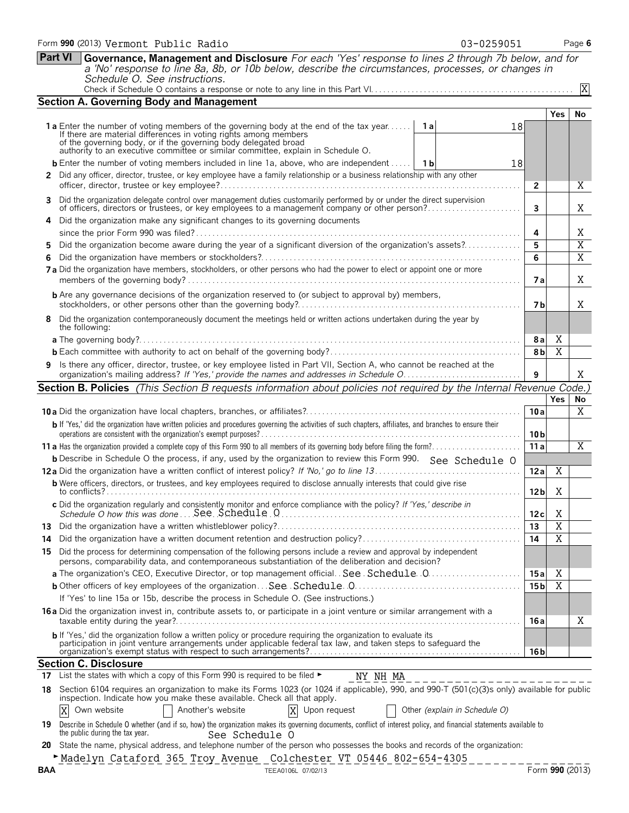|            | Schedule O. See instructions.                                                                                                                                                                                                                                                                                                         |                 |                       | X              |
|------------|---------------------------------------------------------------------------------------------------------------------------------------------------------------------------------------------------------------------------------------------------------------------------------------------------------------------------------------|-----------------|-----------------------|----------------|
|            |                                                                                                                                                                                                                                                                                                                                       |                 |                       |                |
|            | <b>Section A. Governing Body and Management</b>                                                                                                                                                                                                                                                                                       |                 | <b>Yes</b>            | No             |
|            | <b>1a</b> Enter the number of voting members of the governing body at the end of the tax year <b>1a</b><br>18<br>If there are material differences in voting rights among members<br>of the governing body, or if the governing body delegated broad authority to an executive committee or similar committee, explain in Schedule O. |                 |                       |                |
|            | <b>b</b> Enter the number of voting members included in line 1a, above, who are independent    1b<br>18                                                                                                                                                                                                                               |                 |                       |                |
|            | 2 Did any officer, director, trustee, or key employee have a family relationship or a business relationship with any other                                                                                                                                                                                                            | $\mathbf{2}$    |                       | Χ              |
| 3          | Did the organization delegate control over management duties customarily performed by or under the direct supervision                                                                                                                                                                                                                 |                 |                       |                |
|            | of officers, directors or trustees, or key employees to a management company or other person?<br>Did the organization make any significant changes to its governing documents                                                                                                                                                         | 3               |                       | Χ              |
|            |                                                                                                                                                                                                                                                                                                                                       | 4               |                       | Χ              |
| 5.         | Did the organization become aware during the year of a significant diversion of the organization's assets?                                                                                                                                                                                                                            | 5               |                       | $\mathbf X$    |
|            |                                                                                                                                                                                                                                                                                                                                       | 6               |                       | $\overline{X}$ |
|            | 7a Did the organization have members, stockholders, or other persons who had the power to elect or appoint one or more                                                                                                                                                                                                                | 7а              |                       | Χ              |
|            | <b>b</b> Are any governance decisions of the organization reserved to (or subject to approval by) members,                                                                                                                                                                                                                            | 7 b             |                       | Χ              |
| 8          | Did the organization contemporaneously document the meetings held or written actions undertaken during the year by<br>the following:                                                                                                                                                                                                  |                 |                       |                |
|            |                                                                                                                                                                                                                                                                                                                                       | 8a              | X                     |                |
|            |                                                                                                                                                                                                                                                                                                                                       | 8 <sub>b</sub>  | $\overline{X}$        |                |
|            | 9 Is there any officer, director, trustee, or key employee listed in Part VII, Section A, who cannot be reached at the                                                                                                                                                                                                                | 9               |                       | Χ              |
|            | Section B. Policies (This Section B requests information about policies not required by the Internal Revenue Code.)                                                                                                                                                                                                                   |                 |                       |                |
|            |                                                                                                                                                                                                                                                                                                                                       |                 | <b>Yes</b>            | No             |
|            |                                                                                                                                                                                                                                                                                                                                       | 10 a            |                       | X              |
|            | b If 'Yes,' did the organization have written policies and procedures governing the activities of such chapters, affiliates, and branches to ensure their                                                                                                                                                                             | 10 b            |                       |                |
|            |                                                                                                                                                                                                                                                                                                                                       | 11a             |                       | Χ              |
|            | <b>b</b> Describe in Schedule O the process, if any, used by the organization to review this Form 990. See Schedule O                                                                                                                                                                                                                 |                 |                       |                |
|            |                                                                                                                                                                                                                                                                                                                                       | 12a             | X                     |                |
|            | <b>b</b> Were officers, directors, or trustees, and key employees required to disclose annually interests that could give rise                                                                                                                                                                                                        |                 |                       |                |
|            | c Did the organization regularly and consistently monitor and enforce compliance with the policy? If 'Yes,' describe in                                                                                                                                                                                                               | 12 <sub>b</sub> | Χ                     |                |
|            |                                                                                                                                                                                                                                                                                                                                       | 12c             | Χ                     |                |
|            |                                                                                                                                                                                                                                                                                                                                       | 13              | $\overline{X}$        |                |
|            |                                                                                                                                                                                                                                                                                                                                       | 14              | $\overline{\text{X}}$ |                |
|            | 15 Did the process for determining compensation of the following persons include a review and approval by independent<br>persons, comparability data, and contemporaneous substantiation of the deliberation and decision?                                                                                                            |                 |                       |                |
|            |                                                                                                                                                                                                                                                                                                                                       | 15a             | X                     |                |
|            |                                                                                                                                                                                                                                                                                                                                       | 15 <sub>b</sub> | $\overline{\text{X}}$ |                |
|            | If 'Yes' to line 15a or 15b, describe the process in Schedule O. (See instructions.)                                                                                                                                                                                                                                                  |                 |                       |                |
|            | 16 a Did the organization invest in, contribute assets to, or participate in a joint venture or similar arrangement with a                                                                                                                                                                                                            | 16 a            |                       | Χ              |
|            | b If 'Yes,' did the organization follow a written policy or procedure requiring the organization to evaluate its<br>participation in joint venture arrangements under applicable federal tax law, and taken steps to safeguard the                                                                                                    | 16 b            |                       |                |
|            | <b>Section C. Disclosure</b>                                                                                                                                                                                                                                                                                                          |                 |                       |                |
| 17         | List the states with which a copy of this Form 990 is required to be filed ►<br>NY NH MA                                                                                                                                                                                                                                              |                 |                       |                |
|            | 18 Section 6104 requires an organization to make its Forms 1023 (or 1024 if applicable), 990, and 990-T (501(c)(3)s only) available for public<br>inspection. Indicate how you make these available. Check all that apply.                                                                                                            |                 |                       |                |
|            | X<br>Another's website<br>Upon request<br>Other (explain in Schedule O)<br>Own website                                                                                                                                                                                                                                                |                 |                       |                |
|            | 19 Describe in Schedule O whether (and if so, how) the organization makes its governing documents, conflict of interest policy, and financial statements available to<br>the public during the tax year.<br>See Schedule O                                                                                                            |                 |                       |                |
| 20         | State the name, physical address, and telephone number of the person who possesses the books and records of the organization:                                                                                                                                                                                                         |                 |                       |                |
| <b>BAA</b> | Madelyn Cataford 365 Troy Avenue Colchester VT 05446 802-654-4305<br>TEEA0106L 07/02/13                                                                                                                                                                                                                                               | Form 990 (2013) |                       |                |
|            |                                                                                                                                                                                                                                                                                                                                       |                 |                       |                |

**Part VI Governance, Management and Disclosure** *For each 'Yes' response to lines 2 through 7b below, and for a 'No' response to line 8a, 8b, or 10b below, describe the circumstances, processes, or changes in*

|  | 13-0259051 |  |  |  |  |  |
|--|------------|--|--|--|--|--|
|  |            |  |  |  |  |  |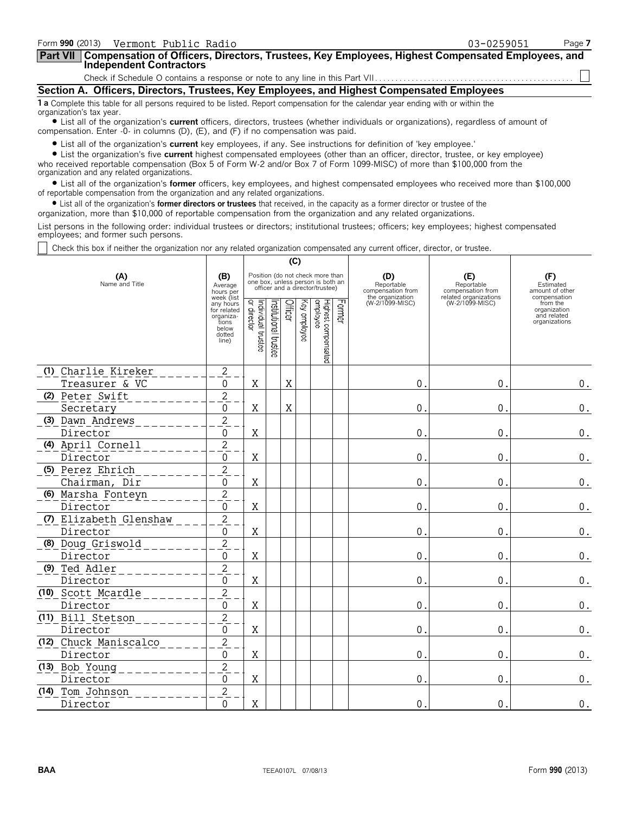| Form 990 (2013) Vermont Public Radio                                                                                                                                                                                           | 03-0259051                                                                                 | Page 7 |  |  |  |  |  |  |  |
|--------------------------------------------------------------------------------------------------------------------------------------------------------------------------------------------------------------------------------|--------------------------------------------------------------------------------------------|--------|--|--|--|--|--|--|--|
| Part VII   Compensation of Officers, Directors, Trustees, Key Employees, Highest Compensated Employees, and<br><b>Independent Contractors</b>                                                                                  |                                                                                            |        |  |  |  |  |  |  |  |
|                                                                                                                                                                                                                                |                                                                                            |        |  |  |  |  |  |  |  |
|                                                                                                                                                                                                                                | Section A. Officers, Directors, Trustees, Key Employees, and Highest Compensated Employees |        |  |  |  |  |  |  |  |
| 1 a Complete this table for all persons required to be listed. Report compensation for the calendar year ending with or within the<br>organization's tax year.                                                                 |                                                                                            |        |  |  |  |  |  |  |  |
| • List all of the organization's current officers, directors, trustees (whether individuals or organizations), regardless of amount of<br>compensation. Enter $-0$ - in columns (D), (E), and (F) if no compensation was paid. |                                                                                            |        |  |  |  |  |  |  |  |
| $\bullet$ List all of the organization's current key employees if any See instructions for definition of 'key employee'                                                                                                        |                                                                                            |        |  |  |  |  |  |  |  |

II of the organization's **current** key employees, if any. See instructions for definition of 'key employee.

? List the organization's five **current** highest compensated employees (other than an officer, director, trustee, or key employee) who received reportable compensation (Box 5 of Form W-2 and/or Box 7 of Form 1099-MISC) of more than \$100,000 from the organization and any related organizations.

? List all of the organization's **former** officers, key employees, and highest compensated employees who received more than \$100,000 of reportable compensation from the organization and any related organizations.

? List all of the organization's **former directors or trustees** that received, in the capacity as a former director or trustee of the

organization, more than \$10,000 of reportable compensation from the organization and any related organizations.

List persons in the following order: individual trustees or directors; institutional trustees; officers; key employees; highest compensated employees; and former such persons.

Check this box if neither the organization nor any related organization compensated any current officer, director, or trustee.

|                       |                        |                                                                                          |                                   |                      | (C)     |                 |                                                                                                          |        |                                                            |                                          |                                                                          |
|-----------------------|------------------------|------------------------------------------------------------------------------------------|-----------------------------------|----------------------|---------|-----------------|----------------------------------------------------------------------------------------------------------|--------|------------------------------------------------------------|------------------------------------------|--------------------------------------------------------------------------|
| (A)<br>Name and Title |                        | (B)<br>Average<br>hours per                                                              |                                   |                      |         |                 | Position (do not check more than<br>one box, unless person is both an<br>officer and a director/trustee) |        | (D)<br>Reportable<br>compensation from<br>the organization | (E)<br>Reportable<br>compensation from   | (F)<br>Estimated<br>amount of other                                      |
|                       |                        | week (list<br>any hours<br>for related<br>organiza-<br>tions<br>below<br>dotted<br>line) | Individual trustee<br>or director | nstitutional trustee | Officer | ΚΘλ<br>aubloyee | Highest compensated<br>employee                                                                          | Former | (W-2/1099-MISC)                                            | related organizations<br>(W-2/1099-MISC) | compensation<br>from the<br>organization<br>and related<br>organizations |
|                       | (1) Charlie Kireker    | $\sqrt{2}$                                                                               |                                   |                      |         |                 |                                                                                                          |        |                                                            |                                          |                                                                          |
|                       | Treasurer & VC         | $\pmb{0}$                                                                                | X                                 |                      | X       |                 |                                                                                                          |        | $\mathbf 0$ .                                              | 0.                                       | $\boldsymbol{0}$ .                                                       |
|                       | (2) Peter Swift        | $\overline{c}$                                                                           |                                   |                      |         |                 |                                                                                                          |        |                                                            |                                          |                                                                          |
|                       | Secretary              | $\boldsymbol{0}$                                                                         | X                                 |                      | X       |                 |                                                                                                          |        | $\mathbf 0$ .                                              | $\mathbf 0$ .                            | $\boldsymbol{0}$ .                                                       |
|                       | (3) Dawn Andrews       | $\sqrt{2}$                                                                               |                                   |                      |         |                 |                                                                                                          |        |                                                            |                                          |                                                                          |
|                       | Director               | 0                                                                                        | X                                 |                      |         |                 |                                                                                                          |        | 0.                                                         | 0.                                       | $\boldsymbol{0}$ .                                                       |
|                       | (4) April Cornell      | $\overline{2}$                                                                           |                                   |                      |         |                 |                                                                                                          |        |                                                            |                                          |                                                                          |
|                       | Director               | 0                                                                                        | Χ                                 |                      |         |                 |                                                                                                          |        | $\theta$ .                                                 | $\mathbf{0}$ .                           | $\boldsymbol{0}$ .                                                       |
|                       | (5) Perez Ehrich       | $\overline{c}$                                                                           |                                   |                      |         |                 |                                                                                                          |        |                                                            |                                          |                                                                          |
|                       | Chairman, Dir          | 0                                                                                        | Χ                                 |                      |         |                 |                                                                                                          |        | 0.                                                         | $\mathbf 0$ .                            | $\boldsymbol{0}$ .                                                       |
|                       | (6) Marsha Fonteyn     | $\overline{c}$                                                                           |                                   |                      |         |                 |                                                                                                          |        |                                                            |                                          |                                                                          |
|                       | Director               | 0                                                                                        | X                                 |                      |         |                 |                                                                                                          |        | 0.                                                         | 0.                                       | 0.                                                                       |
|                       | (7) Elizabeth Glenshaw | $\overline{2}$                                                                           |                                   |                      |         |                 |                                                                                                          |        |                                                            |                                          |                                                                          |
|                       | Director               | 0                                                                                        | Χ                                 |                      |         |                 |                                                                                                          |        | 0.                                                         | $\mathbf 0$ .                            | $0$ .                                                                    |
|                       | (8) Doug Griswold      | $\overline{2}$                                                                           |                                   |                      |         |                 |                                                                                                          |        |                                                            |                                          |                                                                          |
|                       | Director               | 0                                                                                        | Χ                                 |                      |         |                 |                                                                                                          |        | $\overline{0}$ .                                           | $\mathbf 0$ .                            | 0.                                                                       |
|                       | (9) Ted Adler          | $\sqrt{2}$                                                                               |                                   |                      |         |                 |                                                                                                          |        |                                                            |                                          |                                                                          |
|                       | Director               | 0                                                                                        | Χ                                 |                      |         |                 |                                                                                                          |        | 0.                                                         | 0.                                       | 0.                                                                       |
|                       | (10) Scott Mcardle     | $\overline{2}$                                                                           |                                   |                      |         |                 |                                                                                                          |        |                                                            |                                          |                                                                          |
|                       | Director               | 0                                                                                        | X                                 |                      |         |                 |                                                                                                          |        | 0.                                                         | 0.                                       | $\boldsymbol{0}$ .                                                       |
|                       | (11) Bill Stetson      | $\overline{2}$                                                                           |                                   |                      |         |                 |                                                                                                          |        |                                                            |                                          |                                                                          |
|                       | Director               | 0                                                                                        | $\mathbf X$                       |                      |         |                 |                                                                                                          |        | 0.                                                         | 0.                                       | $\boldsymbol{0}$ .                                                       |
|                       | (12) Chuck Maniscalco  | $\overline{c}$                                                                           |                                   |                      |         |                 |                                                                                                          |        |                                                            |                                          |                                                                          |
|                       | Director               | 0                                                                                        | X                                 |                      |         |                 |                                                                                                          |        | 0.                                                         | 0.                                       | 0.                                                                       |
|                       | (13) Bob Young         | $\overline{2}$                                                                           |                                   |                      |         |                 |                                                                                                          |        |                                                            |                                          |                                                                          |
|                       | Director               | $\pmb{0}$                                                                                | $\mathbf X$                       |                      |         |                 |                                                                                                          |        | 0.                                                         | $\mathbf 0$ .                            | $\boldsymbol{0}$ .                                                       |
|                       | (14) Tom Johnson       | $\overline{c}$                                                                           |                                   |                      |         |                 |                                                                                                          |        |                                                            |                                          |                                                                          |
|                       | Director               | 0                                                                                        | X                                 |                      |         |                 |                                                                                                          |        | 0.                                                         | 0.                                       | $\boldsymbol{0}$ .                                                       |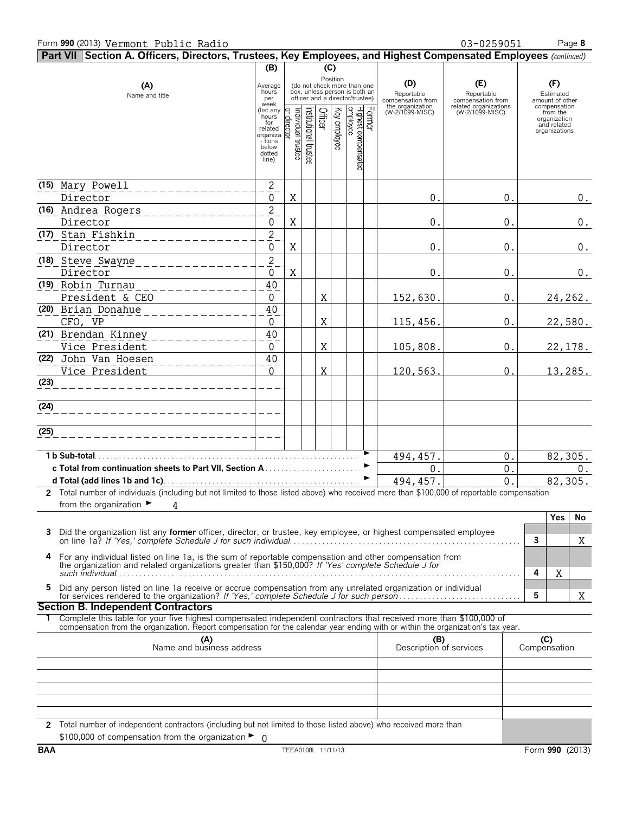|            | Part VII Section A. Officers, Directors, Trustees, Key Employees, and Highest Compensated Employees (continued)                                                                                                                                        |                                                                                                 |                                   |                      |         |              |                                                                                                 |        |                                        |                                          |   |                                                                          |
|------------|--------------------------------------------------------------------------------------------------------------------------------------------------------------------------------------------------------------------------------------------------------|-------------------------------------------------------------------------------------------------|-----------------------------------|----------------------|---------|--------------|-------------------------------------------------------------------------------------------------|--------|----------------------------------------|------------------------------------------|---|--------------------------------------------------------------------------|
|            |                                                                                                                                                                                                                                                        | (B)                                                                                             |                                   |                      | (C)     |              |                                                                                                 |        |                                        |                                          |   |                                                                          |
|            | (A)<br>Name and title                                                                                                                                                                                                                                  | Average<br>hours<br>per                                                                         |                                   |                      |         | Position     | (do not check more than one<br>box, unless person is both an<br>officer and a director/trustee) |        | (D)<br>Reportable<br>compensation from | (E)<br>Reportable<br>compensation from   |   | (F)<br>Estimated<br>amount of other                                      |
|            |                                                                                                                                                                                                                                                        | week<br>(list any<br>hours<br>for<br>related<br>organiza<br>- tions<br>below<br>dotted<br>line) | Individual trustee<br>or director | hstitutional trustee | Officer | Key employee | Highest compensated<br>employee                                                                 | Former | the organization<br>(W-2/1099-MISC)    | related organizations<br>(W-2/1099-MISC) |   | compensation<br>from the<br>organization<br>and related<br>organizations |
|            | (15) Mary Powell                                                                                                                                                                                                                                       | $\overline{2}$                                                                                  |                                   |                      |         |              |                                                                                                 |        |                                        |                                          |   |                                                                          |
|            | Director                                                                                                                                                                                                                                               | 0                                                                                               | X                                 |                      |         |              |                                                                                                 |        | 0.                                     | 0.                                       |   | $0$ .                                                                    |
|            | (16) Andrea Rogers                                                                                                                                                                                                                                     | $\overline{2}$                                                                                  |                                   |                      |         |              |                                                                                                 |        |                                        |                                          |   |                                                                          |
|            | Director                                                                                                                                                                                                                                               | 0                                                                                               | X                                 |                      |         |              |                                                                                                 |        | 0.                                     | 0.                                       |   | $0$ .                                                                    |
|            | (17) Stan Fishkin<br>Director                                                                                                                                                                                                                          | $\overline{c}$<br>0                                                                             | X                                 |                      |         |              |                                                                                                 |        | 0.                                     | 0.                                       |   | $0$ .                                                                    |
|            | (18) Steve Swayne<br>___________<br>Director                                                                                                                                                                                                           | $\overline{\mathbf{c}}$<br>0                                                                    | X                                 |                      |         |              |                                                                                                 |        | 0.                                     | 0.                                       |   | 0.                                                                       |
|            | (19) Robin Turnau<br>---------                                                                                                                                                                                                                         | 40                                                                                              |                                   |                      |         |              |                                                                                                 |        |                                        |                                          |   |                                                                          |
|            | President & CEO                                                                                                                                                                                                                                        | 0                                                                                               |                                   |                      | X       |              |                                                                                                 |        | 152,630.                               | 0.                                       |   | 24,262.                                                                  |
|            | (20) Brian Donahue                                                                                                                                                                                                                                     | 40                                                                                              |                                   |                      |         |              |                                                                                                 |        |                                        |                                          |   |                                                                          |
|            | CFO, VP                                                                                                                                                                                                                                                | 0                                                                                               |                                   |                      | X       |              |                                                                                                 |        | 115,456.                               | 0.                                       |   | 22,580.                                                                  |
|            | (21) Brendan Kinney<br>_ _ _ _ _ _ _ _ _<br>Vice President                                                                                                                                                                                             | 40<br>0                                                                                         |                                   |                      | X       |              |                                                                                                 |        | 105,808.                               | 0.                                       |   | 22,178.                                                                  |
|            | (22) John Van Hoesen                                                                                                                                                                                                                                   | 40                                                                                              |                                   |                      |         |              |                                                                                                 |        |                                        |                                          |   |                                                                          |
|            | ----------<br>Vice President                                                                                                                                                                                                                           | $\Omega$                                                                                        |                                   |                      | Χ       |              |                                                                                                 |        | 120,563.                               | $0$ .                                    |   | 13,285.                                                                  |
| (23)       | _______________                                                                                                                                                                                                                                        |                                                                                                 |                                   |                      |         |              |                                                                                                 |        |                                        |                                          |   |                                                                          |
| (24)       | ______________________                                                                                                                                                                                                                                 |                                                                                                 |                                   |                      |         |              |                                                                                                 |        |                                        |                                          |   |                                                                          |
| (25)       |                                                                                                                                                                                                                                                        |                                                                                                 |                                   |                      |         |              |                                                                                                 |        |                                        |                                          |   |                                                                          |
|            | 1 b Sub-total.                                                                                                                                                                                                                                         |                                                                                                 |                                   |                      |         |              |                                                                                                 |        | 494, 457.                              | 0.                                       |   | 82,305.                                                                  |
|            |                                                                                                                                                                                                                                                        |                                                                                                 |                                   |                      |         |              |                                                                                                 | ▶      | 0.                                     | 0.                                       |   | $0$ .                                                                    |
|            |                                                                                                                                                                                                                                                        |                                                                                                 |                                   |                      |         |              |                                                                                                 |        | 494, 457.                              | $\overline{0}$                           |   | 82,305.                                                                  |
|            | 2 Total number of individuals (including but not limited to those listed above) who received more than \$100,000 of reportable compensation                                                                                                            |                                                                                                 |                                   |                      |         |              |                                                                                                 |        |                                        |                                          |   |                                                                          |
|            | from the organization $\blacktriangleright$<br>4                                                                                                                                                                                                       |                                                                                                 |                                   |                      |         |              |                                                                                                 |        |                                        |                                          |   |                                                                          |
|            |                                                                                                                                                                                                                                                        |                                                                                                 |                                   |                      |         |              |                                                                                                 |        |                                        |                                          |   | Yes<br>No                                                                |
| 3          | Did the organization list any former officer, director, or trustee, key employee, or highest compensated employee                                                                                                                                      |                                                                                                 |                                   |                      |         |              |                                                                                                 |        |                                        |                                          | 3 | Χ                                                                        |
| 4          | For any individual listed on line 1a, is the sum of reportable compensation and other compensation from                                                                                                                                                |                                                                                                 |                                   |                      |         |              |                                                                                                 |        |                                        |                                          |   |                                                                          |
|            | the organization and related organizations greater than \$150,000? If 'Yes' complete Schedule J for                                                                                                                                                    |                                                                                                 |                                   |                      |         |              |                                                                                                 |        |                                        |                                          | 4 | Χ                                                                        |
| 5.         | Did any person listed on line 1a receive or accrue compensation from any unrelated organization or individual                                                                                                                                          |                                                                                                 |                                   |                      |         |              |                                                                                                 |        |                                        |                                          | 5 | Χ                                                                        |
|            | <b>Section B. Independent Contractors</b>                                                                                                                                                                                                              |                                                                                                 |                                   |                      |         |              |                                                                                                 |        |                                        |                                          |   |                                                                          |
|            | Complete this table for your five highest compensated independent contractors that received more than \$100,000 of<br>compensation from the organization. Report compensation for the calendar year ending with or within the organization's tax year. |                                                                                                 |                                   |                      |         |              |                                                                                                 |        |                                        |                                          |   |                                                                          |
|            | (A)<br>Name and business address                                                                                                                                                                                                                       |                                                                                                 |                                   |                      |         |              |                                                                                                 |        | (B)<br>Description of services         |                                          |   | (C)<br>Compensation                                                      |
|            |                                                                                                                                                                                                                                                        |                                                                                                 |                                   |                      |         |              |                                                                                                 |        |                                        |                                          |   |                                                                          |
|            |                                                                                                                                                                                                                                                        |                                                                                                 |                                   |                      |         |              |                                                                                                 |        |                                        |                                          |   |                                                                          |
|            |                                                                                                                                                                                                                                                        |                                                                                                 |                                   |                      |         |              |                                                                                                 |        |                                        |                                          |   |                                                                          |
|            | 2 Total number of independent contractors (including but not limited to those listed above) who received more than                                                                                                                                     |                                                                                                 |                                   |                      |         |              |                                                                                                 |        |                                        |                                          |   |                                                                          |
|            | \$100,000 of compensation from the organization $\blacktriangleright$ 0                                                                                                                                                                                |                                                                                                 |                                   |                      |         |              |                                                                                                 |        |                                        |                                          |   |                                                                          |
| <b>BAA</b> |                                                                                                                                                                                                                                                        |                                                                                                 | TEEA0108L 11/11/13                |                      |         |              |                                                                                                 |        |                                        |                                          |   | Form 990 (2013)                                                          |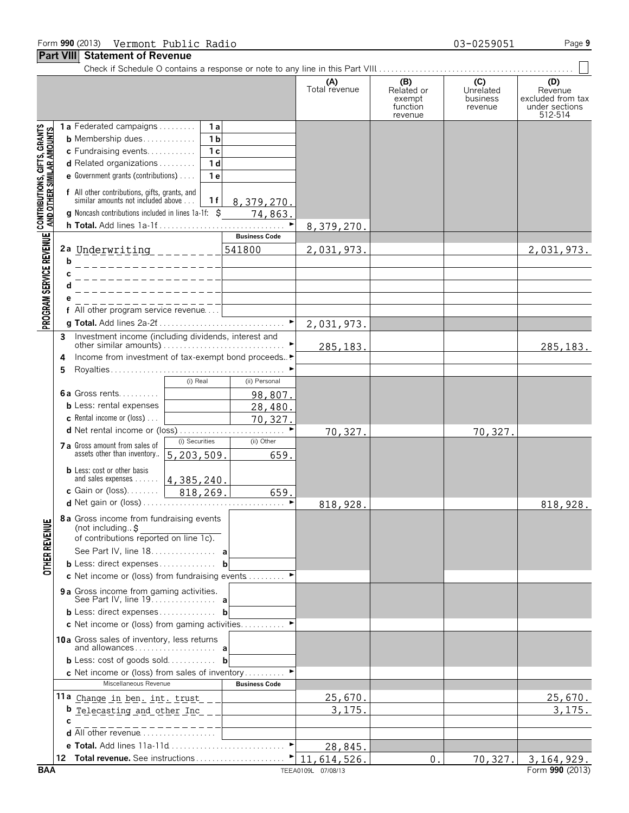Check if Schedule O contains a response or note to any line in this Part VIII. . . . . . . . . . . . . . . . . . . . . . . . . . . . . . . . . . . . . . . . . . . . . . . . .

|                                                                                                               | <b>. GIL VIII</b><br>UMMINININ VI INGVUI                                                                                                                                                                                                                                                                                                                                                                                                                                                                                       |                                            |                                                    |                                                    |                                                                  |
|---------------------------------------------------------------------------------------------------------------|--------------------------------------------------------------------------------------------------------------------------------------------------------------------------------------------------------------------------------------------------------------------------------------------------------------------------------------------------------------------------------------------------------------------------------------------------------------------------------------------------------------------------------|--------------------------------------------|----------------------------------------------------|----------------------------------------------------|------------------------------------------------------------------|
|                                                                                                               |                                                                                                                                                                                                                                                                                                                                                                                                                                                                                                                                | (A)<br>Total revenue                       | (B)<br>Related or<br>exempt<br>function<br>revenue | $\overline{C}$<br>Unrelated<br>business<br>revenue | (D)<br>Revenue<br>excluded from tax<br>under sections<br>512-514 |
| PROGRAM SERVICE REVENUE   CONTRIBUTIONS, GIFTS, GRANTS<br>PROGRAM SERVICE REVENUE   AND OTHER SIMILAR AMOUNTS | 1a Federated campaigns<br>1 a<br>1 <sub>b</sub><br><b>b</b> Membership dues<br>c Fundraising events<br>1 <sub>c</sub><br>d Related organizations<br>1 <sub>d</sub><br><b>e</b> Government grants (contributions) $\ldots$<br>1 e<br>f All other contributions, gifts, grants, and<br>similar amounts not included above<br>1 f<br>8,379,270.<br><b>g</b> Noncash contributions included in lines 1a-1f: \$<br>74,863.<br><b>Business Code</b><br>2a Underwriting ________<br>541800<br>b<br>_ _ _ _ _ _ _ _ _ _ _ _ _ _ _<br>C | 8,379,270.<br>2,031,973.                   |                                                    |                                                    | 2,031,973.                                                       |
|                                                                                                               | d<br>____________<br>f All other program service revenue                                                                                                                                                                                                                                                                                                                                                                                                                                                                       | 2,031,973.                                 |                                                    |                                                    |                                                                  |
|                                                                                                               | Investment income (including dividends, interest and<br>3<br>Income from investment of tax-exempt bond proceeds▶<br>4<br>5<br>(ii) Personal<br>(i) Real<br><b>6a</b> Gross rents<br>98,807.<br><b>b</b> Less: rental expenses<br>28,480.                                                                                                                                                                                                                                                                                       | 285, 183.                                  |                                                    |                                                    | 285, 183.                                                        |
|                                                                                                               | <b>c</b> Rental income or (loss) $\ldots$<br>70,327.<br>d Net rental income or (loss)<br>(i) Securities<br>(ii) Other<br>7 a Gross amount from sales of<br>assets other than inventory<br>5, 203, 509.<br>659.                                                                                                                                                                                                                                                                                                                 | 70,327.                                    |                                                    | 70,327.                                            |                                                                  |
|                                                                                                               | <b>b</b> Less: cost or other basis<br>and sales expenses    4, 385, 240.<br>c Gain or (loss)   818, 269.<br>659.                                                                                                                                                                                                                                                                                                                                                                                                               | 818,928.                                   |                                                    |                                                    | 818,928.                                                         |
| <b>OTHER REVENUE</b>                                                                                          | 8 a Gross income from fundraising events<br>(not including. $\sharp$<br>of contributions reported on line 1c).<br>See Part IV, line 18. a<br><b>b</b> Less: direct expenses<br>b<br>c Net income or (loss) from fundraising events $\dots\dots\dots$<br>9a Gross income from gaming activities.<br>See Part IV, line 19. a                                                                                                                                                                                                     |                                            |                                                    |                                                    |                                                                  |
|                                                                                                               | $b$ Less: direct expenses<br>b<br>c Net income or (loss) from gaming activities ►<br>10a Gross sales of inventory, less returns<br><b>b</b> Less: cost of goods sold <b>b</b><br><b>c</b> Net income or (loss) from sales of inventory<br>Miscellaneous Revenue<br><b>Business Code</b>                                                                                                                                                                                                                                        |                                            |                                                    |                                                    |                                                                  |
|                                                                                                               | 11a Change in ben. int. trust<br><b>b</b> Telecasting and other Inc<br>C<br><b>d</b> All other revenue $\ldots, \ldots, \ldots, \ldots$                                                                                                                                                                                                                                                                                                                                                                                        | <u>25,670.</u><br>3,175                    |                                                    |                                                    | 25,670.<br>3, 175.                                               |
| <b>BAA</b>                                                                                                    | e Total. Add lines 11a-11d                                                                                                                                                                                                                                                                                                                                                                                                                                                                                                     | 28,845<br>11,614,526<br>TEEA0109L 07/08/13 | 0.                                                 | 70,327                                             | 3, 164, 929.<br>Form 990 (2013)                                  |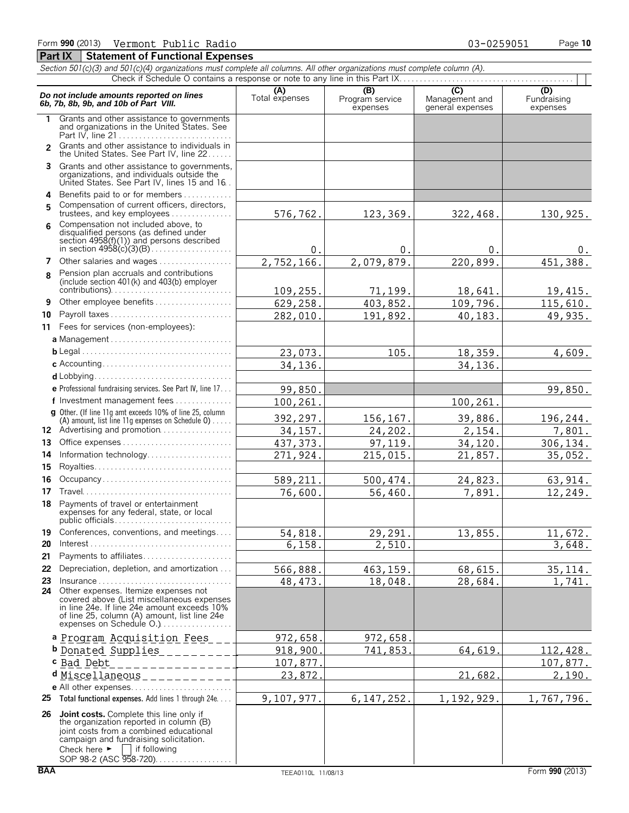### *Section 501(c)(3) and 501(c)(4) organizations must complete all columns. All other organizations must complete column (A).* Check if Schedule O contains a response or note to any line in this Part IX.. **Do not include amounts reported on lines**<br> **C) C)** C (D) C (D)<br> **6b, 7b, 8b, 9b, and 10b of Part VIII.** Total expenses Total expenses expenses expenses expenses expenses **1** Grants and other assistance to governments and organizations in the United States. See Part IV, line 21 . . . . . . . . . . . . . . . . . . . . . . . . . . . . Grants and other assistance to individuals in **2** the United States. See Part IV, line 22 . . . . . . **3** Grants and other assistance to governments, organizations, and individuals outside the United States. See Part IV, lines 15 and 16. . **4** Benefits paid to or for members. . . . . . . . . . . . . Compensation of current officers, directors, **5** trustees, and key employees.............. Compensation not included above, to **6** disqualified persons (as defined under section 4958(f)(1)) and persons described in section 4958(c)(3)(B). . . . . . . . . . . . . . . . . . . . **7** Other salaries and wages................. Pension plan accruals and contributions **8** (include section 401(k) and 403(b) employer contributions). . . . . . . . . . . . . . . . . . . . . . . . . . . . . . **9** Other employee benefits . . . . . . . . . **10** Payroll taxes . . . . . . . . . . . . . . . . . . . . . . . . . . . . . . **11** Fees for services (non-employees): **a** Management . . . . . . . . . . . . . . . . . . . . . . . . . . . . . . **b** Legal. . . . . . . . . . . . . . . . . . . . . . . . . . . . . . . . . . . . . . **c** Accounting. . . . . . . . . . . . . . . . . . . . . . . . . . . . . . . . **d** Lobbying............................ **e** Professional fundraising services. See Part IV, line 17. . . **f** Investment management fees. . . . . . . . . . . . . . . **g** Other. (If line 11g amt exceeds 10% of line 25, column (A) amount, list line 11g expenses on Schedule  $0$ )..... 12 Advertising and promotion................. **13** Office expenses. . . . . . . . . . . . . . . . . . . . . . . . . . . . **14** Information technology. . . . . . . . . . . . . . . . . . . . . **15** Royalties. . . . . . . . . . . . . . . . . . . . . . . . . . . . . . . . . . **16** Occupancy . . . . . . . . . . . . . . . **17** Travel. . . . . . . . . . . . . . . . . . . . . . . . . . . . . . . . . . . . . **18** Payments of travel or entertainment expenses for any federal, state, or local public officials. . . . . . . . . . . . . . . . . . . . . . . . . . . . . **19** Conferences, conventions, and meetings.... **20** Interest. . . . . . . . . . . . . . . . . . . . . . . . . . . . . . . . . . . . **21** Payments to affiliates. . . . . . . . . . . . . . . . . . . . . . **22** Depreciation, depletion, and amortization. . . . **23** Insurance . . . . . . . . . . . . . . . . . . . . . . . . . . . . . . . . . **24** Other expenses. Itemize expenses not covered above (List miscellaneous expenses in line 24e. If line 24e amount exceeds 10% of line 25, column (A) amount, list line 24e expenses on Schedule O.).................. **a** Program Acquisition Fees **b** Donated Supplies **c** Bad Debt **d** Miscellaneous**e** All other expenses. . . . . . . . . . . . . . . . . . . . . . . . . **25 Total functional expenses.** Add lines 1 through 24e. . . . **26 Joint costs.** Complete this line only if the organization reported in column (B) joint costs from a combined educational campaign and fundraising solicitation.<br>Check here  $\blacktriangleright \Box$  if following Check here  $\blacktriangleright$ 576,762. 123,369. 322,468. 130,925.  $0.$  0. 0. 0. 0. 2,752,166. 2,079,879. 220,899. 451,388. 109,255. 71,199. 18,641. 19,415. 629,258. 403,852. 109,796. 115,610. 282,010. 191,892. 40,183. 49,935.  $23,073.$  105. 105. 18,359. 4,609. 34,136. 34,136. 99,850. 99,850. 100,261. 100,261. 392,297. 156,167. 39,886. 196,244. 34,157. 24,202. 2,154. 7,801. 437,373. 97,119. 34,120. 306,134. 271,924. 215,015. 21,857. 35,052. 589,211. 500,474. 24,823. 63,914. 76,600. 56,460. 7,891. 12,249. 54,818. 29,291. 13,855. 11,672.  $6,158.$  2,510. 566,888. 463,159. 68,615. 35,114. 48,473. 18,048. 28,684. 1,741. 972,658. 972,658 918,900. 741,853. 64,619. 112,428.<br>107,877. 200 107.877. 107,877. 23,872. 21,682. 2,190. 9,107,977. 6,147,252. 1,192,929. 1,767,796.

SOP 98-2 (ASC 958-720). . . . . . . . . . . . . . . . .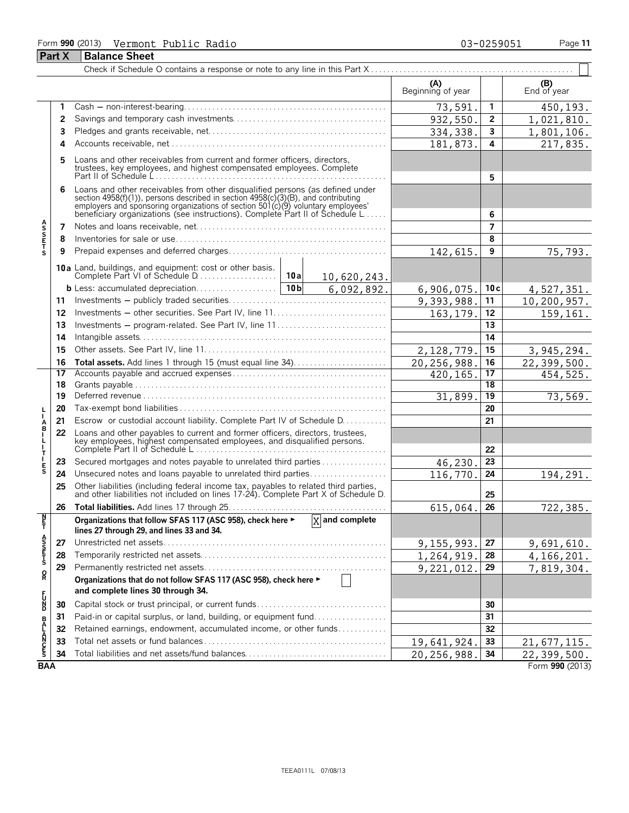## Form **990** (2013) Page **11** Vermont Public Radio 03-0259051 **Part X Balance Sheet**

Ŧ

|                            |          |                                                                                                                                                                                                                                                                                                                      |                             | (A)<br>Beginning of year |                         | (B)<br>End of year |
|----------------------------|----------|----------------------------------------------------------------------------------------------------------------------------------------------------------------------------------------------------------------------------------------------------------------------------------------------------------------------|-----------------------------|--------------------------|-------------------------|--------------------|
|                            | 1        |                                                                                                                                                                                                                                                                                                                      |                             | 73,591.                  | 1                       | 450,193.           |
|                            | 2        |                                                                                                                                                                                                                                                                                                                      |                             | 932,550                  | $\mathbf{2}$            | 1,021,810.         |
|                            | 3        |                                                                                                                                                                                                                                                                                                                      |                             | 334, 338.                | $\overline{\mathbf{3}}$ | 1,801,106.         |
|                            | 4        |                                                                                                                                                                                                                                                                                                                      |                             | 181,873.                 | 4                       | 217,835.           |
|                            | 5        | Loans and other receivables from current and former officers, directors,<br>trustees, key employees, and highest compensated employees. Complete                                                                                                                                                                     |                             |                          | 5                       |                    |
|                            | 6        | Loans and other receivables from other disqualified persons (as defined under<br>section 4958(f)(1)), persons described in section 4958(c)(3)(B), and contributing<br>employers and sponsoring organizations of section 501(c)(9) voluntary employees'<br>beneficiary organizations (see instructions). Complete Par |                             |                          | 6                       |                    |
|                            | 7        |                                                                                                                                                                                                                                                                                                                      |                             |                          | $\overline{7}$          |                    |
| <b>ASSETS</b>              | 8        |                                                                                                                                                                                                                                                                                                                      |                             |                          | 8                       |                    |
|                            | 9        |                                                                                                                                                                                                                                                                                                                      |                             | 142,615.                 | 9                       | 75,793.            |
|                            |          |                                                                                                                                                                                                                                                                                                                      |                             |                          |                         |                    |
|                            |          |                                                                                                                                                                                                                                                                                                                      | 10,620,243.                 |                          |                         |                    |
|                            |          |                                                                                                                                                                                                                                                                                                                      | 6,092,892.                  | 6,906,075.               | 10c                     | 4,527,351.         |
|                            | 11       |                                                                                                                                                                                                                                                                                                                      |                             | 9,393,988.               | 11                      | 10,200,957.        |
|                            | 12       |                                                                                                                                                                                                                                                                                                                      |                             | 163, 179.                | 12                      | 159,161.           |
|                            | 13       | Investments - program-related. See Part IV, line 11                                                                                                                                                                                                                                                                  |                             |                          | 13                      |                    |
|                            | 14       |                                                                                                                                                                                                                                                                                                                      |                             |                          | 14                      |                    |
|                            | 15       |                                                                                                                                                                                                                                                                                                                      |                             | 2,128,779.               | 15                      | 3,945,294.         |
|                            | 16       |                                                                                                                                                                                                                                                                                                                      |                             | 20,256,988               | 16                      | 22,399,500.        |
|                            | 17<br>18 |                                                                                                                                                                                                                                                                                                                      |                             | 420, 165.                | 17<br>18                | 454,525.           |
|                            | 19       |                                                                                                                                                                                                                                                                                                                      |                             | 31,899                   | 19                      | 73,569.            |
|                            | 20       |                                                                                                                                                                                                                                                                                                                      |                             |                          | 20                      |                    |
| ۲<br>ا                     | 21       | Escrow or custodial account liability. Complete Part IV of Schedule D.                                                                                                                                                                                                                                               |                             |                          | 21                      |                    |
| A<br>B<br>I<br>ト<br>ー<br>エ | 22       | Loans and other payables to current and former officers, directors, trustees,                                                                                                                                                                                                                                        |                             |                          | 22                      |                    |
|                            | 23       | Secured mortgages and notes payable to unrelated third parties                                                                                                                                                                                                                                                       |                             | 46,230.                  | 23                      |                    |
| $\frac{E}{S}$              | 24       | Unsecured notes and loans payable to unrelated third parties                                                                                                                                                                                                                                                         |                             | 116,770.                 | 24                      | 194,291.           |
|                            | 25       | Other liabilities (including federal income tax, payables to related third parties, and other liabilities not included on lines 17-24). Complete Part X of Schedule D.                                                                                                                                               |                             |                          | 25                      |                    |
|                            | 26       |                                                                                                                                                                                                                                                                                                                      |                             | 615,064.                 | 26                      | 722,385.           |
| Ę                          |          | Organizations that follow SFAS 117 (ASC 958), check here ►<br>lines 27 through 29, and lines 33 and 34.                                                                                                                                                                                                              | $\overline{X}$ and complete |                          |                         |                    |
|                            | 27       |                                                                                                                                                                                                                                                                                                                      |                             | 9,155,993.               | 27                      | 9,691,610.         |
| A<br>SHFI<br>S             | 28       |                                                                                                                                                                                                                                                                                                                      |                             | 1,264,919.               | 28                      | 4, 166, 201.       |
|                            | 29       |                                                                                                                                                                                                                                                                                                                      |                             | 9,221,012.               | 29                      | 7,819,304.         |
| o<br>R                     |          | Organizations that do not follow SFAS 117 (ASC 958), check here ►                                                                                                                                                                                                                                                    | $\perp$                     |                          |                         |                    |
|                            |          | and complete lines 30 through 34.                                                                                                                                                                                                                                                                                    |                             |                          |                         |                    |
| 모이                         | 30       |                                                                                                                                                                                                                                                                                                                      |                             |                          | 30                      |                    |
|                            | 31       | Paid-in or capital surplus, or land, building, or equipment fund                                                                                                                                                                                                                                                     |                             |                          | 31                      |                    |
|                            | 32       | Retained earnings, endowment, accumulated income, or other funds                                                                                                                                                                                                                                                     |                             |                          | 32                      |                    |
| <b>BALANCES</b>            | 33       |                                                                                                                                                                                                                                                                                                                      |                             | 19,641,924.              | 33                      | 21,677,115.        |
|                            | 34       |                                                                                                                                                                                                                                                                                                                      |                             | 20, 256, 988.            | 34                      | 22,399,500.        |
| <b>BAA</b>                 |          |                                                                                                                                                                                                                                                                                                                      |                             |                          |                         | Form 990 (2013)    |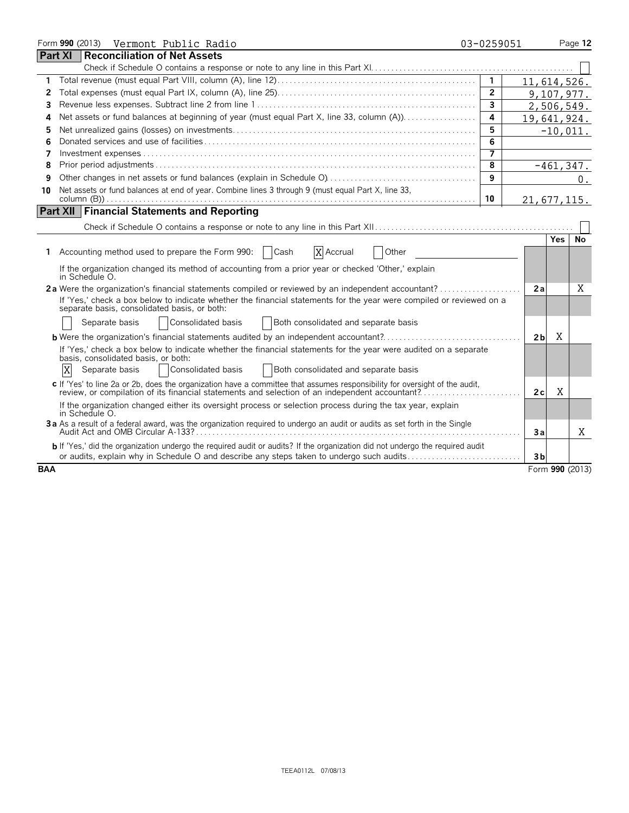|            | Form 990 (2013) Vermont Public Radio                                                                                                                                                                                             | 03-0259051              |                     | Page 12         |
|------------|----------------------------------------------------------------------------------------------------------------------------------------------------------------------------------------------------------------------------------|-------------------------|---------------------|-----------------|
|            | <b>Part XI</b><br><b>Reconciliation of Net Assets</b>                                                                                                                                                                            |                         |                     |                 |
|            |                                                                                                                                                                                                                                  |                         |                     |                 |
| 1          |                                                                                                                                                                                                                                  | $\mathbf{1}$            |                     | 11,614,526.     |
| 2          |                                                                                                                                                                                                                                  | $\overline{2}$          |                     | 9,107,977.      |
| 3          |                                                                                                                                                                                                                                  | $\overline{\mathbf{3}}$ |                     | 2,506,549.      |
| 4          | Net assets or fund balances at beginning of year (must equal Part X, line 33, column (A))                                                                                                                                        | 4                       |                     | 19,641,924.     |
| 5          |                                                                                                                                                                                                                                  | 5                       |                     | $-10,011.$      |
| 6          |                                                                                                                                                                                                                                  | 6                       |                     |                 |
| 7          |                                                                                                                                                                                                                                  | 7                       |                     |                 |
| 8          |                                                                                                                                                                                                                                  | 8                       |                     | $-461, 347.$    |
| 9          |                                                                                                                                                                                                                                  | 9                       |                     | 0.              |
| 10         | Net assets or fund balances at end of year. Combine lines 3 through 9 (must equal Part X, line 33,                                                                                                                               |                         |                     |                 |
|            |                                                                                                                                                                                                                                  | 10                      |                     | 21,677,115.     |
|            | <b>Part XII Financial Statements and Reporting</b>                                                                                                                                                                               |                         |                     |                 |
|            |                                                                                                                                                                                                                                  |                         |                     |                 |
|            |                                                                                                                                                                                                                                  |                         | <b>Yes</b>          | No              |
|            | 1 Accounting method used to prepare the Form 990:<br>  Cash<br>X Accrual<br>Other                                                                                                                                                |                         |                     |                 |
|            | If the organization changed its method of accounting from a prior year or checked 'Other,' explain<br>in Schedule O.                                                                                                             |                         |                     |                 |
|            | 2a Were the organization's financial statements compiled or reviewed by an independent accountant?                                                                                                                               |                         | 2a                  | Χ               |
|            | If 'Yes,' check a box below to indicate whether the financial statements for the year were compiled or reviewed on a<br>separate basis, consolidated basis, or both:                                                             |                         |                     |                 |
|            | Consolidated basis<br>Separate basis<br>Both consolidated and separate basis                                                                                                                                                     |                         |                     |                 |
|            | <b>b</b> Were the organization's financial statements audited by an independent accountant?                                                                                                                                      |                         | X<br>2 <sub>b</sub> |                 |
|            | If 'Yes,' check a box below to indicate whether the financial statements for the year were audited on a separate<br>basis, consolidated basis, or both:                                                                          |                         |                     |                 |
|            | X<br>Consolidated basis<br>Separate basis<br>Both consolidated and separate basis                                                                                                                                                |                         |                     |                 |
|            | c If 'Yes' to line 2a or 2b, does the organization have a committee that assumes responsibility for oversight of the audit,<br>review, or compilation of its financial statements and selection of an independent accountant?    |                         | X<br>2 c            |                 |
|            | If the organization changed either its oversight process or selection process during the tax year, explain<br>in Schedule O.                                                                                                     |                         |                     |                 |
|            | 3a As a result of a federal award, was the organization required to undergo an audit or audits as set forth in the Single                                                                                                        |                         | Зa                  | X               |
|            | <b>b</b> If 'Yes,' did the organization undergo the required audit or audits? If the organization did not undergo the required audit<br>or audits, explain why in Schedule O and describe any steps taken to undergo such audits |                         | 3 <sub>b</sub>      |                 |
| <b>BAA</b> |                                                                                                                                                                                                                                  |                         |                     | Form 990 (2013) |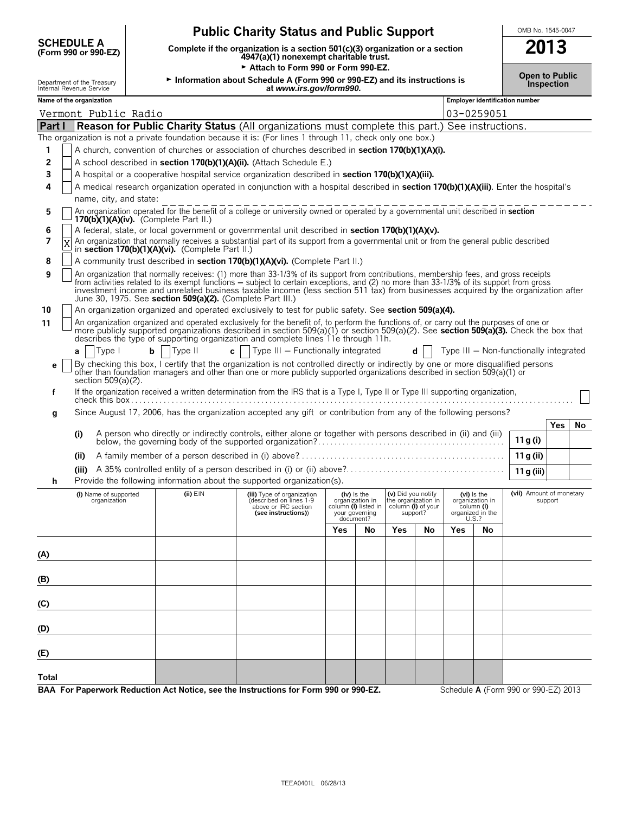| <b>Public Charity Status and Public Support</b> | OMB No. 1545-0047 |
|-------------------------------------------------|-------------------|
|                                                 |                   |

**SCHEDULE A**

**Complete if the organization is a section 501(c)(3) organization or a section 2013** 

|        |                                                                                                                                                                                                                                                                                                                                                                      | (FORM 990 OF 990-EZ)                     |   |         |                                                  | 4947(a)(1) nonexempt charitable trust.                                                                                                                                                                                                                                                                                                                                                                                                                                             |  |                       |                                                                 |                                                                                                  |    |            |                                                                    |                                        |         |    |
|--------|----------------------------------------------------------------------------------------------------------------------------------------------------------------------------------------------------------------------------------------------------------------------------------------------------------------------------------------------------------------------|------------------------------------------|---|---------|--------------------------------------------------|------------------------------------------------------------------------------------------------------------------------------------------------------------------------------------------------------------------------------------------------------------------------------------------------------------------------------------------------------------------------------------------------------------------------------------------------------------------------------------|--|-----------------------|-----------------------------------------------------------------|--------------------------------------------------------------------------------------------------|----|------------|--------------------------------------------------------------------|----------------------------------------|---------|----|
|        |                                                                                                                                                                                                                                                                                                                                                                      |                                          |   |         |                                                  | Attach to Form 990 or Form 990-EZ.                                                                                                                                                                                                                                                                                                                                                                                                                                                 |  |                       |                                                                 |                                                                                                  |    |            |                                                                    |                                        |         |    |
|        | Information about Schedule A (Form 990 or 990-EZ) and its instructions is<br>Department of the Treasury<br>Internal Revenue Service<br>at www.irs.gov/form990.                                                                                                                                                                                                       |                                          |   |         |                                                  |                                                                                                                                                                                                                                                                                                                                                                                                                                                                                    |  | <b>Open to Public</b> | Inspection                                                      |                                                                                                  |    |            |                                                                    |                                        |         |    |
|        | Name of the organization                                                                                                                                                                                                                                                                                                                                             |                                          |   |         |                                                  |                                                                                                                                                                                                                                                                                                                                                                                                                                                                                    |  |                       |                                                                 |                                                                                                  |    |            |                                                                    | Employer identification number         |         |    |
|        |                                                                                                                                                                                                                                                                                                                                                                      | Vermont Public Radio                     |   |         |                                                  |                                                                                                                                                                                                                                                                                                                                                                                                                                                                                    |  |                       |                                                                 |                                                                                                  |    |            | 03-0259051                                                         |                                        |         |    |
| Part I |                                                                                                                                                                                                                                                                                                                                                                      |                                          |   |         |                                                  | <b>Reason for Public Charity Status</b> (All organizations must complete this part.) See instructions.                                                                                                                                                                                                                                                                                                                                                                             |  |                       |                                                                 |                                                                                                  |    |            |                                                                    |                                        |         |    |
|        |                                                                                                                                                                                                                                                                                                                                                                      |                                          |   |         |                                                  | The organization is not a private foundation because it is: (For lines 1 through 11, check only one box.)                                                                                                                                                                                                                                                                                                                                                                          |  |                       |                                                                 |                                                                                                  |    |            |                                                                    |                                        |         |    |
| 1      |                                                                                                                                                                                                                                                                                                                                                                      |                                          |   |         |                                                  | A church, convention of churches or association of churches described in section 170(b)(1)(A)(i).                                                                                                                                                                                                                                                                                                                                                                                  |  |                       |                                                                 |                                                                                                  |    |            |                                                                    |                                        |         |    |
| 2      |                                                                                                                                                                                                                                                                                                                                                                      |                                          |   |         |                                                  | A school described in section 170(b)(1)(A)(ii). (Attach Schedule E.)                                                                                                                                                                                                                                                                                                                                                                                                               |  |                       |                                                                 |                                                                                                  |    |            |                                                                    |                                        |         |    |
| 3      |                                                                                                                                                                                                                                                                                                                                                                      |                                          |   |         |                                                  | A hospital or a cooperative hospital service organization described in section 170(b)(1)(A)(iii).                                                                                                                                                                                                                                                                                                                                                                                  |  |                       |                                                                 |                                                                                                  |    |            |                                                                    |                                        |         |    |
| 4      |                                                                                                                                                                                                                                                                                                                                                                      | name, city, and state:                   |   |         |                                                  | A medical research organization operated in conjunction with a hospital described in section 170(b)(1)(A)(iii). Enter the hospital's                                                                                                                                                                                                                                                                                                                                               |  |                       |                                                                 |                                                                                                  |    |            |                                                                    |                                        |         |    |
| 5      |                                                                                                                                                                                                                                                                                                                                                                      | $170(b)(1)(A)(iv)$ . (Complete Part II.) |   |         |                                                  | An organization operated for the benefit of a college or university owned or operated by a governmental unit described in section                                                                                                                                                                                                                                                                                                                                                  |  |                       |                                                                 |                                                                                                  |    |            |                                                                    |                                        |         |    |
| 6      |                                                                                                                                                                                                                                                                                                                                                                      |                                          |   |         |                                                  | A federal, state, or local government or governmental unit described in section 170(b)(1)(A)(v).                                                                                                                                                                                                                                                                                                                                                                                   |  |                       |                                                                 |                                                                                                  |    |            |                                                                    |                                        |         |    |
| 7      |                                                                                                                                                                                                                                                                                                                                                                      |                                          |   |         | in section 170(b)(1)(A)(vi). (Complete Part II.) | An organization that normally receives a substantial part of its support from a governmental unit or from the general public described                                                                                                                                                                                                                                                                                                                                             |  |                       |                                                                 |                                                                                                  |    |            |                                                                    |                                        |         |    |
| 8      |                                                                                                                                                                                                                                                                                                                                                                      |                                          |   |         |                                                  | A community trust described in section 170(b)(1)(A)(vi). (Complete Part II.)                                                                                                                                                                                                                                                                                                                                                                                                       |  |                       |                                                                 |                                                                                                  |    |            |                                                                    |                                        |         |    |
| 9      |                                                                                                                                                                                                                                                                                                                                                                      |                                          |   |         |                                                  | An organization that normally receives: (1) more than 33-1/3% of its support from contributions, membership fees, and gross receipts<br>from activities related to its exempt functions – subject to certain exceptions, and (2) no more than 33-1/3% of its support from gross<br>investment income and unrelated business taxable income (less section 511 tax) from businesses acquired by the organization after<br>June 30, 1975. See section 509(a)(2). (Complete Part III.) |  |                       |                                                                 |                                                                                                  |    |            |                                                                    |                                        |         |    |
| 10     |                                                                                                                                                                                                                                                                                                                                                                      |                                          |   |         |                                                  | An organization organized and operated exclusively to test for public safety. See section 509(a)(4).                                                                                                                                                                                                                                                                                                                                                                               |  |                       |                                                                 |                                                                                                  |    |            |                                                                    |                                        |         |    |
| 11     | An organization organized and operated exclusively for the benefit of, to perform the functions of, or carry out the purposes of one or<br>more publicly supported organizations described in section 509(a)(1) or section 509(a)(2). See section 509(a)(3). Check the box that<br>describes the type of supporting organization and complete lines 11e through 11h. |                                          |   |         |                                                  |                                                                                                                                                                                                                                                                                                                                                                                                                                                                                    |  |                       |                                                                 |                                                                                                  |    |            |                                                                    |                                        |         |    |
|        | a                                                                                                                                                                                                                                                                                                                                                                    | Type I                                   | b | Type II |                                                  | Type III - Functionally integrated<br>$\mathbf{c}$                                                                                                                                                                                                                                                                                                                                                                                                                                 |  |                       |                                                                 |                                                                                                  | d  |            |                                                                    | Type III – Non-functionally integrated |         |    |
| е      |                                                                                                                                                                                                                                                                                                                                                                      |                                          |   |         |                                                  | By checking this box, I certify that the organization is not controlled directly or indirectly by one or more disqualified persons                                                                                                                                                                                                                                                                                                                                                 |  |                       |                                                                 |                                                                                                  |    |            |                                                                    |                                        |         |    |
|        |                                                                                                                                                                                                                                                                                                                                                                      | section 509(a)(2).                       |   |         |                                                  | other than foundation managers and other than one or more publicly supported organizations described in section 509(a)(1) or                                                                                                                                                                                                                                                                                                                                                       |  |                       |                                                                 |                                                                                                  |    |            |                                                                    |                                        |         |    |
| f      |                                                                                                                                                                                                                                                                                                                                                                      |                                          |   |         |                                                  | If the organization received a written determination from the IRS that is a Type I, Type II or Type III supporting organization,                                                                                                                                                                                                                                                                                                                                                   |  |                       |                                                                 |                                                                                                  |    |            |                                                                    |                                        |         |    |
|        |                                                                                                                                                                                                                                                                                                                                                                      |                                          |   |         |                                                  |                                                                                                                                                                                                                                                                                                                                                                                                                                                                                    |  |                       |                                                                 |                                                                                                  |    |            |                                                                    |                                        |         |    |
| g      |                                                                                                                                                                                                                                                                                                                                                                      |                                          |   |         |                                                  | Since August 17, 2006, has the organization accepted any gift or contribution from any of the following persons?                                                                                                                                                                                                                                                                                                                                                                   |  |                       |                                                                 |                                                                                                  |    |            |                                                                    |                                        |         |    |
|        |                                                                                                                                                                                                                                                                                                                                                                      |                                          |   |         |                                                  |                                                                                                                                                                                                                                                                                                                                                                                                                                                                                    |  |                       |                                                                 |                                                                                                  |    |            |                                                                    |                                        | Yes     | No |
|        | (i)                                                                                                                                                                                                                                                                                                                                                                  |                                          |   |         |                                                  | A person who directly or indirectly controls, either alone or together with persons described in (ii) and (iii)                                                                                                                                                                                                                                                                                                                                                                    |  |                       |                                                                 |                                                                                                  |    |            |                                                                    | 11 g (i)                               |         |    |
|        | (ii)                                                                                                                                                                                                                                                                                                                                                                 |                                          |   |         |                                                  |                                                                                                                                                                                                                                                                                                                                                                                                                                                                                    |  |                       |                                                                 |                                                                                                  |    |            |                                                                    | 11 g (ii)                              |         |    |
|        |                                                                                                                                                                                                                                                                                                                                                                      |                                          |   |         |                                                  |                                                                                                                                                                                                                                                                                                                                                                                                                                                                                    |  |                       |                                                                 |                                                                                                  |    |            |                                                                    | 11 g (iii)                             |         |    |
| h      |                                                                                                                                                                                                                                                                                                                                                                      |                                          |   |         |                                                  | Provide the following information about the supported organization(s).                                                                                                                                                                                                                                                                                                                                                                                                             |  |                       |                                                                 |                                                                                                  |    |            |                                                                    |                                        |         |    |
|        |                                                                                                                                                                                                                                                                                                                                                                      | (i) Name of supported<br>organization    |   |         | (ii) EIN                                         | (iii) Type of organization<br>(described on lines 1-9<br>above or IRC section<br>(see instructions))                                                                                                                                                                                                                                                                                                                                                                               |  |                       | $(iv)$ is the<br>organization in<br>your governing<br>document? | (v) Did you notify<br>the organization in<br>column (i) listed in column (i) of your<br>support? |    | U.S.?      | $(vi)$ is the<br>organization in<br>column (i)<br>organized in the | (vii) Amount of monetary               | support |    |
|        |                                                                                                                                                                                                                                                                                                                                                                      |                                          |   |         |                                                  |                                                                                                                                                                                                                                                                                                                                                                                                                                                                                    |  | Yes                   | No                                                              | <b>Yes</b>                                                                                       | No | <b>Yes</b> | No                                                                 |                                        |         |    |
|        |                                                                                                                                                                                                                                                                                                                                                                      |                                          |   |         |                                                  |                                                                                                                                                                                                                                                                                                                                                                                                                                                                                    |  |                       |                                                                 |                                                                                                  |    |            |                                                                    |                                        |         |    |
| (A)    |                                                                                                                                                                                                                                                                                                                                                                      |                                          |   |         |                                                  |                                                                                                                                                                                                                                                                                                                                                                                                                                                                                    |  |                       |                                                                 |                                                                                                  |    |            |                                                                    |                                        |         |    |
|        |                                                                                                                                                                                                                                                                                                                                                                      |                                          |   |         |                                                  |                                                                                                                                                                                                                                                                                                                                                                                                                                                                                    |  |                       |                                                                 |                                                                                                  |    |            |                                                                    |                                        |         |    |
| (B)    |                                                                                                                                                                                                                                                                                                                                                                      |                                          |   |         |                                                  |                                                                                                                                                                                                                                                                                                                                                                                                                                                                                    |  |                       |                                                                 |                                                                                                  |    |            |                                                                    |                                        |         |    |
| (C)    |                                                                                                                                                                                                                                                                                                                                                                      |                                          |   |         |                                                  |                                                                                                                                                                                                                                                                                                                                                                                                                                                                                    |  |                       |                                                                 |                                                                                                  |    |            |                                                                    |                                        |         |    |
| (D)    |                                                                                                                                                                                                                                                                                                                                                                      |                                          |   |         |                                                  |                                                                                                                                                                                                                                                                                                                                                                                                                                                                                    |  |                       |                                                                 |                                                                                                  |    |            |                                                                    |                                        |         |    |
| (E)    |                                                                                                                                                                                                                                                                                                                                                                      |                                          |   |         |                                                  |                                                                                                                                                                                                                                                                                                                                                                                                                                                                                    |  |                       |                                                                 |                                                                                                  |    |            |                                                                    |                                        |         |    |
| Total  |                                                                                                                                                                                                                                                                                                                                                                      |                                          |   |         |                                                  |                                                                                                                                                                                                                                                                                                                                                                                                                                                                                    |  |                       |                                                                 |                                                                                                  |    |            |                                                                    |                                        |         |    |

**BAA For Paperwork Reduction Act Notice, see the Instructions for Form 990 or 990-EZ.** Schedule A (Form 990 or 990-EZ) 2013

÷,  $\equiv$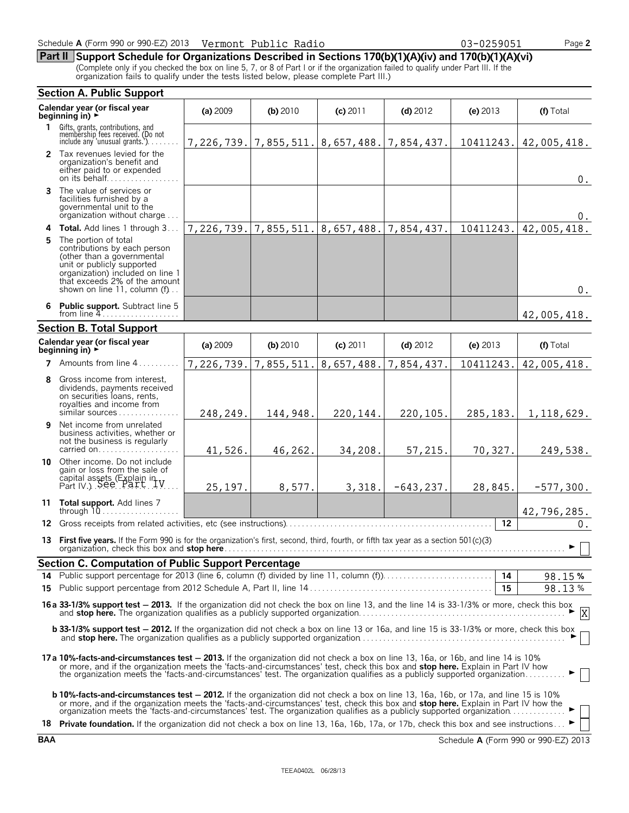**Part II Support Schedule for Organizations Described in Sections 170(b)(1)(A)(iv) and 170(b)(1)(A)(vi)** (Complete only if you checked the box on line 5, 7, or 8 of Part I or if the organization failed to qualify under Part III. If the organization fails to qualify under the tests listed below, please complete Part III.)

|    | <b>Section A. Public Support</b>                                                                                                                                                                                                                                                                                                                                                    |            |            |                                                     |              |                   |                                               |
|----|-------------------------------------------------------------------------------------------------------------------------------------------------------------------------------------------------------------------------------------------------------------------------------------------------------------------------------------------------------------------------------------|------------|------------|-----------------------------------------------------|--------------|-------------------|-----------------------------------------------|
|    | Calendar year (or fiscal year<br>beginning in) ▶                                                                                                                                                                                                                                                                                                                                    | (a) 2009   | (b) 2010   | $(c)$ 2011                                          | $(d)$ 2012   | (e) $2013$        | (f) Total                                     |
| 1. | Gifts, grants, contributions, and<br>membership fees received. (Do not<br>include any 'unusual grants.').                                                                                                                                                                                                                                                                           |            |            | 7, 226, 739. 7, 855, 511. 8, 657, 488. 7, 854, 437. |              |                   | 10411243.   42,005,418.                       |
|    | 2 Tax revenues levied for the<br>organization's benefit and<br>either paid to or expended<br>on its behalf                                                                                                                                                                                                                                                                          |            |            |                                                     |              |                   | 0.                                            |
|    | <b>3</b> The value of services or<br>facilities furnished by a<br>governmental unit to the<br>organization without charge                                                                                                                                                                                                                                                           |            |            |                                                     |              |                   | 0.                                            |
|    | 4 Total. Add lines 1 through 3                                                                                                                                                                                                                                                                                                                                                      | 7,226,739. | 7,855,511. | 8,657,488.                                          | 7,854,437.   | 10411243.         | 42,005,418.                                   |
|    | 5 The portion of total<br>contributions by each person<br>(other than a governmental<br>unit or publicly supported<br>organization) included on line 1<br>that exceeds 2% of the amount<br>shown on line 11, column (f)                                                                                                                                                             |            |            |                                                     |              |                   | $0$ .                                         |
|    | 6 Public support. Subtract line 5                                                                                                                                                                                                                                                                                                                                                   |            |            |                                                     |              |                   | 42,005,418.                                   |
|    | <b>Section B. Total Support</b>                                                                                                                                                                                                                                                                                                                                                     |            |            |                                                     |              |                   |                                               |
|    | Calendar year (or fiscal year<br>beginning in) $\rightarrow$                                                                                                                                                                                                                                                                                                                        | (a) 2009   | (b) 2010   | (c) 2011                                            | $(d)$ 2012   | (e) $2013$        | (f) Total                                     |
|    | 7 Amounts from line 4                                                                                                                                                                                                                                                                                                                                                               | 7,226,739. | 7,855,511. | 8,657,488.                                          | 7,854,437.   | 10411243.         | 42,005,418.                                   |
| 8  | Gross income from interest,<br>dividends, payments received<br>on securities loans, rents,<br>royalties and income from<br>similar sources                                                                                                                                                                                                                                          | 248,249.   | 144,948.   | 220,144.                                            | 220,105.     | 285, 183.         | 1,118,629.                                    |
| 9  | Net income from unrelated<br>business activities, whether or<br>not the business is regularly<br>carried on                                                                                                                                                                                                                                                                         | 41,526.    | 46,262.    | 34,208.                                             | 57,215.      | 70,327.           | 249,538.                                      |
|    | 10 Other income. Do not include<br>gain or loss from the sale of<br>capital assets (Explain in V.) See Part V.                                                                                                                                                                                                                                                                      | 25, 197.   | 8,577.     | 3,318.                                              | $-643, 237.$ | 28,845.           | $-577,300.$                                   |
|    | 11 Total support. Add lines 7<br>through $10$                                                                                                                                                                                                                                                                                                                                       |            |            |                                                     |              |                   | 42,796,285.                                   |
| 12 |                                                                                                                                                                                                                                                                                                                                                                                     |            |            |                                                     |              | $12 \overline{ }$ | 0.                                            |
|    | 13 First five years. If the Form 990 is for the organization's first, second, third, fourth, or fifth tax year as a section 501(c)(3)<br>organization, check this box and stop here.                                                                                                                                                                                                |            |            |                                                     |              |                   | $\blacktriangleright$ $\parallel$ $\parallel$ |
|    | Section C. Computation of Public Support Percentage                                                                                                                                                                                                                                                                                                                                 |            |            |                                                     |              |                   |                                               |
|    |                                                                                                                                                                                                                                                                                                                                                                                     |            |            |                                                     |              |                   | 98.15%                                        |
|    |                                                                                                                                                                                                                                                                                                                                                                                     |            |            |                                                     |              | 15                | 98.13%                                        |
|    | 16a 33-1/3% support test - 2013. If the organization did not check the box on line 13, and the line 14 is 33-1/3% or more, check this box<br>$\frac{33-173}{16}$ support test $\frac{2613}{16}$ . If the organization and not check the box of the 15, and the fire 14.3.33.173.16 in the contraction and stop here. The organization qualifies as a publicly supported organizatio |            |            |                                                     |              |                   |                                               |
|    | <b>b 33-1/3% support test - 2012.</b> If the organization did not check a box on line 13 or 16a, and line 15 is 33-1/3% or more, check this box                                                                                                                                                                                                                                     |            |            |                                                     |              |                   |                                               |
|    | 17a 10%-facts-and-circumstances test - 2013. If the organization did not check a box on line 13, 16a, or 16b, and line 14 is 10%<br>or more, and if the organization meets the 'facts-and-circumstances' test, check this box and <b>stop here.</b> Explain in Part IV how<br>the organization meets the 'facts-and-circumstances' test. The organization qualifies as a p          |            |            |                                                     |              |                   |                                               |
|    | <b>b 10%-facts-and-circumstances test - 2012.</b> If the organization did not check a box on line 13, 16a, 16b, or 17a, and line 15 is 10%<br>or more, and if the organization meets the 'facts-and-circumstances' test, check this box and stop here. Explain in Part IV how the organization meets the 'facts-and-circumstances' test. The organization qualifies as a pub        |            |            |                                                     |              |                   |                                               |
|    | 18 Private foundation. If the organization did not check a box on line 13, 16a, 16b, 17a, or 17b, check this box and see instructions ►                                                                                                                                                                                                                                             |            |            |                                                     |              |                   |                                               |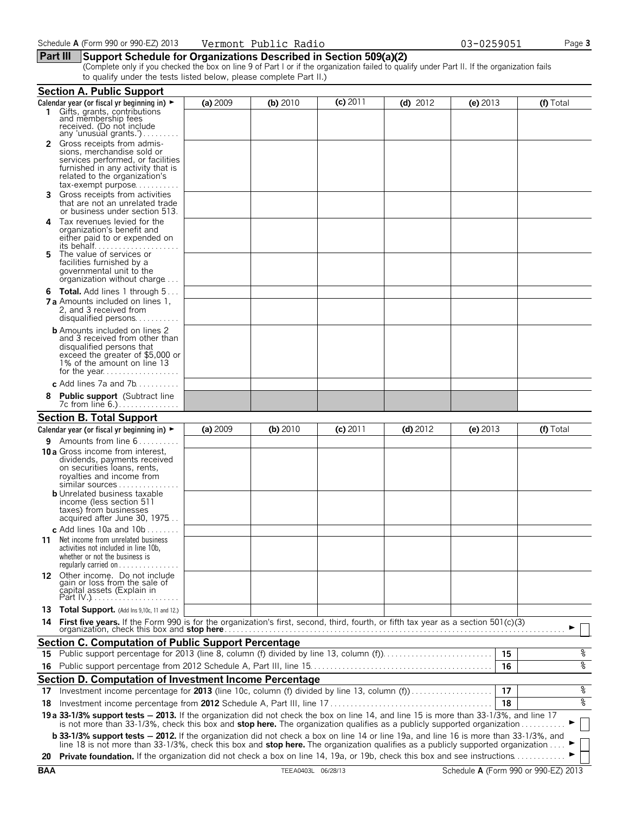## **Part III Support Schedule for Organizations Described in Section 509(a)(2)**

(Complete only if you checked the box on line 9 of Part I or if the organization failed to qualify under Part II. If the organization fails to qualify under the tests listed below, please complete Part II.)

|    | <b>Section A. Public Support</b>                                                                                                                                                                                                                                                                                                                                     |          |          |            |            |            |           |
|----|----------------------------------------------------------------------------------------------------------------------------------------------------------------------------------------------------------------------------------------------------------------------------------------------------------------------------------------------------------------------|----------|----------|------------|------------|------------|-----------|
|    | Calendar year (or fiscal yr beginning in) $\blacktriangleright$                                                                                                                                                                                                                                                                                                      | (a) 2009 | (b) 2010 | $(c)$ 2011 | $(d)$ 2012 | (e) $2013$ | (f) Total |
|    | Gifts, grants, contributions<br>and membership fees<br>received. (Do not include<br>any 'unusual grants.')                                                                                                                                                                                                                                                           |          |          |            |            |            |           |
|    | <b>2</b> Gross receipts from admis-<br>sions, merchandise sold or<br>services performed, or facilities<br>furnished in any activity that is<br>related to the organization's<br>tax-exempt purpose                                                                                                                                                                   |          |          |            |            |            |           |
|    | Gross receipts from activities<br>that are not an unrelated trade<br>or business under section 513.                                                                                                                                                                                                                                                                  |          |          |            |            |            |           |
| 4  | Tax revenues levied for the<br>organization's benefit and<br>either paid to or expended on<br>its behalf                                                                                                                                                                                                                                                             |          |          |            |            |            |           |
| 5. | The value of services or<br>facilities furnished by a<br>governmental unit to the<br>organization without charge                                                                                                                                                                                                                                                     |          |          |            |            |            |           |
|    | <b>6 Total.</b> Add lines 1 through 5<br><b>7 a</b> Amounts included on lines 1.<br>2, and 3 received from<br>disqualified persons                                                                                                                                                                                                                                   |          |          |            |            |            |           |
|    | <b>b</b> Amounts included on lines 2<br>and 3 received from other than<br>disqualified persons that<br>exceed the greater of \$5,000 or<br>1% of the amount on line 13                                                                                                                                                                                               |          |          |            |            |            |           |
|    | c Add lines 7a and $7b$                                                                                                                                                                                                                                                                                                                                              |          |          |            |            |            |           |
| 8  | <b>Public support</b> (Subtract line<br>7c from line 6.)                                                                                                                                                                                                                                                                                                             |          |          |            |            |            |           |
|    | <b>Section B. Total Support</b>                                                                                                                                                                                                                                                                                                                                      |          |          |            |            |            |           |
|    | Calendar year (or fiscal yr beginning in) ►                                                                                                                                                                                                                                                                                                                          | (a) 2009 | (b) 2010 | $(c)$ 2011 | $(d)$ 2012 | (e) $2013$ | (f) Total |
|    | <b>9</b> Amounts from line $6$<br><b>10 a</b> Gross income from interest,<br>dividends, payments received<br>on securities loans, rents,<br>royalties and income from<br>similar sources<br><b>b</b> Unrelated business taxable<br>income (less section 511<br>taxes) from businesses<br>acquired after June 30, 1975                                                |          |          |            |            |            |           |
|    | c Add lines 10a and 10b $\dots \dots$<br><b>11</b> Net income from unrelated business<br>activities not included in line 10b,<br>whether or not the business is<br>regularly carried on $\dots\dots\dots\dots\dots$                                                                                                                                                  |          |          |            |            |            |           |
|    | 12 Other income. Do not include<br>gain or loss from the sale of<br>capital assets (Explain in                                                                                                                                                                                                                                                                       |          |          |            |            |            |           |
|    | 13 Total Support. (Add Ins 9,10c, 11 and 12.)                                                                                                                                                                                                                                                                                                                        |          |          |            |            |            |           |
| 14 | First five years. If the Form 990 is for the organization's first, second, third, fourth, or fifth tax year as a section 501(c)(3)<br>organization, check this box and stop here Mathematical Contract Contract of the state of the state of the state of the state of the state of the state of the state of the state of the state of the state of the state of th |          |          |            |            |            |           |
|    | <b>Section C. Computation of Public Support Percentage</b>                                                                                                                                                                                                                                                                                                           |          |          |            |            |            |           |
|    |                                                                                                                                                                                                                                                                                                                                                                      |          |          |            |            | 15         | %         |
| 16 |                                                                                                                                                                                                                                                                                                                                                                      |          |          |            |            | 16         | ४         |
|    | Section D. Computation of Investment Income Percentage                                                                                                                                                                                                                                                                                                               |          |          |            |            |            |           |
|    | 17 Investment income percentage for 2013 (line 10c, column (f) divided by line 13, column (f)                                                                                                                                                                                                                                                                        |          |          |            |            | 17         | %         |
|    |                                                                                                                                                                                                                                                                                                                                                                      |          |          |            |            | 18         | ४         |
|    | 19 a 33-1/3% support tests - 2013. If the organization did not check the box on line 14, and line 15 is more than 33-1/3%, and line 17 is not more than 33-1/3%, check this box and stop here. The organization qualifies as a                                                                                                                                       |          |          |            |            |            |           |
|    | <b>b 33-1/3% support tests - 2012.</b> If the organization did not check a box on line 14 or line 19a, and line 16 is more than 33-1/3%, and<br>line 18 is not more than 33-1/3%, check this box and <b>stop here.</b> The organization qualifies as a publicly supported organization                                                                               |          |          |            |            |            |           |
|    | 20 Private foundation. If the organization did not check a box on line 14, 19a, or 19b, check this box and see instructions                                                                                                                                                                                                                                          |          |          |            |            |            |           |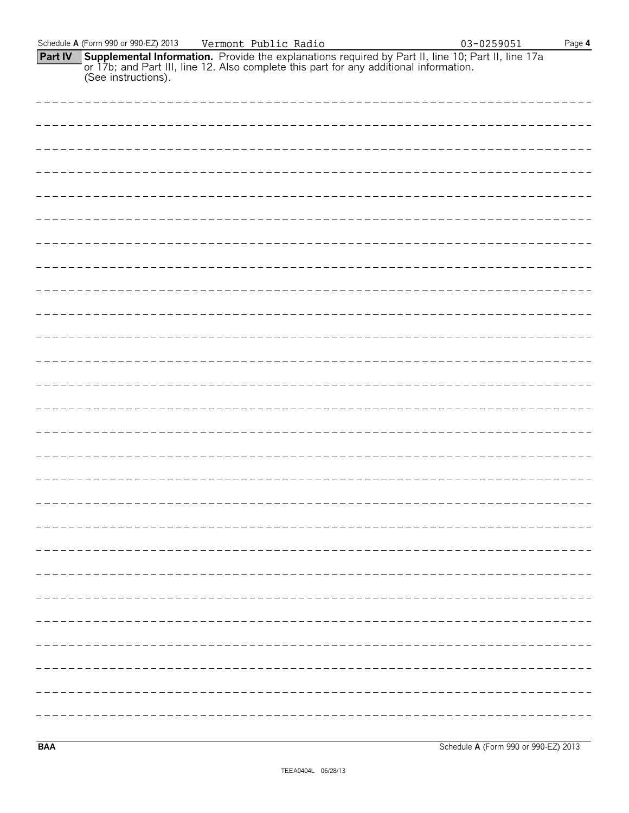|                | Schedule A (Form 990 or 990-EZ) 2013 | Vermont Public Radio                                                                                                                                                                                                 | 03-0259051<br>Page $4$ |
|----------------|--------------------------------------|----------------------------------------------------------------------------------------------------------------------------------------------------------------------------------------------------------------------|------------------------|
| <b>Part IV</b> |                                      | <b>Supplemental Information.</b> Provide the explanations required by Part II, line 10; Part II, line 17a or 17b; and Part III, line 12. Also complete this part for any additional information. (See instructions). |                        |
|                |                                      |                                                                                                                                                                                                                      |                        |
|                |                                      |                                                                                                                                                                                                                      |                        |
|                |                                      |                                                                                                                                                                                                                      |                        |
|                |                                      |                                                                                                                                                                                                                      |                        |
|                |                                      |                                                                                                                                                                                                                      |                        |
|                |                                      |                                                                                                                                                                                                                      |                        |
|                |                                      |                                                                                                                                                                                                                      |                        |
|                |                                      |                                                                                                                                                                                                                      |                        |
|                |                                      |                                                                                                                                                                                                                      |                        |
|                |                                      |                                                                                                                                                                                                                      |                        |
|                |                                      |                                                                                                                                                                                                                      |                        |
|                |                                      |                                                                                                                                                                                                                      |                        |
|                |                                      |                                                                                                                                                                                                                      |                        |
|                |                                      |                                                                                                                                                                                                                      |                        |
|                |                                      |                                                                                                                                                                                                                      |                        |
|                |                                      |                                                                                                                                                                                                                      |                        |
|                |                                      |                                                                                                                                                                                                                      |                        |
|                |                                      |                                                                                                                                                                                                                      |                        |
|                |                                      |                                                                                                                                                                                                                      |                        |
|                | ----------------------------         |                                                                                                                                                                                                                      |                        |
|                |                                      |                                                                                                                                                                                                                      |                        |
|                |                                      |                                                                                                                                                                                                                      |                        |
|                |                                      |                                                                                                                                                                                                                      |                        |
|                |                                      |                                                                                                                                                                                                                      |                        |
|                |                                      |                                                                                                                                                                                                                      |                        |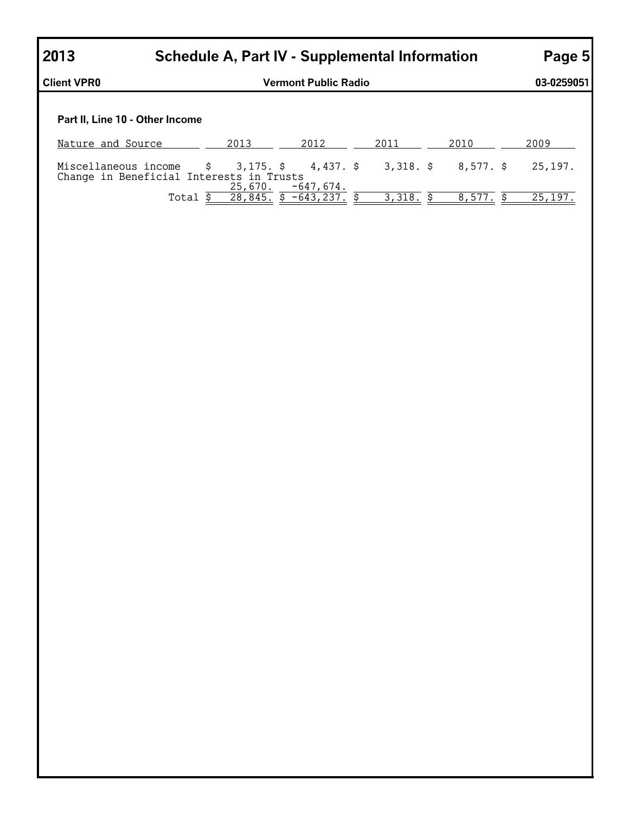| 2013                            |                                          | Schedule A, Part IV - Supplemental Information |                        |                                                |           |         |
|---------------------------------|------------------------------------------|------------------------------------------------|------------------------|------------------------------------------------|-----------|---------|
| <b>Client VPR0</b>              |                                          | <b>Vermont Public Radio</b>                    |                        |                                                |           |         |
| Part II, Line 10 - Other Income |                                          |                                                |                        |                                                |           |         |
| Nature and Source               |                                          | 2013                                           | 2012                   | 2011                                           | 2010      | 2009    |
| Miscellaneous income            | Change in Beneficial Interests in Trusts | 25,670.                                        | $-647.674.$            | $\frac{1}{2}$ \$ 3,175. \$ 4,437. \$ 3,318. \$ | 8,577. \$ | 25.197. |
|                                 | Total                                    |                                                | $28,845.$ \$ -643,237. | 3,318.                                         | 8,577.    | 25,197  |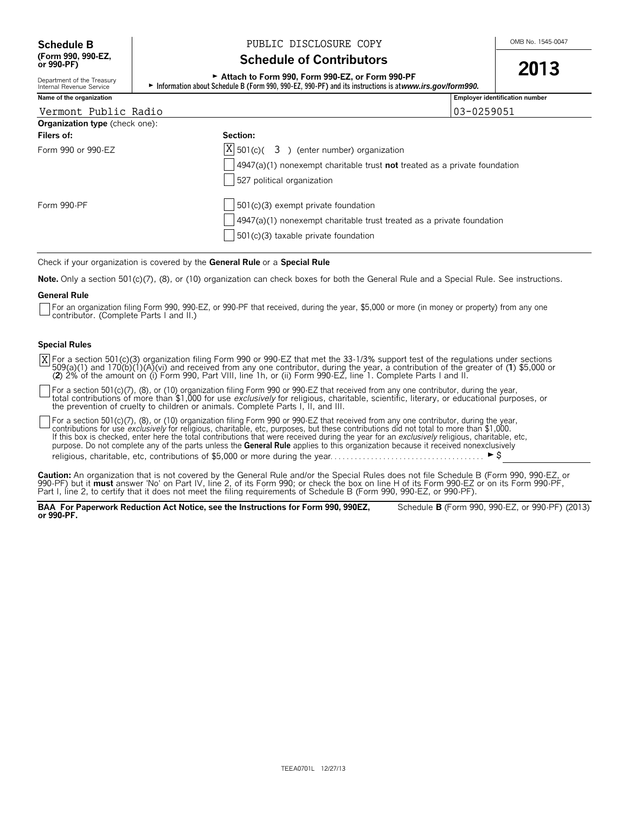Department of the Treasury<br>Internal Revenue Service

## **Schedule B**  $\begin{array}{c|c|c|c|c} & & & \text{PUBLIC DISCLOSURE COPY} \end{array}$

## **Schedule of Contributors**

<sup>G</sup>**Attach to Form 990, Form 990-EZ, or Form 990-PF 2013**

► Information about Schedule B (Form 990, 990-EZ, 990-PF) and its instructions is at *www.irs.gov/form990.* 

| Name of the organization              |                                                                               | <b>Employer identification number</b> |
|---------------------------------------|-------------------------------------------------------------------------------|---------------------------------------|
| Vermont Public Radio                  |                                                                               | 03-0259051                            |
| <b>Organization type</b> (check one): |                                                                               |                                       |
| Filers of:                            | Section:                                                                      |                                       |
| Form 990 or 990-EZ                    | $ X $ 501(c)( 3) (enter number) organization                                  |                                       |
|                                       | $4947(a)(1)$ nonexempt charitable trust not treated as a private foundation   |                                       |
|                                       | 527 political organization                                                    |                                       |
| Form 990-PF                           | $\vert$ 501(c)(3) exempt private foundation                                   |                                       |
|                                       | $\vert$ 4947(a)(1) nonexempt charitable trust treated as a private foundation |                                       |
|                                       | 501(c)(3) taxable private foundation                                          |                                       |

Check if your organization is covered by the **General Rule** or a **Special Rule**.

**Note.** Only a section 501(c)(7), (8), or (10) organization can check boxes for both the General Rule and a Special Rule. See instructions.

### **General Rule**

For an organization filing Form 990, 990-EZ, or 990-PF that received, during the year, \$5,000 or more (in money or property) from any one contributor. (Complete Parts I and II.)

### **Special Rules**

For a section 501(c)(3) organization filing Form 990 or 990-EZ that met the 33-1/3% support test of the regulations under sections<br>509(a)(1) and 170(b)(1)(A)(vi) and received from any one contributor, during the year, a co (**2**) 2% of the amount on (i) Form 990, Part VIII, line 1h, or (ii) Form 990-EZ, line 1. Complete Parts I and II. X

For a section 501(c)(7), (8), or (10) organization filing Form 990 or 990-EZ that received from any one contributor, during the year,<br>total contributions of more than \$1,000 for use *exclusively* for religious, charitable, the prevention of cruelty to children or animals. Complete Parts I, II, and III.

For a section 501(c)(7), (8), or (10) organization filing Form 990 or 990-EZ that received from any one contributor, during the year, contributions for use *exclusively* for religious, charitable, etc, purposes, but these contributions did not total to more than \$1,000.<br>If this box is checked, enter here the total contributions that were received during purpose. Do not complete any of the parts unless the **General Rule** applies to this organization because it received nonexclusively religious, charitable, etc, contributions of \$5,000 or more during the year. . . . . . . . . . . . . . . . . . . . . . . . . . . . . . . . . . . . . . G\$

**Caution:** An organization that is not covered by the General Rule and/or the Special Rules does not file Schedule B (Form 990, 990-EZ, or 990-PF) but it **must** answer 'No' on Part IV, line 2, of its Form 990; or check the box on line H of its Form 990-EZ or on its Form 990-PF,<br>Part I, line 2, to certify that it does not meet the filing requirements of Schedu

**BAA For Paperwork Reduction Act Notice, see the Instructions for Form 990, 990EZ,** Schedule **B** (Form 990, 990-EZ, or 990-PF) (2013) **or 990-PF.**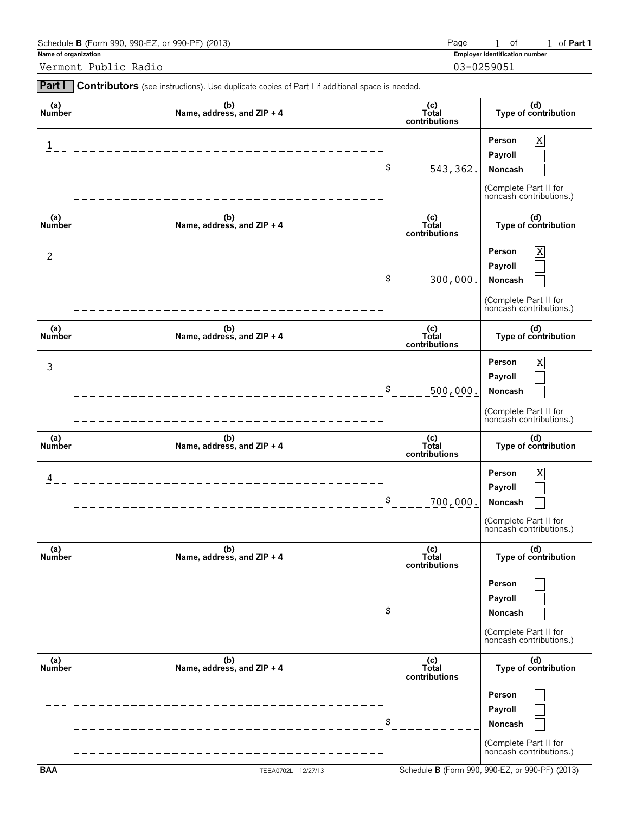| Schedule <b>B</b> (Form 990, 990-EZ, or 990-PF) (2013) | Page                                  |  | of <b>Part 1</b> |
|--------------------------------------------------------|---------------------------------------|--|------------------|
| Name of organization                                   | <b>Employer identification number</b> |  |                  |
| Vermont Public Radio                                   | 103-0259051                           |  |                  |

| Part I                  | Contributors (see instructions). Use duplicate copies of Part I if additional space is needed. |                                 |                                                                                                    |
|-------------------------|------------------------------------------------------------------------------------------------|---------------------------------|----------------------------------------------------------------------------------------------------|
| (a)<br>Number           | (b)<br>Name, address, and ZIP + 4                                                              | (c)<br>Total<br>contributions   | (d)<br>Type of contribution                                                                        |
| $\overline{\mathbf{1}}$ |                                                                                                | 543, 362.                       | X<br>Person<br>Payroll<br>Noncash<br>(Complete Part II for<br>noncash contributions.)              |
| (a)<br>Number           | (b)<br>Name, address, and ZIP + 4                                                              | $(c)$<br>Total<br>contributions | (d)<br>Type of contribution                                                                        |
| $\overline{2}$          |                                                                                                | 300,000.                        | $\overline{X}$<br>Person<br>Payroll<br>Noncash<br>(Complete Part II for<br>noncash contributions.) |
| (a)<br><b>Number</b>    | (b)<br>Name, address, and ZIP + 4                                                              | (c)<br>Total<br>contributions   | (d)<br>Type of contribution                                                                        |
| $\overline{3}$          |                                                                                                | 500,000.                        | $\overline{X}$<br>Person<br>Payroll<br>Noncash<br>(Complete Part II for<br>noncash contributions.) |
| (a)<br>Number           | (b)<br>Name, address, and ZIP + 4                                                              | (c)<br>Total<br>contributions   | (d)<br>Type of contribution                                                                        |
| 4                       |                                                                                                | 700,000.                        | $\overline{X}$<br>Person<br>Payroll<br>Noncash<br>(Complete Part II for<br>noncash contributions.) |
| (a)<br><b>Number</b>    | (b)<br>Name, address, and ZIP + 4                                                              | (c)<br>Total<br>contributions   | (d)<br>Type of contribution                                                                        |
|                         |                                                                                                |                                 | Person<br>Payroll<br>Noncash<br>(Complete Part II for<br>noncash contributions.)                   |
| (a)<br>Number           | (b)<br>Name, address, and ZIP + 4                                                              | (c)<br>Total<br>contributions   | (d)<br>Type of contribution                                                                        |
|                         |                                                                                                |                                 | Person<br>Payroll<br>Noncash<br>(Complete Part II for<br>noncash contributions.)                   |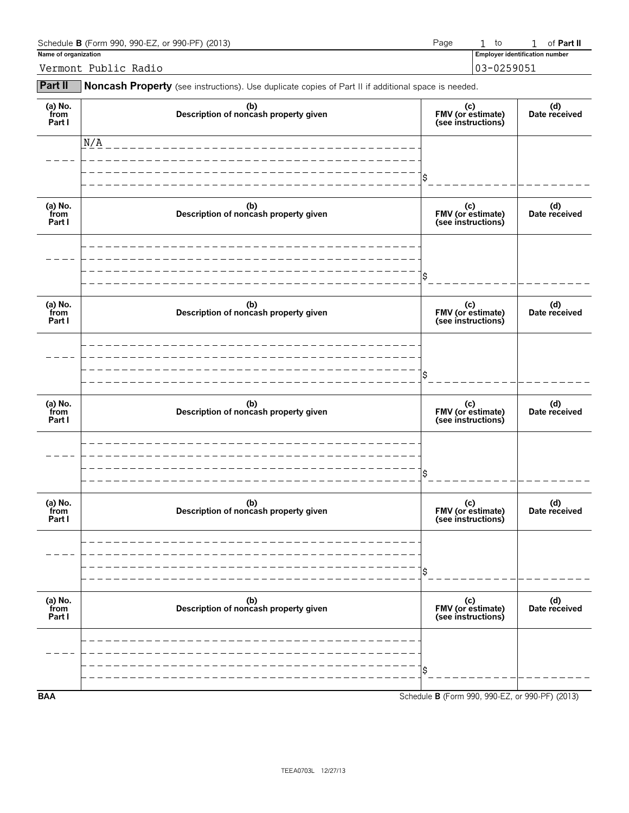| Schedule <b>B</b> (Form 990, 990-EZ, or 990-PF) (2013) | Page                                  |  | to          |  | of <b>Part II</b> |
|--------------------------------------------------------|---------------------------------------|--|-------------|--|-------------------|
| Name of organization                                   | <b>Employer identification number</b> |  |             |  |                   |
| Vermont Public Radio                                   |                                       |  | 103-0259051 |  |                   |

**Part II** Noncash Property (see instructions). Use duplicate copies of Part II if additional space is needed.

| (a) $No.$ from<br>Part I  | (b)<br>Description of noncash property given | (c)<br>FMV (or estimate)<br>(see instructions)  | (d)<br>Date received |
|---------------------------|----------------------------------------------|-------------------------------------------------|----------------------|
|                           | N/A                                          |                                                 |                      |
|                           |                                              | \$                                              |                      |
| (a) No.<br>from<br>Part I | (b)<br>Description of noncash property given | (c)<br>FMV (or estimate)<br>(see instructions)  | (d)<br>Date received |
|                           |                                              |                                                 |                      |
|                           |                                              | \$                                              |                      |
| (a) No.<br>from<br>Part I | (b)<br>Description of noncash property given | (c)<br>FMV (or estimate)<br>(see instructions)  | (d)<br>Date received |
|                           |                                              |                                                 |                      |
|                           |                                              | \$                                              |                      |
| (a) No.<br>from<br>Part I | (b)<br>Description of noncash property given | (c)<br>FMV (or estimate)<br>(see instructions)  | (d)<br>Date received |
|                           |                                              |                                                 |                      |
|                           |                                              | \$                                              |                      |
| (a) No.<br>from<br>Part I | (b)<br>Description of noncash property given | (c)<br>FMV (or estimate)<br>(see instructions)  | (d)<br>Date received |
|                           |                                              |                                                 |                      |
|                           |                                              | \$                                              |                      |
| (a) $No.$ from<br>Part I  | (b)<br>Description of noncash property given | (c)<br>FMV (or estimate)<br>(see instructions)  | (d)<br>Date received |
|                           |                                              |                                                 |                      |
|                           |                                              | \$                                              |                      |
| <b>BAA</b>                |                                              | Schedule B (Form 990, 990-EZ, or 990-PF) (2013) |                      |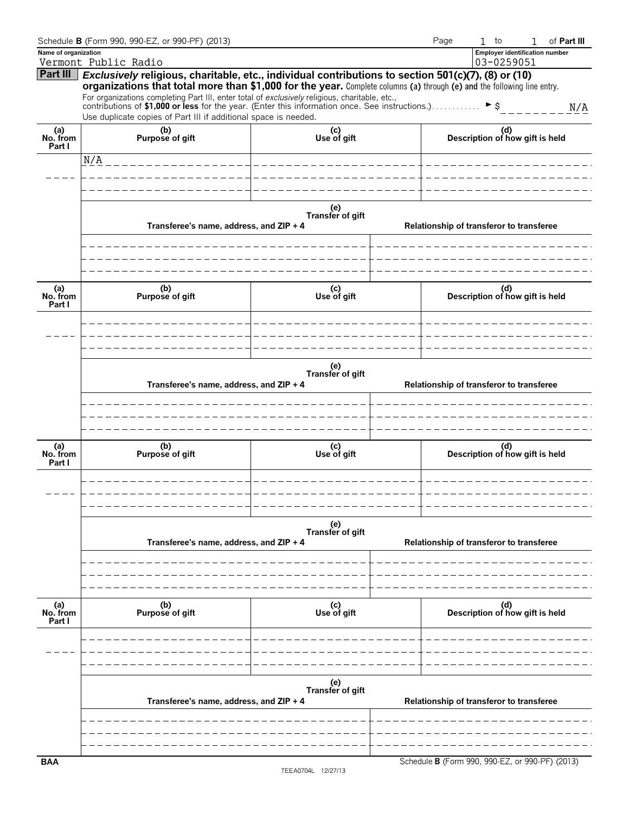|                           | Schedule B (Form 990, 990-EZ, or 990-PF) (2013)                                                                                                                                                                                                                                                                                                                                                                                          |                         | Page                                     | $1$ to<br>of Part III<br>1                      |  |  |  |
|---------------------------|------------------------------------------------------------------------------------------------------------------------------------------------------------------------------------------------------------------------------------------------------------------------------------------------------------------------------------------------------------------------------------------------------------------------------------------|-------------------------|------------------------------------------|-------------------------------------------------|--|--|--|
| Name of organization      |                                                                                                                                                                                                                                                                                                                                                                                                                                          |                         |                                          | <b>Employer identification number</b>           |  |  |  |
|                           | Vermont Public Radio                                                                                                                                                                                                                                                                                                                                                                                                                     |                         |                                          | 03-0259051                                      |  |  |  |
| Part III                  | Exclusively religious, charitable, etc., individual contributions to section 501(c)(7), (8) or (10)<br>organizations that total more than \$1,000 for the year. Complete columns (a) through (e) and the following line entry.<br>For organizations completing Part III, enter total of exclusively religious, charitable, etc.,<br>contributions of \$1,000 or less for the year. (Enter this information once. See instructions.) > \$ |                         |                                          | N/A                                             |  |  |  |
|                           | Use duplicate copies of Part III if additional space is needed.                                                                                                                                                                                                                                                                                                                                                                          |                         |                                          |                                                 |  |  |  |
| (a)<br>No. from<br>Part I | (b)<br>Purpose of gift                                                                                                                                                                                                                                                                                                                                                                                                                   | (c)<br>Use of gift      |                                          | (d)<br>Description of how gift is held          |  |  |  |
|                           | N/A                                                                                                                                                                                                                                                                                                                                                                                                                                      |                         |                                          |                                                 |  |  |  |
|                           |                                                                                                                                                                                                                                                                                                                                                                                                                                          |                         |                                          |                                                 |  |  |  |
|                           | Transferee's name, address, and ZIP + 4                                                                                                                                                                                                                                                                                                                                                                                                  | (e)<br>Transfer of gift |                                          | Relationship of transferor to transferee        |  |  |  |
|                           |                                                                                                                                                                                                                                                                                                                                                                                                                                          |                         |                                          |                                                 |  |  |  |
| (a)<br>No. from<br>Part I | (b)<br>Purpose of gift                                                                                                                                                                                                                                                                                                                                                                                                                   |                         | (d)<br>Description of how gift is held   |                                                 |  |  |  |
|                           |                                                                                                                                                                                                                                                                                                                                                                                                                                          |                         |                                          |                                                 |  |  |  |
|                           | Transferee's name, address, and ZIP + 4                                                                                                                                                                                                                                                                                                                                                                                                  | (e)<br>Transfer of gift |                                          | Relationship of transferor to transferee        |  |  |  |
|                           |                                                                                                                                                                                                                                                                                                                                                                                                                                          |                         |                                          |                                                 |  |  |  |
| (a)<br>No. from<br>Part I | (b)<br>Purpose of gift                                                                                                                                                                                                                                                                                                                                                                                                                   | (c)<br>Use of gift      |                                          | (d)<br>Description of how gift is held          |  |  |  |
|                           |                                                                                                                                                                                                                                                                                                                                                                                                                                          |                         |                                          |                                                 |  |  |  |
|                           | Transferee's name, address, and ZIP + 4                                                                                                                                                                                                                                                                                                                                                                                                  |                         | Relationship of transferor to transferee |                                                 |  |  |  |
|                           |                                                                                                                                                                                                                                                                                                                                                                                                                                          |                         |                                          |                                                 |  |  |  |
|                           |                                                                                                                                                                                                                                                                                                                                                                                                                                          |                         |                                          |                                                 |  |  |  |
| (a)<br>No. from<br>Part I | (b)<br>Purpose of gift                                                                                                                                                                                                                                                                                                                                                                                                                   | (c)<br>Use of gift      |                                          | (d)<br>Description of how gift is held          |  |  |  |
|                           |                                                                                                                                                                                                                                                                                                                                                                                                                                          |                         |                                          |                                                 |  |  |  |
|                           |                                                                                                                                                                                                                                                                                                                                                                                                                                          | (e)<br>Transfer of gift |                                          |                                                 |  |  |  |
|                           | Transferee's name, address, and ZIP + 4                                                                                                                                                                                                                                                                                                                                                                                                  |                         |                                          | Relationship of transferor to transferee        |  |  |  |
|                           |                                                                                                                                                                                                                                                                                                                                                                                                                                          |                         |                                          |                                                 |  |  |  |
| <b>BAA</b>                |                                                                                                                                                                                                                                                                                                                                                                                                                                          |                         |                                          | Schedule B (Form 990, 990-EZ, or 990-PF) (2013) |  |  |  |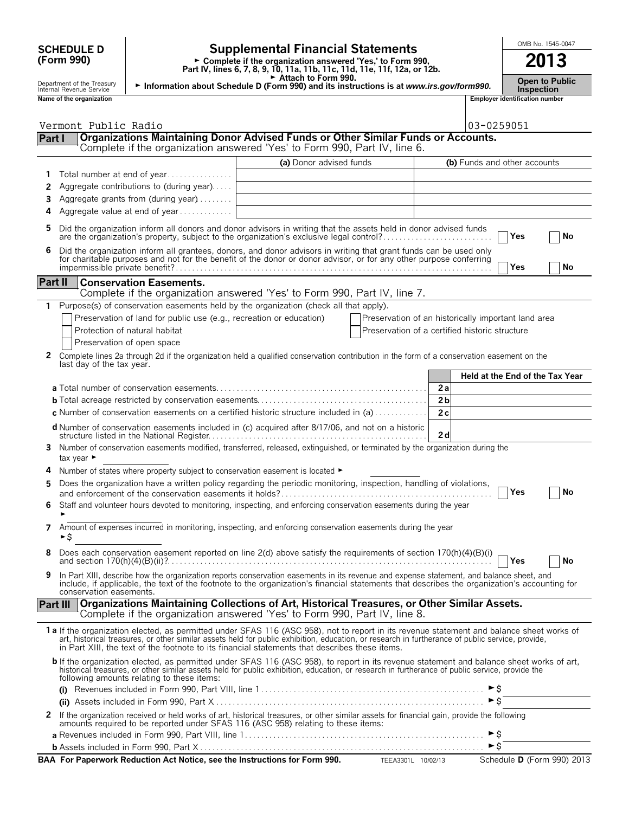| <b>SCHEDULE D</b> |  |
|-------------------|--|
| (Form 990)        |  |

## **SCHEDULE D**  $\begin{bmatrix} 0 \end{bmatrix}$  **Supplemental Financial Statements**  $\begin{bmatrix} 0 \end{bmatrix}$   $\begin{bmatrix} 0 \end{bmatrix}$   $\begin{bmatrix} 0 \end{bmatrix}$

**Part IV, lines 6, 7, 8, 9, 10, 11a, 11b, 11c, 11d, 11e, 11f, 12a, or 12b.**<br>
Part IV, lines 6, 7, 8, 9, 10, 11a, 11b, 11c, 11d, 11e, 11f, 12a, or 12b.

G **Attach to Form 990.** Department of the Treasury **Open to Public** <sup>G</sup> **Information about Schedule D (Form 990) and its instructions is at** *www.irs.gov/form990.* Internal Revenue Service **Inspection**

|          | Name of the organization                                                                                                                                                                                                                                                                                                                                                                       |                         |                                                     |                |                     | <b>Employer identification number</b> |                                 |
|----------|------------------------------------------------------------------------------------------------------------------------------------------------------------------------------------------------------------------------------------------------------------------------------------------------------------------------------------------------------------------------------------------------|-------------------------|-----------------------------------------------------|----------------|---------------------|---------------------------------------|---------------------------------|
|          | Vermont Public Radio                                                                                                                                                                                                                                                                                                                                                                           |                         |                                                     |                | 03-0259051          |                                       |                                 |
| Part I   | Organizations Maintaining Donor Advised Funds or Other Similar Funds or Accounts.<br>Complete if the organization answered 'Yes' to Form 990, Part IV, line 6.                                                                                                                                                                                                                                 |                         |                                                     |                |                     |                                       |                                 |
|          |                                                                                                                                                                                                                                                                                                                                                                                                | (a) Donor advised funds |                                                     |                |                     | (b) Funds and other accounts          |                                 |
| 1        | Total number at end of year                                                                                                                                                                                                                                                                                                                                                                    |                         |                                                     |                |                     |                                       |                                 |
| 2        | Aggregate contributions to (during year)                                                                                                                                                                                                                                                                                                                                                       |                         |                                                     |                |                     |                                       |                                 |
| 3        | Aggregate grants from (during year)                                                                                                                                                                                                                                                                                                                                                            |                         |                                                     |                |                     |                                       |                                 |
| 4        | Aggregate value at end of year                                                                                                                                                                                                                                                                                                                                                                 |                         |                                                     |                |                     |                                       |                                 |
| 5        | Did the organization inform all donors and donor advisors in writing that the assets held in donor advised funds<br>are the organization's property, subject to the organization's exclusive legal control?                                                                                                                                                                                    |                         |                                                     |                |                     | Yes                                   | No                              |
|          | Did the organization inform all grantees, donors, and donor advisors in writing that grant funds can be used only<br>for charitable purposes and not for the benefit of the donor or donor advisor, or for any other purpose conf                                                                                                                                                              |                         |                                                     |                |                     | Yes                                   | No                              |
| Part II  | <b>Conservation Easements.</b>                                                                                                                                                                                                                                                                                                                                                                 |                         |                                                     |                |                     |                                       |                                 |
|          | Complete if the organization answered 'Yes' to Form 990, Part IV, line 7.                                                                                                                                                                                                                                                                                                                      |                         |                                                     |                |                     |                                       |                                 |
|          | Purpose(s) of conservation easements held by the organization (check all that apply).                                                                                                                                                                                                                                                                                                          |                         |                                                     |                |                     |                                       |                                 |
|          | Preservation of land for public use (e.g., recreation or education)                                                                                                                                                                                                                                                                                                                            |                         | Preservation of an historically important land area |                |                     |                                       |                                 |
|          | Protection of natural habitat                                                                                                                                                                                                                                                                                                                                                                  |                         | Preservation of a certified historic structure      |                |                     |                                       |                                 |
|          | Preservation of open space                                                                                                                                                                                                                                                                                                                                                                     |                         |                                                     |                |                     |                                       |                                 |
| 2        | Complete lines 2a through 2d if the organization held a qualified conservation contribution in the form of a conservation easement on the                                                                                                                                                                                                                                                      |                         |                                                     |                |                     |                                       |                                 |
|          | last day of the tax year.                                                                                                                                                                                                                                                                                                                                                                      |                         |                                                     |                |                     |                                       |                                 |
|          |                                                                                                                                                                                                                                                                                                                                                                                                |                         |                                                     |                |                     |                                       | Held at the End of the Tax Year |
|          |                                                                                                                                                                                                                                                                                                                                                                                                |                         |                                                     | 2a             |                     |                                       |                                 |
|          |                                                                                                                                                                                                                                                                                                                                                                                                |                         |                                                     | 2 <sub>b</sub> |                     |                                       |                                 |
|          | c Number of conservation easements on a certified historic structure included in (a)                                                                                                                                                                                                                                                                                                           |                         |                                                     | 2c             |                     |                                       |                                 |
|          | d Number of conservation easements included in (c) acquired after 8/17/06, and not on a historic                                                                                                                                                                                                                                                                                               |                         |                                                     |                |                     |                                       |                                 |
|          |                                                                                                                                                                                                                                                                                                                                                                                                |                         |                                                     | 2d             |                     |                                       |                                 |
|          | 3 Number of conservation easements modified, transferred, released, extinguished, or terminated by the organization during the<br>tax year $\blacktriangleright$                                                                                                                                                                                                                               |                         |                                                     |                |                     |                                       |                                 |
| 4        | Number of states where property subject to conservation easement is located $\blacktriangleright$                                                                                                                                                                                                                                                                                              |                         |                                                     |                |                     |                                       |                                 |
| 5        | Does the organization have a written policy regarding the periodic monitoring, inspection, handling of violations,                                                                                                                                                                                                                                                                             |                         |                                                     |                |                     |                                       |                                 |
|          |                                                                                                                                                                                                                                                                                                                                                                                                |                         |                                                     |                |                     | Yes                                   | No                              |
|          | Staff and volunteer hours devoted to monitoring, inspecting, and enforcing conservation easements during the year                                                                                                                                                                                                                                                                              |                         |                                                     |                |                     |                                       |                                 |
| 7        | Amount of expenses incurred in monitoring, inspecting, and enforcing conservation easements during the year<br>►S                                                                                                                                                                                                                                                                              |                         |                                                     |                |                     |                                       |                                 |
| 8        | Does each conservation easement reported on line 2(d) above satisfy the requirements of section 170(h)(4)(B)(i)                                                                                                                                                                                                                                                                                |                         |                                                     |                |                     | Yes                                   | No                              |
| 9        | In Part XIII, describe how the organization reports conservation easements in its revenue and expense statement, and balance sheet, and<br>include, if applicable, the text of the footnote to the organization's financial statements that describes the organization's accounting for<br>conservation easements.                                                                             |                         |                                                     |                |                     |                                       |                                 |
| Part III | Organizations Maintaining Collections of Art, Historical Treasures, or Other Similar Assets.<br>Complete if the organization answered 'Yes' to Form 990, Part IV, line 8.                                                                                                                                                                                                                      |                         |                                                     |                |                     |                                       |                                 |
|          | 1a If the organization elected, as permitted under SFAS 116 (ASC 958), not to report in its revenue statement and balance sheet works of<br>art, historical treasures, or other similar assets held for public exhibition, education, or research in furtherance of public service, provide,<br>in Part XIII, the text of the footnote to its financial statements that describes these items. |                         |                                                     |                |                     |                                       |                                 |
|          | <b>b</b> If the organization elected, as permitted under SFAS 116 (ASC 958), to report in its revenue statement and balance sheet works of art, historical treasures, or other similar assets held for public exhibition, education<br>following amounts relating to these items:                                                                                                              |                         |                                                     |                |                     |                                       |                                 |
|          |                                                                                                                                                                                                                                                                                                                                                                                                |                         |                                                     |                |                     |                                       |                                 |
|          |                                                                                                                                                                                                                                                                                                                                                                                                |                         |                                                     |                | $\triangleright$ \$ |                                       |                                 |
| 2        | If the organization received or held works of art, historical treasures, or other similar assets for financial gain, provide the following<br>amounts required to be reported under SFAS 116 (ASC 958) relating to these items:                                                                                                                                                                |                         |                                                     |                |                     |                                       |                                 |
|          |                                                                                                                                                                                                                                                                                                                                                                                                |                         |                                                     |                | ► \$                |                                       |                                 |
|          |                                                                                                                                                                                                                                                                                                                                                                                                |                         |                                                     |                | $\triangleright$ \$ |                                       |                                 |
|          | BAA For Paperwork Reduction Act Notice, see the Instructions for Form 990. TEEA3301L 10/02/13                                                                                                                                                                                                                                                                                                  |                         |                                                     |                |                     |                                       | Schedule D (Form 990) 2013      |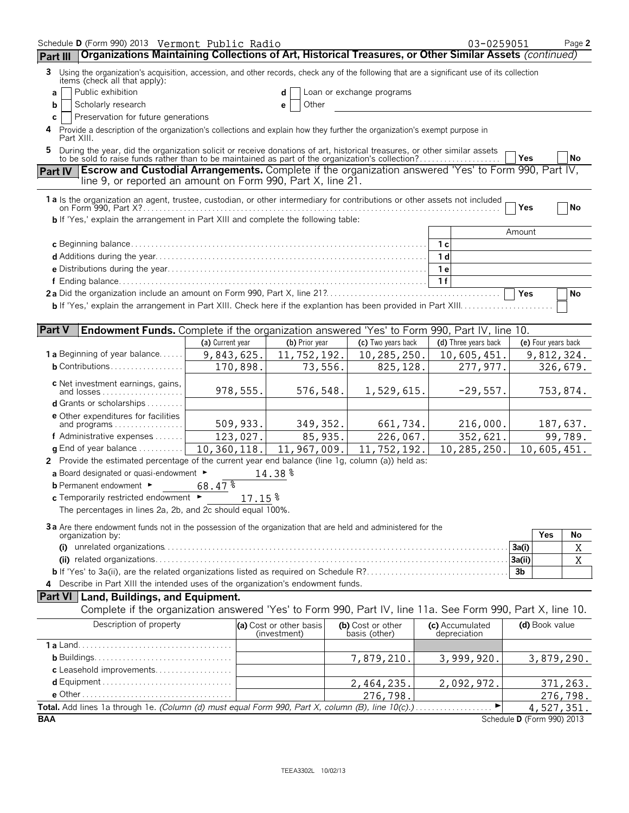| Schedule D (Form 990) 2013 Vermont Public Radio<br>Organizations Maintaining Collections of Art, Historical Treasures, or Other Similar Assets (continued)<br>Part III                                                         |                  |                                         |                                    | 03-0259051                      |                            | Page 2         |
|--------------------------------------------------------------------------------------------------------------------------------------------------------------------------------------------------------------------------------|------------------|-----------------------------------------|------------------------------------|---------------------------------|----------------------------|----------------|
|                                                                                                                                                                                                                                |                  |                                         |                                    |                                 |                            |                |
| 3 Using the organization's acquisition, accession, and other records, check any of the following that are a significant use of its collection<br>items (check all that apply):<br>Public exhibition                            |                  |                                         | Loan or exchange programs          |                                 |                            |                |
| a<br>Scholarly research<br>b                                                                                                                                                                                                   |                  | d<br>Other<br>е                         |                                    |                                 |                            |                |
| Preservation for future generations<br>C                                                                                                                                                                                       |                  |                                         |                                    |                                 |                            |                |
| Provide a description of the organization's collections and explain how they further the organization's exempt purpose in<br>Part XIII.                                                                                        |                  |                                         |                                    |                                 |                            |                |
| During the year, did the organization solicit or receive donations of art, historical treasures, or other similar assets to be sold to raise funds rather than to be maintained as part of the organization's collection?<br>5 |                  |                                         |                                    |                                 | <b>Yes</b>                 | No             |
| Escrow and Custodial Arrangements. Complete if the organization answered 'Yes' to Form 990, Part IV,<br><b>Part IV</b>                                                                                                         |                  |                                         |                                    |                                 |                            |                |
| line 9, or reported an amount on Form 990, Part X, line 21.                                                                                                                                                                    |                  |                                         |                                    |                                 |                            |                |
| 1 a Is the organization an agent, trustee, custodian, or other intermediary for contributions or other assets not included                                                                                                     |                  |                                         |                                    |                                 | Yes                        | No             |
| <b>b</b> If 'Yes,' explain the arrangement in Part XIII and complete the following table:                                                                                                                                      |                  |                                         |                                    |                                 |                            |                |
|                                                                                                                                                                                                                                |                  |                                         |                                    |                                 | Amount                     |                |
|                                                                                                                                                                                                                                |                  |                                         |                                    | 1 <sub>c</sub>                  |                            |                |
|                                                                                                                                                                                                                                |                  |                                         |                                    | 1 <sub>d</sub>                  |                            |                |
|                                                                                                                                                                                                                                |                  |                                         |                                    | 1e                              |                            |                |
|                                                                                                                                                                                                                                |                  |                                         |                                    | 1f                              |                            |                |
|                                                                                                                                                                                                                                |                  |                                         |                                    |                                 | Yes                        | No             |
|                                                                                                                                                                                                                                |                  |                                         |                                    |                                 |                            |                |
|                                                                                                                                                                                                                                |                  |                                         |                                    |                                 |                            |                |
| <b>Part V</b><br><b>Endowment Funds.</b> Complete if the organization answered 'Yes' to Form 990, Part IV, line 10.                                                                                                            |                  |                                         |                                    |                                 |                            |                |
|                                                                                                                                                                                                                                | (a) Current year | (b) Prior year                          | (c) Two years back                 | (d) Three years back            | (e) Four years back        |                |
| <b>1 a</b> Beginning of year balance<br><b>b</b> Contributions                                                                                                                                                                 | 9,843,625.       | 11,752,192.                             | 10,285,250.                        | 10,605,451.                     | 9,812,324.                 |                |
|                                                                                                                                                                                                                                | 170,898.         | 73,556.                                 | 825,128.                           | 277,977.                        |                            | 326,679.       |
| c Net investment earnings, gains,<br>and losses                                                                                                                                                                                | 978,555.         | 576,548.                                | 1,529,615.                         | $-29,557.$                      |                            | 753,874.       |
| <b>d</b> Grants or scholarships $\ldots \ldots$                                                                                                                                                                                |                  |                                         |                                    |                                 |                            |                |
| <b>e</b> Other expenditures for facilities<br>and programs                                                                                                                                                                     | 509,933.         | 349, 352.                               | 661,734.                           | 216,000.                        |                            | 187,637.       |
| f Administrative expenses                                                                                                                                                                                                      | 123,027.         | 85,935.                                 | 226,067.                           | 352,621.                        |                            | 99,789.        |
| <b>g</b> End of year balance $\dots\dots\dots\dots$                                                                                                                                                                            | 10,360,118.      | 11,967,009.                             | 11,752,192.                        | 10,285,250.                     | 10,605,451.                |                |
| 2 Provide the estimated percentage of the current year end balance (line 1g, column (a)) held as:                                                                                                                              |                  |                                         |                                    |                                 |                            |                |
| a Board designated or quasi-endowment $\blacktriangleright$                                                                                                                                                                    |                  | 14.38 <sup>8</sup>                      |                                    |                                 |                            |                |
| <b>b</b> Permanent endowment ►                                                                                                                                                                                                 | 68.47 %          |                                         |                                    |                                 |                            |                |
| c Temporarily restricted endowment ►                                                                                                                                                                                           | 17.15%           |                                         |                                    |                                 |                            |                |
| The percentages in lines 2a, 2b, and 2c should equal 100%.                                                                                                                                                                     |                  |                                         |                                    |                                 |                            |                |
|                                                                                                                                                                                                                                |                  |                                         |                                    |                                 |                            |                |
| 3a Are there endowment funds not in the possession of the organization that are held and administered for the                                                                                                                  |                  |                                         |                                    |                                 | Yes                        | No             |
| organization by:<br>(i)                                                                                                                                                                                                        |                  |                                         |                                    |                                 | 3a(i)                      | $\mathbf X$    |
|                                                                                                                                                                                                                                |                  |                                         |                                    |                                 | 3a(ii)                     | $\overline{X}$ |
|                                                                                                                                                                                                                                |                  |                                         |                                    |                                 | 3 <sub>b</sub>             |                |
| 4 Describe in Part XIII the intended uses of the organization's endowment funds.                                                                                                                                               |                  |                                         |                                    |                                 |                            |                |
| Part VI   Land, Buildings, and Equipment.                                                                                                                                                                                      |                  |                                         |                                    |                                 |                            |                |
| Complete if the organization answered 'Yes' to Form 990, Part IV, line 11a. See Form 990, Part X, line 10.                                                                                                                     |                  |                                         |                                    |                                 |                            |                |
|                                                                                                                                                                                                                                |                  |                                         |                                    |                                 |                            |                |
| Description of property                                                                                                                                                                                                        |                  | (a) Cost or other basis<br>(investment) | (b) Cost or other<br>basis (other) | (c) Accumulated<br>depreciation | (d) Book value             |                |
|                                                                                                                                                                                                                                |                  |                                         |                                    |                                 |                            |                |
|                                                                                                                                                                                                                                |                  |                                         | 7,879,210.                         | 3,999,920.                      |                            | 3,879,290.     |
| c Leasehold improvements                                                                                                                                                                                                       |                  |                                         |                                    |                                 |                            |                |
|                                                                                                                                                                                                                                |                  |                                         | 2,464,235.                         | 2,092,972.                      |                            | 371,263.       |
|                                                                                                                                                                                                                                |                  |                                         | 276,798.                           |                                 |                            | 276,798.       |
| Total. Add lines 1a through 1e. (Column (d) must equal Form 990, Part X, column (B), line 10(c).)                                                                                                                              |                  |                                         |                                    | ▶                               |                            | 4,527,351.     |
| <b>BAA</b>                                                                                                                                                                                                                     |                  |                                         |                                    |                                 | Schedule D (Form 990) 2013 |                |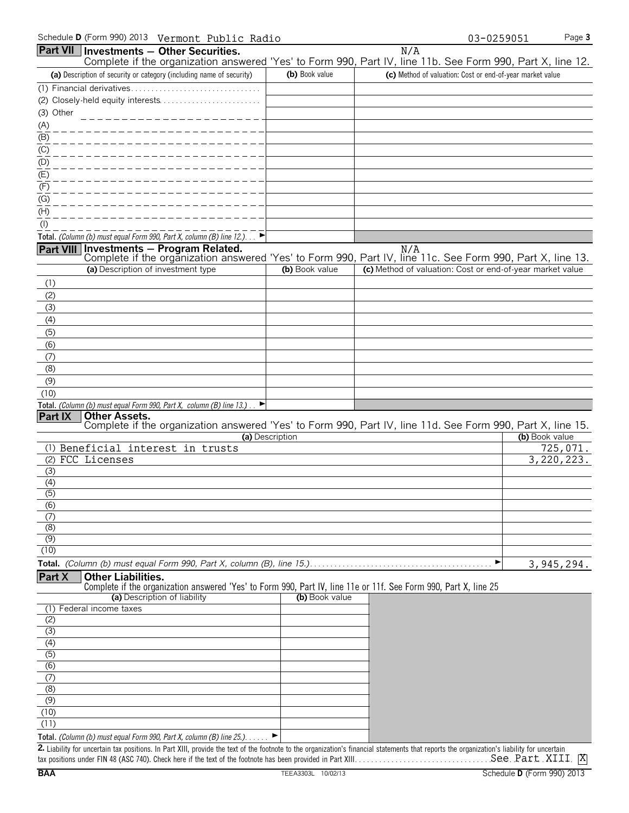|                           |                                    | Part VII Investments - Other Securities.                                                    |                 | N/A                                                                                                               |                          |
|---------------------------|------------------------------------|---------------------------------------------------------------------------------------------|-----------------|-------------------------------------------------------------------------------------------------------------------|--------------------------|
|                           |                                    |                                                                                             |                 | Complete if the organization answered 'Yes' to Form 990, Part IV, line 11b. See Form 990, Part X, line 12.        |                          |
|                           |                                    | (a) Description of security or category (including name of security)                        | (b) Book value  | (c) Method of valuation: Cost or end-of-year market value                                                         |                          |
|                           |                                    |                                                                                             |                 |                                                                                                                   |                          |
|                           |                                    |                                                                                             |                 |                                                                                                                   |                          |
| (3) Other                 |                                    | ___________________                                                                         |                 |                                                                                                                   |                          |
| (A)                       |                                    |                                                                                             |                 |                                                                                                                   |                          |
| (B)                       |                                    |                                                                                             |                 |                                                                                                                   |                          |
| (C)                       |                                    |                                                                                             |                 |                                                                                                                   |                          |
| (D)                       |                                    |                                                                                             |                 |                                                                                                                   |                          |
| $\overline{E}$            |                                    |                                                                                             |                 |                                                                                                                   |                          |
| (F)                       |                                    |                                                                                             |                 |                                                                                                                   |                          |
| (G)                       |                                    |                                                                                             |                 |                                                                                                                   |                          |
| $\overline{(\mathsf{H})}$ |                                    |                                                                                             |                 |                                                                                                                   |                          |
| $($ l $)$                 |                                    |                                                                                             |                 |                                                                                                                   |                          |
|                           |                                    | Total. (Column (b) must equal Form 990, Part X, column (B) line 12.). $\Box$                |                 |                                                                                                                   |                          |
|                           |                                    | Part VIII Investments - Program Related.                                                    |                 | N/A<br>Complete if the organization answered 'Yes' to Form 990, Part IV, line 11c. See Form 990, Part X, line 13. |                          |
|                           | (a) Description of investment type |                                                                                             | (b) Book value  | (c) Method of valuation: Cost or end-of-year market value                                                         |                          |
| (1)                       |                                    |                                                                                             |                 |                                                                                                                   |                          |
|                           |                                    |                                                                                             |                 |                                                                                                                   |                          |
| (2)                       |                                    |                                                                                             |                 |                                                                                                                   |                          |
| (3)                       |                                    |                                                                                             |                 |                                                                                                                   |                          |
| (4)                       |                                    |                                                                                             |                 |                                                                                                                   |                          |
| (5)<br>(6)                |                                    |                                                                                             |                 |                                                                                                                   |                          |
|                           |                                    |                                                                                             |                 |                                                                                                                   |                          |
| (7)<br>(8)                |                                    |                                                                                             |                 |                                                                                                                   |                          |
| (9)                       |                                    |                                                                                             |                 |                                                                                                                   |                          |
| (10)                      |                                    |                                                                                             |                 |                                                                                                                   |                          |
|                           |                                    | Total. (Column (b) must equal Form 990, Part X, column (B) line 13.).                       |                 |                                                                                                                   |                          |
| Part IX                   | <b>Other Assets.</b>               |                                                                                             |                 |                                                                                                                   |                          |
|                           |                                    |                                                                                             |                 | Complete if the organization answered 'Yes' to Form 990, Part IV, line 11d. See Form 990, Part X, line 15.        |                          |
|                           |                                    |                                                                                             | (a) Description |                                                                                                                   | (b) Book value           |
|                           |                                    | (1) Beneficial interest in trusts                                                           |                 |                                                                                                                   | 725,071.<br>3, 220, 223. |
| (3)                       | (2) FCC Licenses                   |                                                                                             |                 |                                                                                                                   |                          |
| (4)                       |                                    |                                                                                             |                 |                                                                                                                   |                          |
| $\overline{(5)}$          |                                    |                                                                                             |                 |                                                                                                                   |                          |
| (6)                       |                                    |                                                                                             |                 |                                                                                                                   |                          |
| (7)                       |                                    |                                                                                             |                 |                                                                                                                   |                          |
| (8)                       |                                    |                                                                                             |                 |                                                                                                                   |                          |
| (9)                       |                                    |                                                                                             |                 |                                                                                                                   |                          |
| (10)                      |                                    |                                                                                             |                 |                                                                                                                   |                          |
|                           |                                    |                                                                                             |                 |                                                                                                                   | 3, 945, 294.             |
| Part X                    | <b>Other Liabilities.</b>          |                                                                                             |                 |                                                                                                                   |                          |
|                           |                                    |                                                                                             |                 | Complete if the organization answered 'Yes' to Form 990, Part IV, line 11e or 11f. See Form 990, Part X, line 25  |                          |
|                           |                                    | (a) Description of liability                                                                | (b) Book value  |                                                                                                                   |                          |
| (1)<br>(2)                | Federal income taxes               |                                                                                             |                 |                                                                                                                   |                          |
| $\overline{3}$            |                                    |                                                                                             |                 |                                                                                                                   |                          |
| (4)                       |                                    |                                                                                             |                 |                                                                                                                   |                          |
| (5)                       |                                    |                                                                                             |                 |                                                                                                                   |                          |
| $\overline{(6)}$          |                                    |                                                                                             |                 |                                                                                                                   |                          |
| (7)                       |                                    |                                                                                             |                 |                                                                                                                   |                          |
| (8)                       |                                    |                                                                                             |                 |                                                                                                                   |                          |
| (9)                       |                                    |                                                                                             |                 |                                                                                                                   |                          |
| (10)                      |                                    |                                                                                             |                 |                                                                                                                   |                          |
| (11)                      |                                    |                                                                                             |                 |                                                                                                                   |                          |
|                           |                                    | Total. (Column (b) must equal Form 990, Part X, column (B) line 25.). $\blacktriangleright$ |                 |                                                                                                                   |                          |

**2.** Liability for uncertain tax positions. In Part XIII, provide the text of the footnote to the organization's financial statements that reports the organization's liability for uncertain tax positions under FIN 48 (ASC 740). Check here if the text of the footnote has been provided in Part XIII. . . . . . . . . . . . . . . . . . . . . . . . . . . . . . . . . . . . . . . . . . . . . . . . . . . . . . X See Part XIII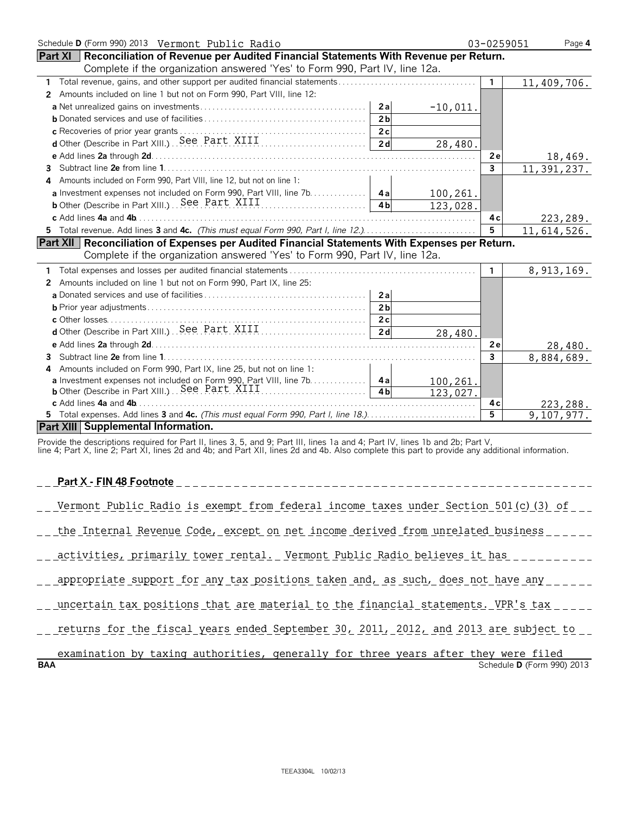| Schedule D (Form 990) 2013 Vermont Public Radio                                                       | 03-0259051                 | Page 4       |              |
|-------------------------------------------------------------------------------------------------------|----------------------------|--------------|--------------|
| <b>Part XI</b> Reconciliation of Revenue per Audited Financial Statements With Revenue per Return.    |                            |              |              |
| Complete if the organization answered 'Yes' to Form 990, Part IV, line 12a.                           |                            |              |              |
|                                                                                                       |                            | $\mathbf{1}$ | 11,409,706.  |
| Amounts included on line 1 but not on Form 990, Part VIII, line 12:<br>$\mathbf{2}^{\prime}$          |                            |              |              |
|                                                                                                       | 2a<br>$-10,011.$           |              |              |
|                                                                                                       | 2 <sub>b</sub>             |              |              |
|                                                                                                       | 2c                         |              |              |
|                                                                                                       | 2d<br>28,480.              |              |              |
|                                                                                                       |                            | 2e           | 18,469.      |
|                                                                                                       |                            | $\mathbf{3}$ | 11,391,237.  |
| Amounts included on Form 990, Part VIII, line 12, but not on line 1:<br>4                             |                            |              |              |
| a Investment expenses not included on Form 990, Part VIII, line 7b. 4a                                | 100,261.                   |              |              |
|                                                                                                       | 4 <sub>h</sub><br>123,028. |              |              |
| c Add lines 4a and 4b.                                                                                |                            | 4c           | 223,289.     |
| 5 Total revenue. Add lines 3 and 4c. (This must equal Form 990, Part I, line 12.)                     |                            | 5            | 11,614,526.  |
| <b>Part XII Reconciliation of Expenses per Audited Financial Statements With Expenses per Return.</b> |                            |              |              |
| Complete if the organization answered 'Yes' to Form 990, Part IV, line 12a.                           |                            |              |              |
|                                                                                                       |                            | 1.           | 8, 913, 169. |
| Amounts included on line 1 but not on Form 990, Part IX, line 25:<br>2                                |                            |              |              |
|                                                                                                       | 2a                         |              |              |
|                                                                                                       | 2 <sub>b</sub>             |              |              |
|                                                                                                       | 2c                         |              |              |
|                                                                                                       | 2d<br>28,480.              |              |              |
|                                                                                                       |                            | 2e           | 28,480.      |
| з.                                                                                                    |                            | 3            | 8,884,689.   |
| Amounts included on Form 990, Part IX, line 25, but not on line 1:                                    |                            |              |              |
| <b>a</b> Investment expenses not included on Form 990, Part VIII, line 7b. 4a                         | 100,261.                   |              |              |
|                                                                                                       | 4 <sub>b</sub><br>123,027. |              |              |
|                                                                                                       |                            | 4 c          | 223,288.     |
|                                                                                                       |                            | 5            | 9,107,977.   |
| Part XIII Supplemental Information.                                                                   |                            |              |              |

Provide the descriptions required for Part II, lines 3, 5, and 9; Part III, lines 1a and 4; Part IV, lines 1b and 2b; Part V,

line 4; Part X, line 2; Part XI, lines 2d and 4b; and Part XII, lines 2d and 4b. Also complete this part to provide any additional information.

## **Part X - FIN 48 Footnote**

|  |  |  |  |  |  |  |  | Vermont Public Radio is exempt from federal income taxes under Section 501(c)(3) of |  |
|--|--|--|--|--|--|--|--|-------------------------------------------------------------------------------------|--|
|--|--|--|--|--|--|--|--|-------------------------------------------------------------------------------------|--|

\_\_ the Internal Revenue Code, except on net income derived from unrelated business \_\_\_\_\_\_

| $\mathcal{N}$ 1 | primarii.<br>v | tower | rental. | Vermont | Public | Radio | ↑ believes | it has |  |  |
|-----------------|----------------|-------|---------|---------|--------|-------|------------|--------|--|--|
|                 |                |       |         |         |        |       |            |        |  |  |

\_\_ appropriate support for any tax positions taken and, as such, does not have any \_\_\_\_\_

...uncertain tax positions that are material to the financial statements. VPR's tax

\_\_ returns for the fiscal years ended September 30, 2011, 2012, and 2013 are subject to \_\_

|            |  | examination by taxing authorities, generally for three years after they were filed |  |  |  |                                   |  |
|------------|--|------------------------------------------------------------------------------------|--|--|--|-----------------------------------|--|
| <b>BAA</b> |  |                                                                                    |  |  |  | Schedule <b>D</b> (Form 990) 2013 |  |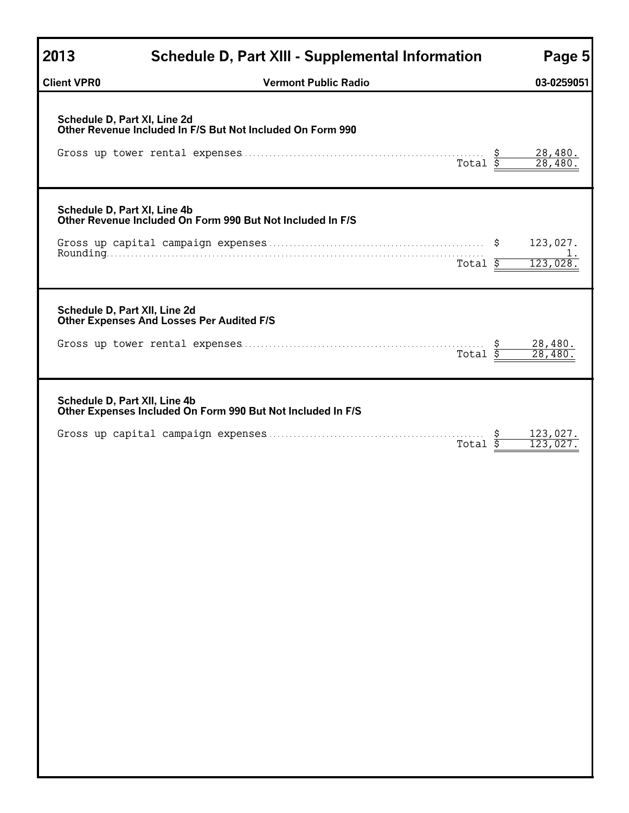| 2013                          | <b>Schedule D, Part XIII - Supplemental Information</b>                                    | Page 5                     |
|-------------------------------|--------------------------------------------------------------------------------------------|----------------------------|
| <b>Client VPR0</b>            | <b>Vermont Public Radio</b>                                                                | 03-0259051                 |
|                               | Schedule D, Part XI, Line 2d<br>Other Revenue Included In F/S But Not Included On Form 990 | $\frac{28,480}{28,480}$ .  |
| Schedule D, Part XI, Line 4b  | Other Revenue Included On Form 990 But Not Included In F/S<br>Total $\overline{\xi}$       | 123,027.<br>123,028        |
| Schedule D, Part XII, Line 2d | <b>Other Expenses And Losses Per Audited F/S</b>                                           |                            |
|                               | Total $\overline{\$}$                                                                      | $\frac{28,480}{28,480}$    |
| Schedule D, Part XII, Line 4b | Other Expenses Included On Form 990 But Not Included In F/S<br>Total                       | <u>123,027.</u><br>123,027 |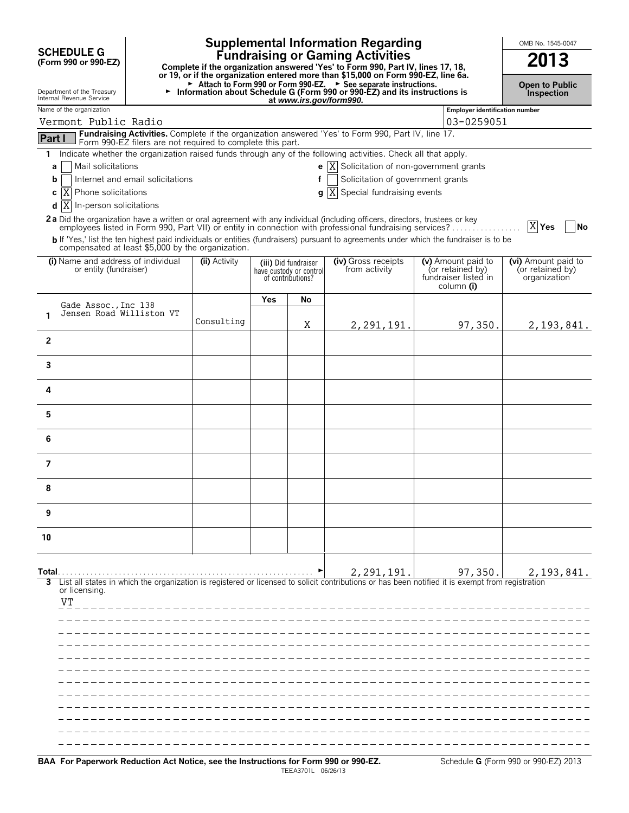|                |                                                                       |                                                            |                                                                                                                                                                                                                 |     |                                                                      | <b>Supplemental Information Regarding</b>                                                                                                                                                                                                      |  |                                                                              | OMB No. 1545-0047                                       |  |  |
|----------------|-----------------------------------------------------------------------|------------------------------------------------------------|-----------------------------------------------------------------------------------------------------------------------------------------------------------------------------------------------------------------|-----|----------------------------------------------------------------------|------------------------------------------------------------------------------------------------------------------------------------------------------------------------------------------------------------------------------------------------|--|------------------------------------------------------------------------------|---------------------------------------------------------|--|--|
|                | <b>SCHEDULE G</b><br>(Form 990 or 990-EZ)                             |                                                            | <b>Fundraising or Gaming Activities</b><br>Complete if the organization answered 'Yes' to Form 990, Part IV, lines 17, 18,<br>or 19, or if the organization entered more than \$15,000 on Form 990-EZ, line 6a. |     |                                                                      |                                                                                                                                                                                                                                                |  |                                                                              |                                                         |  |  |
|                | Department of the Treasury<br>Internal Revenue Service                |                                                            |                                                                                                                                                                                                                 |     |                                                                      | Attach to Form 990 or Form 990-EZ. > See separate instructions.<br>Information about Schedule G (Form 990 or 990-EZ) and its instructions is<br>at www.irs.gov/form990.                                                                        |  |                                                                              | <b>Open to Public</b><br><b>Inspection</b>              |  |  |
|                | Name of the organization<br>Vermont Public Radio                      |                                                            |                                                                                                                                                                                                                 |     |                                                                      |                                                                                                                                                                                                                                                |  | <b>Employer identification number</b><br>03-0259051                          |                                                         |  |  |
| Part I         |                                                                       |                                                            |                                                                                                                                                                                                                 |     |                                                                      | Fundraising Activities. Complete if the organization answered 'Yes' to Form 990, Part IV, line 17.                                                                                                                                             |  |                                                                              |                                                         |  |  |
| 1.             |                                                                       | Form 990-EZ filers are not required to complete this part. |                                                                                                                                                                                                                 |     |                                                                      | Indicate whether the organization raised funds through any of the following activities. Check all that apply.                                                                                                                                  |  |                                                                              |                                                         |  |  |
| a              | Mail solicitations                                                    |                                                            |                                                                                                                                                                                                                 |     |                                                                      | e $ X $ Solicitation of non-government grants                                                                                                                                                                                                  |  |                                                                              |                                                         |  |  |
| b              | Solicitation of government grants<br>Internet and email solicitations |                                                            |                                                                                                                                                                                                                 |     |                                                                      |                                                                                                                                                                                                                                                |  |                                                                              |                                                         |  |  |
| IX<br>с        | Phone solicitations                                                   |                                                            |                                                                                                                                                                                                                 |     |                                                                      | $\mathbf{g}$ $\overline{X}$ Special fundraising events                                                                                                                                                                                         |  |                                                                              |                                                         |  |  |
| X <br>d        | In-person solicitations                                               |                                                            |                                                                                                                                                                                                                 |     |                                                                      |                                                                                                                                                                                                                                                |  |                                                                              |                                                         |  |  |
|                |                                                                       |                                                            |                                                                                                                                                                                                                 |     |                                                                      | <b>2a</b> Did the organization have a written or oral agreement with any individual (including officers, directors, trustees or key<br>employees listed in Form 990, Part VII) or entity in connection with professional fundraising services? |  |                                                                              | X Yes<br>No                                             |  |  |
|                |                                                                       | compensated at least \$5,000 by the organization.          |                                                                                                                                                                                                                 |     |                                                                      | b If 'Yes,' list the ten highest paid individuals or entities (fundraisers) pursuant to agreements under which the fundraiser is to be                                                                                                         |  |                                                                              |                                                         |  |  |
|                | or entity (fundraiser)                                                | (i) Name and address of individual                         | (ii) Activity                                                                                                                                                                                                   |     | (iii) Did fundraiser<br>have custody or control<br>of contributions? | (iv) Gross receipts<br>from activity                                                                                                                                                                                                           |  | (v) Amount paid to<br>(or retained by)<br>fundraiser listed in<br>column (i) | (vi) Amount paid to<br>(or retained by)<br>organization |  |  |
|                |                                                                       |                                                            |                                                                                                                                                                                                                 | Yes | No                                                                   |                                                                                                                                                                                                                                                |  |                                                                              |                                                         |  |  |
| 1              | Gade Assoc., Inc 138                                                  | Jensen Road Williston VT                                   |                                                                                                                                                                                                                 |     |                                                                      |                                                                                                                                                                                                                                                |  |                                                                              |                                                         |  |  |
|                |                                                                       |                                                            | Consulting                                                                                                                                                                                                      |     | Χ                                                                    | 2,291,191.                                                                                                                                                                                                                                     |  | 97,350.                                                                      | 2, 193, 841.                                            |  |  |
| $\overline{2}$ |                                                                       |                                                            |                                                                                                                                                                                                                 |     |                                                                      |                                                                                                                                                                                                                                                |  |                                                                              |                                                         |  |  |
| 3              |                                                                       |                                                            |                                                                                                                                                                                                                 |     |                                                                      |                                                                                                                                                                                                                                                |  |                                                                              |                                                         |  |  |
| 4              |                                                                       |                                                            |                                                                                                                                                                                                                 |     |                                                                      |                                                                                                                                                                                                                                                |  |                                                                              |                                                         |  |  |
| 5              |                                                                       |                                                            |                                                                                                                                                                                                                 |     |                                                                      |                                                                                                                                                                                                                                                |  |                                                                              |                                                         |  |  |
| 6              |                                                                       |                                                            |                                                                                                                                                                                                                 |     |                                                                      |                                                                                                                                                                                                                                                |  |                                                                              |                                                         |  |  |
| 7              |                                                                       |                                                            |                                                                                                                                                                                                                 |     |                                                                      |                                                                                                                                                                                                                                                |  |                                                                              |                                                         |  |  |
| 8              |                                                                       |                                                            |                                                                                                                                                                                                                 |     |                                                                      |                                                                                                                                                                                                                                                |  |                                                                              |                                                         |  |  |
| 9              |                                                                       |                                                            |                                                                                                                                                                                                                 |     |                                                                      |                                                                                                                                                                                                                                                |  |                                                                              |                                                         |  |  |
| 10             |                                                                       |                                                            |                                                                                                                                                                                                                 |     |                                                                      |                                                                                                                                                                                                                                                |  |                                                                              |                                                         |  |  |
| Total.         |                                                                       |                                                            |                                                                                                                                                                                                                 |     |                                                                      | 2,291,191.                                                                                                                                                                                                                                     |  | 97,350.                                                                      | 2, 193, 841.                                            |  |  |
|                | or licensing.                                                         |                                                            |                                                                                                                                                                                                                 |     |                                                                      | List all states in which the organization is registered or licensed to solicit contributions or has been notified it is exempt from registration                                                                                               |  |                                                                              |                                                         |  |  |
| VT             |                                                                       |                                                            |                                                                                                                                                                                                                 |     |                                                                      |                                                                                                                                                                                                                                                |  |                                                                              |                                                         |  |  |
|                |                                                                       |                                                            |                                                                                                                                                                                                                 |     |                                                                      |                                                                                                                                                                                                                                                |  |                                                                              |                                                         |  |  |
|                |                                                                       |                                                            |                                                                                                                                                                                                                 |     |                                                                      |                                                                                                                                                                                                                                                |  |                                                                              |                                                         |  |  |
|                |                                                                       |                                                            |                                                                                                                                                                                                                 |     |                                                                      |                                                                                                                                                                                                                                                |  |                                                                              |                                                         |  |  |
|                |                                                                       |                                                            |                                                                                                                                                                                                                 |     |                                                                      |                                                                                                                                                                                                                                                |  |                                                                              |                                                         |  |  |
|                |                                                                       |                                                            |                                                                                                                                                                                                                 |     |                                                                      |                                                                                                                                                                                                                                                |  |                                                                              |                                                         |  |  |
|                |                                                                       |                                                            |                                                                                                                                                                                                                 |     |                                                                      |                                                                                                                                                                                                                                                |  |                                                                              |                                                         |  |  |
|                |                                                                       |                                                            |                                                                                                                                                                                                                 |     |                                                                      |                                                                                                                                                                                                                                                |  |                                                                              |                                                         |  |  |
|                |                                                                       |                                                            |                                                                                                                                                                                                                 |     |                                                                      |                                                                                                                                                                                                                                                |  |                                                                              |                                                         |  |  |
|                |                                                                       |                                                            |                                                                                                                                                                                                                 |     |                                                                      |                                                                                                                                                                                                                                                |  |                                                                              |                                                         |  |  |
|                |                                                                       |                                                            |                                                                                                                                                                                                                 |     |                                                                      |                                                                                                                                                                                                                                                |  |                                                                              |                                                         |  |  |

 $\overline{\phantom{a}}$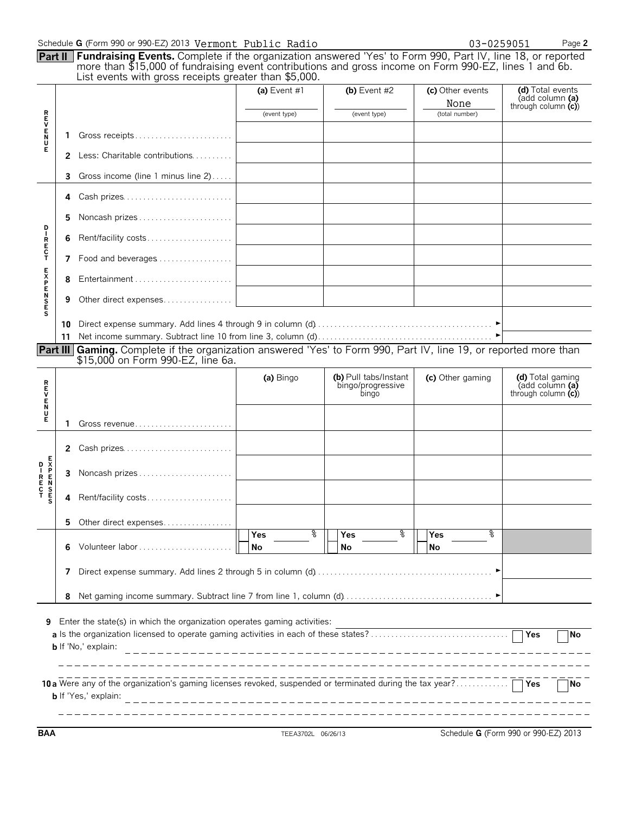|                  |                       | Schedule G (Form 990 or 990-EZ) 2013 Vermont Public Radio                                                                                                                                                                                                                             |                |                                                     | 03-0259051               | Page 2                                                      |
|------------------|-----------------------|---------------------------------------------------------------------------------------------------------------------------------------------------------------------------------------------------------------------------------------------------------------------------------------|----------------|-----------------------------------------------------|--------------------------|-------------------------------------------------------------|
|                  |                       | Part II Fundraising Events. Complete if the organization answered 'Yes' to Form 990, Part IV, line 18, or reported<br>more than \$15,000 of fundraising event contributions and gross income on Form 990-EZ, lines 1 and 6b.<br>List events with gross receipts greater than \$5,000. |                |                                                     |                          |                                                             |
|                  |                       |                                                                                                                                                                                                                                                                                       | (a) Event $#1$ | (b) Event $#2$                                      | (c) Other events<br>None | (d) Total events<br>(add column (a)<br>through column $(c)$ |
| <b>REVEND</b>    |                       |                                                                                                                                                                                                                                                                                       | (event type)   | (event type)                                        | (total number)           |                                                             |
|                  | 1.                    | Gross receipts                                                                                                                                                                                                                                                                        |                |                                                     |                          |                                                             |
|                  |                       | <b>2</b> Less: Charitable contributions                                                                                                                                                                                                                                               |                |                                                     |                          |                                                             |
|                  | 3                     | Gross income (line 1 minus line 2)                                                                                                                                                                                                                                                    |                |                                                     |                          |                                                             |
|                  | 4                     | Cash prizes                                                                                                                                                                                                                                                                           |                |                                                     |                          |                                                             |
|                  | 5                     | Noncash prizes                                                                                                                                                                                                                                                                        |                |                                                     |                          |                                                             |
|                  | 6                     | Rent/facility costs                                                                                                                                                                                                                                                                   |                |                                                     |                          |                                                             |
| R<br>E<br>C<br>T |                       | 7 Food and beverages                                                                                                                                                                                                                                                                  |                |                                                     |                          |                                                             |
|                  | 8                     |                                                                                                                                                                                                                                                                                       |                |                                                     |                          |                                                             |
| <b>EXPENSES</b>  | 9                     | Other direct expenses                                                                                                                                                                                                                                                                 |                |                                                     |                          |                                                             |
|                  | 11<br><b>Part III</b> | Gaming. Complete if the organization answered 'Yes' to Form 990, Part IV, line 19, or reported more than<br>\$15,000 on Form 990-EZ, line 6a.                                                                                                                                         |                |                                                     |                          |                                                             |
|                  |                       |                                                                                                                                                                                                                                                                                       | (a) Bingo      | (b) Pull tabs/Instant<br>bingo/progressive<br>bingo | (c) Other gaming         | (d) Total gaming<br>(add column (a)<br>through column $(c)$ |
| <b>MANUM</b>     | 1.                    | Gross revenue                                                                                                                                                                                                                                                                         |                |                                                     |                          |                                                             |
|                  |                       | 2 Cash prizes                                                                                                                                                                                                                                                                         |                |                                                     |                          |                                                             |
| <b>DENDAN</b>    | 3                     | Noncash prizes                                                                                                                                                                                                                                                                        |                |                                                     |                          |                                                             |
|                  | 4                     | Rent/facility costs                                                                                                                                                                                                                                                                   |                |                                                     |                          |                                                             |
|                  |                       |                                                                                                                                                                                                                                                                                       |                |                                                     |                          |                                                             |
|                  | 5                     |                                                                                                                                                                                                                                                                                       |                |                                                     |                          |                                                             |
|                  | 6                     | Other direct expenses                                                                                                                                                                                                                                                                 | ႜ<br>Yes<br>No | ႜ<br>Yes<br>No                                      | °<br>Yes<br>No           |                                                             |
|                  | 7                     |                                                                                                                                                                                                                                                                                       |                |                                                     |                          |                                                             |
|                  | 8                     |                                                                                                                                                                                                                                                                                       |                |                                                     |                          |                                                             |

**BAA** TEEA3702L 06/26/13 Schedule **G** (Form 990 or 990-EZ) 2013

- - - - - - - -

 $-$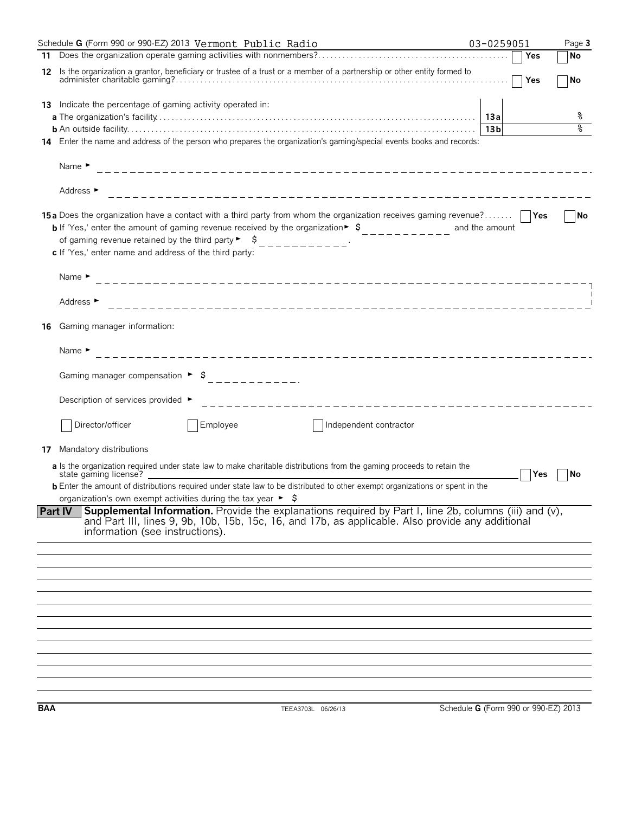|            | Schedule G (Form 990 or 990-EZ) 2013 Vermont Public Radio                                                                                                                                                                                                                                                                                                                                                                                                                                   | 03-0259051                           |     | Page 3            |
|------------|---------------------------------------------------------------------------------------------------------------------------------------------------------------------------------------------------------------------------------------------------------------------------------------------------------------------------------------------------------------------------------------------------------------------------------------------------------------------------------------------|--------------------------------------|-----|-------------------|
|            |                                                                                                                                                                                                                                                                                                                                                                                                                                                                                             |                                      | Yes | ∣No               |
| 12         | Is the organization a grantor, beneficiary or trustee of a trust or a member of a partnership or other entity formed to                                                                                                                                                                                                                                                                                                                                                                     |                                      | Yes | <b>No</b>         |
|            | <b>13</b> Indicate the percentage of gaming activity operated in:                                                                                                                                                                                                                                                                                                                                                                                                                           |                                      |     |                   |
|            |                                                                                                                                                                                                                                                                                                                                                                                                                                                                                             |                                      |     | ိဝ                |
|            |                                                                                                                                                                                                                                                                                                                                                                                                                                                                                             | 13 bl                                |     | ०१०               |
|            | 14 Enter the name and address of the person who prepares the organization's gaming/special events books and records:                                                                                                                                                                                                                                                                                                                                                                        |                                      |     |                   |
|            | Name $\blacktriangleright$                                                                                                                                                                                                                                                                                                                                                                                                                                                                  |                                      |     |                   |
|            | Address ►                                                                                                                                                                                                                                                                                                                                                                                                                                                                                   |                                      |     |                   |
|            | 15a Does the organization have a contact with a third party from whom the organization receives gaming revenue?     Yes<br><b>b</b> If 'Yes,' enter the amount of gaming revenue received by the organization $\frac{1}{2}$ , $\frac{1}{2}$ , $\frac{1}{2}$ , $\frac{1}{2}$ , $\frac{1}{2}$ , and the amount<br>of gaming revenue retained by the third party $\begin{bmatrix} 1 & 1 \\ 2 & -1 & -1 \\ 3 & -1 & -1 \end{bmatrix}$<br>c If 'Yes,' enter name and address of the third party: |                                      |     | $\blacksquare$ No |
|            | Name $\blacktriangleright$                                                                                                                                                                                                                                                                                                                                                                                                                                                                  |                                      |     |                   |
|            | Address ►                                                                                                                                                                                                                                                                                                                                                                                                                                                                                   |                                      |     |                   |
| 16         | Gaming manager information:                                                                                                                                                                                                                                                                                                                                                                                                                                                                 |                                      |     |                   |
|            | Name $\blacktriangleright$                                                                                                                                                                                                                                                                                                                                                                                                                                                                  |                                      |     |                   |
|            | Gaming manager compensation $\triangleright$ $\zeta$ _____________                                                                                                                                                                                                                                                                                                                                                                                                                          |                                      |     |                   |
|            | Description of services provided ►                                                                                                                                                                                                                                                                                                                                                                                                                                                          |                                      |     |                   |
|            | Director/officer<br>Employee<br>Independent contractor                                                                                                                                                                                                                                                                                                                                                                                                                                      |                                      |     |                   |
| 17         | Mandatory distributions                                                                                                                                                                                                                                                                                                                                                                                                                                                                     |                                      |     |                   |
|            | a Is the organization required under state law to make charitable distributions from the gaming proceeds to retain the                                                                                                                                                                                                                                                                                                                                                                      |                                      |     |                   |
|            | state gaming license?<br><b>b</b> Enter the amount of distributions required under state law to be distributed to other exempt organizations or spent in the                                                                                                                                                                                                                                                                                                                                |                                      | Yes | No                |
|            | organization's own exempt activities during the tax year $\blacktriangleright$ $\blacklozenge$                                                                                                                                                                                                                                                                                                                                                                                              |                                      |     |                   |
|            | <b>Supplemental Information.</b> Provide the explanations required by Part I, line 2b, columns (iii) and $(v)$ ,<br><b>Part IV</b><br>and Part III, lines 9, 9b, 10b, 15b, 15c, 16, and 17b, as applicable. Also provide any additional<br>information (see instructions).                                                                                                                                                                                                                  |                                      |     |                   |
|            |                                                                                                                                                                                                                                                                                                                                                                                                                                                                                             |                                      |     |                   |
|            |                                                                                                                                                                                                                                                                                                                                                                                                                                                                                             |                                      |     |                   |
|            |                                                                                                                                                                                                                                                                                                                                                                                                                                                                                             |                                      |     |                   |
|            |                                                                                                                                                                                                                                                                                                                                                                                                                                                                                             |                                      |     |                   |
|            |                                                                                                                                                                                                                                                                                                                                                                                                                                                                                             |                                      |     |                   |
|            |                                                                                                                                                                                                                                                                                                                                                                                                                                                                                             |                                      |     |                   |
|            |                                                                                                                                                                                                                                                                                                                                                                                                                                                                                             |                                      |     |                   |
|            |                                                                                                                                                                                                                                                                                                                                                                                                                                                                                             |                                      |     |                   |
|            |                                                                                                                                                                                                                                                                                                                                                                                                                                                                                             |                                      |     |                   |
|            |                                                                                                                                                                                                                                                                                                                                                                                                                                                                                             |                                      |     |                   |
|            |                                                                                                                                                                                                                                                                                                                                                                                                                                                                                             |                                      |     |                   |
| <b>BAA</b> | TEEA3703L 06/26/13                                                                                                                                                                                                                                                                                                                                                                                                                                                                          | Schedule G (Form 990 or 990-EZ) 2013 |     |                   |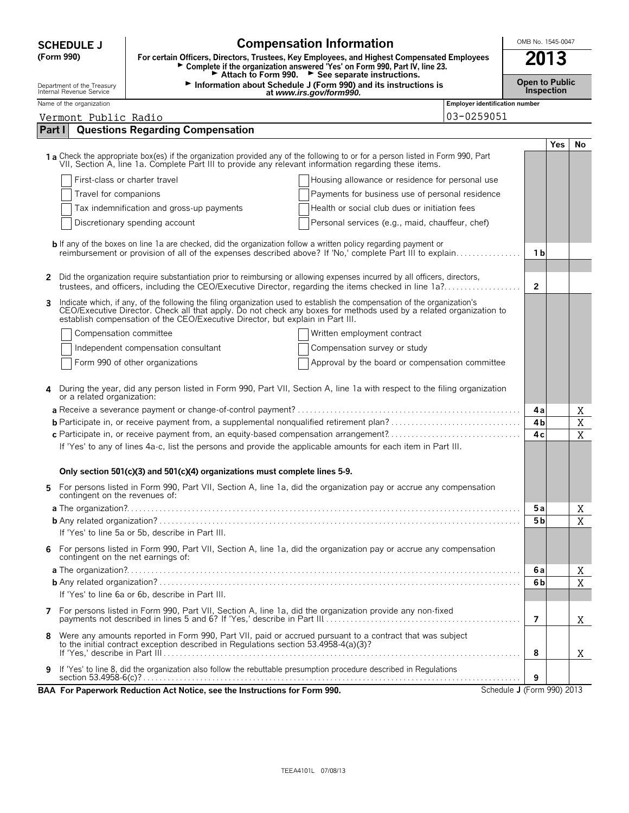| <b>Compensation Information</b><br><b>SCHEDULE J</b>   |                                                                                                                                                                                                                                                                                                                                   |                                       |                                     | OMB No. 1545-0047 |             |  |
|--------------------------------------------------------|-----------------------------------------------------------------------------------------------------------------------------------------------------------------------------------------------------------------------------------------------------------------------------------------------------------------------------------|---------------------------------------|-------------------------------------|-------------------|-------------|--|
| (Form 990)                                             | 2013<br>For certain Officers, Directors, Trustees, Key Employees, and Highest Compensated Employees<br>Complete if the organization answered 'Yes' on Form 990, Part IV, line 23.<br>Attach to Form 990. > See separate instructions.                                                                                             |                                       |                                     |                   |             |  |
| Department of the Treasury<br>Internal Revenue Service | Information about Schedule J (Form 990) and its instructions is<br>at www.irs.gov/form990.                                                                                                                                                                                                                                        |                                       | <b>Open to Public</b><br>Inspection |                   |             |  |
| Name of the organization                               |                                                                                                                                                                                                                                                                                                                                   | <b>Employer identification number</b> |                                     |                   |             |  |
| Vermont Public Radio                                   |                                                                                                                                                                                                                                                                                                                                   | 03-0259051                            |                                     |                   |             |  |
| Part I                                                 | <b>Questions Regarding Compensation</b>                                                                                                                                                                                                                                                                                           |                                       |                                     |                   |             |  |
|                                                        | 1 a Check the appropriate box(es) if the organization provided any of the following to or for a person listed in Form 990, Part<br>VII, Section A, line 1a. Complete Part III to provide any relevant information regarding these items.                                                                                          |                                       |                                     | Yes               | No          |  |
|                                                        | First-class or charter travel<br>Housing allowance or residence for personal use                                                                                                                                                                                                                                                  |                                       |                                     |                   |             |  |
| Travel for companions                                  | Payments for business use of personal residence                                                                                                                                                                                                                                                                                   |                                       |                                     |                   |             |  |
|                                                        | Tax indemnification and gross-up payments<br>Health or social club dues or initiation fees                                                                                                                                                                                                                                        |                                       |                                     |                   |             |  |
|                                                        | Discretionary spending account<br>Personal services (e.g., maid, chauffeur, chef)                                                                                                                                                                                                                                                 |                                       |                                     |                   |             |  |
|                                                        |                                                                                                                                                                                                                                                                                                                                   |                                       |                                     |                   |             |  |
|                                                        | <b>b</b> If any of the boxes on line 1a are checked, did the organization follow a written policy regarding payment or<br>reimbursement or provision of all of the expenses described above? If 'No,' complete Part III to explain                                                                                                |                                       | 1 b                                 |                   |             |  |
| 2                                                      | Did the organization require substantiation prior to reimbursing or allowing expenses incurred by all officers, directors,<br>trustees, and officers, including the CEO/Executive Director, regarding the items checked in line 1a?                                                                                               |                                       | $\overline{2}$                      |                   |             |  |
| 3                                                      | Indicate which, if any, of the following the filing organization used to establish the compensation of the organization's<br>CEO/Executive Director. Check all that apply. Do not check any boxes for methods used by a related organization to<br>establish compensation of the CEO/Executive Director, but explain in Part III. |                                       |                                     |                   |             |  |
| Compensation committee                                 | Written employment contract                                                                                                                                                                                                                                                                                                       |                                       |                                     |                   |             |  |
|                                                        | Independent compensation consultant<br>Compensation survey or study                                                                                                                                                                                                                                                               |                                       |                                     |                   |             |  |
|                                                        | Form 990 of other organizations<br>Approval by the board or compensation committee                                                                                                                                                                                                                                                |                                       |                                     |                   |             |  |
| or a related organization:                             | During the year, did any person listed in Form 990, Part VII, Section A, line 1a with respect to the filing organization                                                                                                                                                                                                          |                                       |                                     |                   |             |  |
|                                                        |                                                                                                                                                                                                                                                                                                                                   |                                       | 4а                                  |                   | Χ           |  |
|                                                        |                                                                                                                                                                                                                                                                                                                                   |                                       | 4 <sub>b</sub>                      |                   | $\mathbf X$ |  |
|                                                        |                                                                                                                                                                                                                                                                                                                                   |                                       | 4 <sub>c</sub>                      |                   | X           |  |
|                                                        | If 'Yes' to any of lines 4a-c, list the persons and provide the applicable amounts for each item in Part III.                                                                                                                                                                                                                     |                                       |                                     |                   |             |  |
|                                                        | Only section 501(c)(3) and 501(c)(4) organizations must complete lines 5-9.                                                                                                                                                                                                                                                       |                                       |                                     |                   |             |  |
| contingent on the revenues of:                         | For persons listed in Form 990, Part VII, Section A, line 1a, did the organization pay or accrue any compensation                                                                                                                                                                                                                 |                                       |                                     |                   |             |  |
|                                                        |                                                                                                                                                                                                                                                                                                                                   |                                       | 5 a                                 |                   | Χ           |  |
|                                                        | If 'Yes' to line 5a or 5b, describe in Part III.                                                                                                                                                                                                                                                                                  |                                       | 5 b                                 |                   | X           |  |
| 6<br>contingent on the net earnings of:                | For persons listed in Form 990, Part VII, Section A, line 1a, did the organization pay or accrue any compensation                                                                                                                                                                                                                 |                                       |                                     |                   |             |  |
|                                                        |                                                                                                                                                                                                                                                                                                                                   |                                       | 6а                                  |                   | Χ           |  |
|                                                        |                                                                                                                                                                                                                                                                                                                                   |                                       | 6b                                  |                   | X           |  |
|                                                        | If 'Yes' to line 6a or 6b, describe in Part III.                                                                                                                                                                                                                                                                                  |                                       |                                     |                   |             |  |
| 7                                                      | For persons listed in Form 990, Part VII, Section A, line 1a, did the organization provide any non-fixed                                                                                                                                                                                                                          |                                       | 7                                   |                   | Χ           |  |
| 8                                                      | Were any amounts reported in Form 990, Part VII, paid or accrued pursuant to a contract that was subject                                                                                                                                                                                                                          |                                       |                                     |                   |             |  |
|                                                        | to the initial contract exception described in Regulations section 53.4958-4(a)(3)?                                                                                                                                                                                                                                               |                                       | 8                                   |                   | Χ           |  |
| 9                                                      | If 'Yes' to line 8, did the organization also follow the rebuttable presumption procedure described in Regulations                                                                                                                                                                                                                |                                       | 9                                   |                   |             |  |
|                                                        | BAA For Paperwork Reduction Act Notice, see the Instructions for Form 990.                                                                                                                                                                                                                                                        | Schedule J (Form 990) 2013            |                                     |                   |             |  |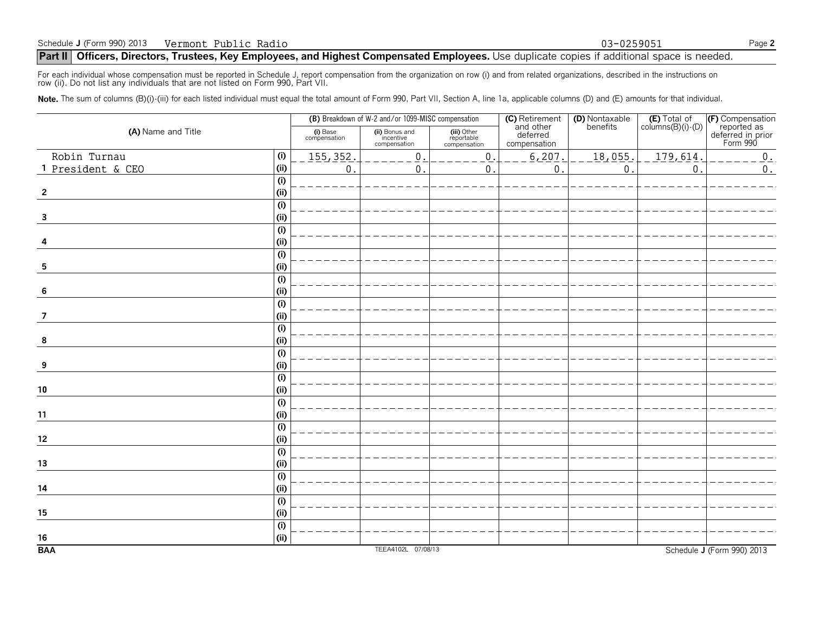## **Part II** Officers, Directors, Trustees, Key Employees, and Highest Compensated Employees. Use duplicate copies if additional space is needed.

For each individual whose compensation must be reported in Schedule J, report compensation from the organization on row (i) and from related organizations, described in the instructions on<br>row (ii). Do not list any individ

Note. The sum of columns (B)(i)-(iii) for each listed individual must equal the total amount of Form 990, Part VII, Section A, line 1a, applicable columns (D) and (E) amounts for that individual.

|                         |             |                          | (B) Breakdown of W-2 and/or 1099-MISC compensation |                                           |                                                                | (D) Nontaxable<br>benefits | $(E)$ Total of<br>columns $(B)(i)$ - $(D)$ |                                                                  |
|-------------------------|-------------|--------------------------|----------------------------------------------------|-------------------------------------------|----------------------------------------------------------------|----------------------------|--------------------------------------------|------------------------------------------------------------------|
| (A) Name and Title      |             | (i) Base<br>compensation | (ii) Bonus and<br>incentive<br>compensation        | (iii) Other<br>reportable<br>compensation | <b>(C)</b> Retirement<br>and other<br>deferred<br>compensation |                            |                                            | (F) Compensation<br>reported as<br>deferred in prior<br>Form 990 |
| Robin Turnau            | (i)         | 155, 352.                | $\mathsf 0$                                        | $0$ .                                     | 6,207                                                          | 18,055.                    | 179,614                                    | 0.                                                               |
| 1 President & CEO       | (i)         | 0.                       | $\mathbf{0}$                                       | 0.                                        | $\mathsf 0$                                                    | $\mathbf{0}$               | 0                                          | $0$ .                                                            |
|                         | (i)         |                          |                                                    |                                           |                                                                |                            |                                            |                                                                  |
| $\overline{2}$          | (i)         |                          |                                                    |                                           |                                                                |                            |                                            |                                                                  |
|                         | (i)         |                          |                                                    |                                           |                                                                |                            |                                            |                                                                  |
| $\overline{\mathbf{3}}$ | (i)         |                          |                                                    |                                           |                                                                |                            |                                            |                                                                  |
|                         | (i)         |                          |                                                    |                                           |                                                                |                            |                                            |                                                                  |
| 4                       | (i)         |                          |                                                    |                                           |                                                                |                            |                                            |                                                                  |
|                         | (i)         |                          |                                                    |                                           |                                                                |                            |                                            |                                                                  |
| 5                       | (i)         |                          |                                                    |                                           |                                                                |                            |                                            |                                                                  |
|                         | (i)         |                          |                                                    |                                           |                                                                |                            |                                            |                                                                  |
| 6                       | (i)         |                          |                                                    |                                           |                                                                |                            |                                            |                                                                  |
| 7                       | (i)<br>(ii) |                          |                                                    |                                           |                                                                |                            |                                            |                                                                  |
|                         | (i)         |                          |                                                    |                                           |                                                                |                            |                                            |                                                                  |
| 8                       | (i)         |                          |                                                    |                                           |                                                                |                            |                                            |                                                                  |
|                         | (i)         |                          |                                                    |                                           |                                                                |                            |                                            |                                                                  |
| 9                       | (i)         |                          |                                                    |                                           |                                                                |                            |                                            |                                                                  |
|                         | (i)         |                          |                                                    |                                           |                                                                |                            |                                            |                                                                  |
| ${\bf 10}$              | (i)         |                          |                                                    |                                           |                                                                |                            |                                            |                                                                  |
|                         | (i)         |                          |                                                    |                                           |                                                                |                            |                                            |                                                                  |
| 11                      | (i)         |                          |                                                    |                                           |                                                                |                            |                                            |                                                                  |
|                         | (i)         |                          |                                                    |                                           |                                                                |                            |                                            |                                                                  |
| 12                      | (i)         |                          |                                                    |                                           |                                                                |                            |                                            |                                                                  |
|                         | (i)         |                          |                                                    |                                           |                                                                |                            |                                            |                                                                  |
| 13                      | (i)         |                          |                                                    |                                           |                                                                |                            |                                            |                                                                  |
|                         | (i)         |                          |                                                    |                                           |                                                                |                            |                                            |                                                                  |
| 14                      | (i)         |                          |                                                    |                                           |                                                                |                            |                                            |                                                                  |
|                         | (i)         |                          |                                                    |                                           |                                                                |                            |                                            |                                                                  |
| 15                      | (i)         |                          |                                                    |                                           |                                                                |                            |                                            |                                                                  |
|                         | (i)         |                          |                                                    |                                           |                                                                |                            |                                            |                                                                  |
| 16                      | (i)         |                          |                                                    |                                           |                                                                |                            |                                            |                                                                  |
| <b>BAA</b>              |             |                          | TEEA4102L 07/08/13                                 |                                           |                                                                |                            |                                            | Schedule J (Form 990) 2013                                       |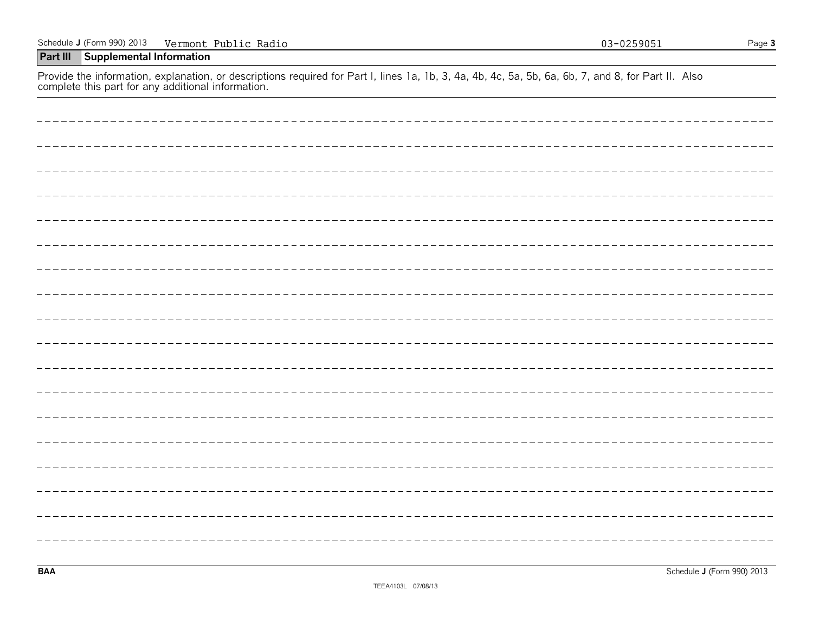## **Part III Supplemental Information**

Provide the information, explanation, or descriptions required for Part I, lines 1a, 1b, 3, 4a, 4b, 4c, 5a, 5b, 6a, 6b, 7, and 8, for Part II. Also complete this part for any additional information.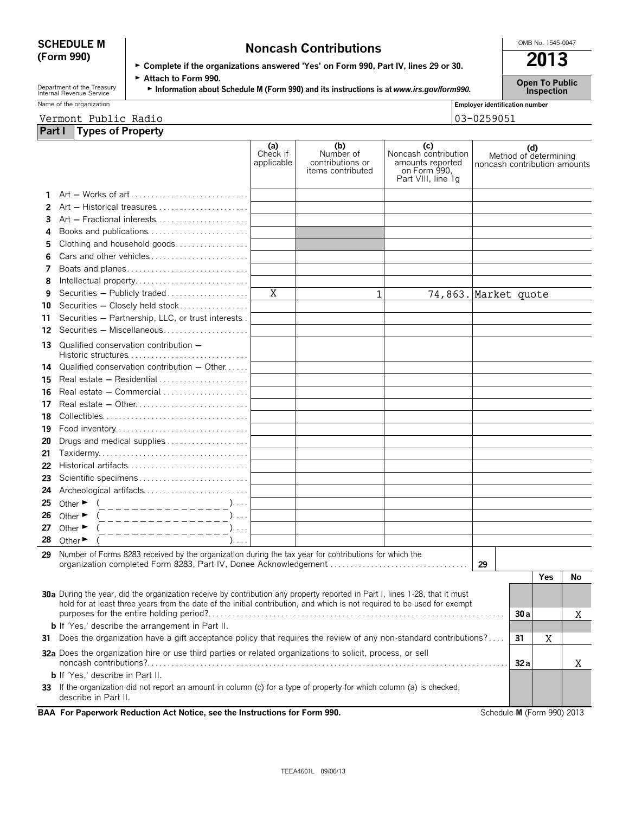# **SCHEDULE M Noncash Contributions**<br>(Form 990) **Complete if the organizations answered 'Yes' on Form 990, Part IV, lines 29 or 30.**

| Department of the Treasury |
|----------------------------|
| Internal Revenue Service   |

► Complete if the organizations answered 'Yes' on Form 990, Part IV, lines 29 or 30.

| Name of the organization |  |  |  |  |
|--------------------------|--|--|--|--|
|--------------------------|--|--|--|--|

| $\triangleright$ Attach to Form 990.                                                    | <b>Open To Public</b> |
|-----------------------------------------------------------------------------------------|-----------------------|
| Information about Schedule M (Form 990) and its instructions is at www.irs.gov/form990. | <b>Inspection</b>     |

| Name of the organization   | <b>Employer identification number</b> |
|----------------------------|---------------------------------------|
| Vermont<br>Public<br>Radio | 13-0259051<br>03                      |

**Part I Types of Property**

|     |                                                                                                                                                                                                                                                         | (a)<br>Check if<br>applicable | (b)<br>Number of<br>contributions or<br>items contributed | (c)<br>Noncash contribution<br>amounts reported<br>on Form 990,<br>Part VIII, line 1g | noncash contribution amounts | (d)<br>Method of determining |     |    |
|-----|---------------------------------------------------------------------------------------------------------------------------------------------------------------------------------------------------------------------------------------------------------|-------------------------------|-----------------------------------------------------------|---------------------------------------------------------------------------------------|------------------------------|------------------------------|-----|----|
| 1.  |                                                                                                                                                                                                                                                         |                               |                                                           |                                                                                       |                              |                              |     |    |
| 2   | Art - Historical treasures                                                                                                                                                                                                                              |                               |                                                           |                                                                                       |                              |                              |     |    |
| 3   | Art - Fractional interests                                                                                                                                                                                                                              |                               |                                                           |                                                                                       |                              |                              |     |    |
| 4   | Books and publications                                                                                                                                                                                                                                  |                               |                                                           |                                                                                       |                              |                              |     |    |
| 5   | Clothing and household goods                                                                                                                                                                                                                            |                               |                                                           |                                                                                       |                              |                              |     |    |
| 6   | Cars and other vehicles                                                                                                                                                                                                                                 |                               |                                                           |                                                                                       |                              |                              |     |    |
| 7   | Boats and planes                                                                                                                                                                                                                                        |                               |                                                           |                                                                                       |                              |                              |     |    |
| 8   | Intellectual property                                                                                                                                                                                                                                   |                               |                                                           |                                                                                       |                              |                              |     |    |
| 9   | Securities - Publicly traded                                                                                                                                                                                                                            | X                             | 1                                                         | 74,863. Market quote                                                                  |                              |                              |     |    |
| 10  | Securities - Closely held stock                                                                                                                                                                                                                         |                               |                                                           |                                                                                       |                              |                              |     |    |
| 11  | Securities - Partnership, LLC, or trust interests.                                                                                                                                                                                                      |                               |                                                           |                                                                                       |                              |                              |     |    |
|     | 12 Securities - Miscellaneous                                                                                                                                                                                                                           |                               |                                                           |                                                                                       |                              |                              |     |    |
| 13. | Qualified conservation contribution -<br>Historic structures $\ldots \ldots \ldots \ldots \ldots \ldots \ldots \ldots \ldots$                                                                                                                           |                               |                                                           |                                                                                       |                              |                              |     |    |
| 14  | Qualified conservation contribution $-$ Other $\dots$                                                                                                                                                                                                   |                               |                                                           |                                                                                       |                              |                              |     |    |
| 15  |                                                                                                                                                                                                                                                         |                               |                                                           |                                                                                       |                              |                              |     |    |
| 16  |                                                                                                                                                                                                                                                         |                               |                                                           |                                                                                       |                              |                              |     |    |
| 17  |                                                                                                                                                                                                                                                         |                               |                                                           |                                                                                       |                              |                              |     |    |
| 18  |                                                                                                                                                                                                                                                         |                               |                                                           |                                                                                       |                              |                              |     |    |
| 19  |                                                                                                                                                                                                                                                         |                               |                                                           |                                                                                       |                              |                              |     |    |
| 20  | Drugs and medical supplies                                                                                                                                                                                                                              |                               |                                                           |                                                                                       |                              |                              |     |    |
| 21  | $Taxidermy \ldots \ldots \ldots \ldots \ldots \ldots \ldots \ldots \ldots$                                                                                                                                                                              |                               |                                                           |                                                                                       |                              |                              |     |    |
| 22  |                                                                                                                                                                                                                                                         |                               |                                                           |                                                                                       |                              |                              |     |    |
| 23  | Scientific specimens                                                                                                                                                                                                                                    |                               |                                                           |                                                                                       |                              |                              |     |    |
| 24  | Archeological artifacts                                                                                                                                                                                                                                 |                               |                                                           |                                                                                       |                              |                              |     |    |
| 25  | Other $\blacktriangleright$<br>_______________<br>$\cdot$                                                                                                                                                                                               |                               |                                                           |                                                                                       |                              |                              |     |    |
| 26  | Other $\blacktriangleright$<br>$). \ldots$<br>_______________                                                                                                                                                                                           |                               |                                                           |                                                                                       |                              |                              |     |    |
| 27  | Other $\blacktriangleright$<br>$). \ldots$<br>_ _ _ _ _ _ _ _ _ _ _ _ _ _                                                                                                                                                                               |                               |                                                           |                                                                                       |                              |                              |     |    |
| 28  | Other $\blacktriangleright$<br>$). \ldots$                                                                                                                                                                                                              |                               |                                                           |                                                                                       |                              |                              |     |    |
| 29  | Number of Forms 8283 received by the organization during the tax year for contributions for which the                                                                                                                                                   |                               |                                                           |                                                                                       |                              |                              |     |    |
|     | organization completed Form 8283, Part IV, Donee Acknowledgement                                                                                                                                                                                        |                               |                                                           |                                                                                       | 29                           |                              |     |    |
|     |                                                                                                                                                                                                                                                         |                               |                                                           |                                                                                       |                              |                              | Yes | No |
|     | 30a During the year, did the organization receive by contribution any property reported in Part I, lines 1-28, that it must<br>hold for at least three years from the date of the initial contribution, and which is not required to be used for exempt |                               |                                                           |                                                                                       |                              |                              |     |    |
|     |                                                                                                                                                                                                                                                         |                               |                                                           |                                                                                       |                              | 30 a                         |     | Χ  |
|     | <b>b</b> If 'Yes,' describe the arrangement in Part II.                                                                                                                                                                                                 |                               |                                                           |                                                                                       |                              |                              |     |    |
|     | 31 Does the organization have a gift acceptance policy that requires the review of any non-standard contributions?                                                                                                                                      |                               |                                                           |                                                                                       |                              | 31                           | Χ   |    |
|     | 32a Does the organization hire or use third parties or related organizations to solicit, process, or sell                                                                                                                                               |                               |                                                           |                                                                                       |                              | 32a                          |     | Χ  |
|     | <b>b</b> If 'Yes,' describe in Part II.                                                                                                                                                                                                                 |                               |                                                           |                                                                                       |                              |                              |     |    |
|     | 33 If the organization did not report an amount in column (c) for a type of property for which column (a) is checked,<br>describe in Part II.                                                                                                           |                               |                                                           |                                                                                       |                              |                              |     |    |
|     | BAA For Paperwork Reduction Act Notice, see the Instructions for Form 990.                                                                                                                                                                              |                               |                                                           |                                                                                       | Schedule M (Form 990) 2013   |                              |     |    |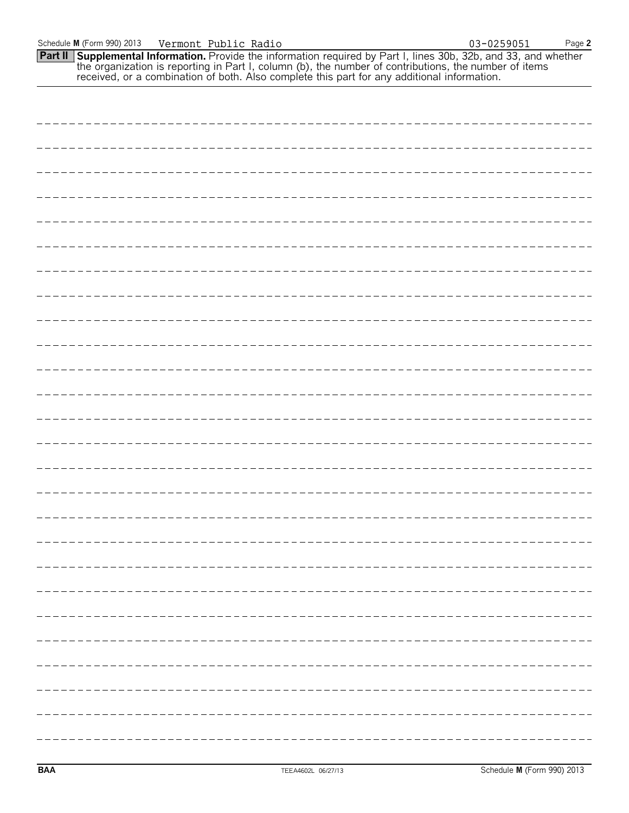| <b>Part II Supplemental Information.</b> Provide the information required by Part I, lines 30b, 32b, and 33, and whether the organization is reporting in Part I, column (b), the number of contributions, the number of items rece |
|-------------------------------------------------------------------------------------------------------------------------------------------------------------------------------------------------------------------------------------|
|                                                                                                                                                                                                                                     |
|                                                                                                                                                                                                                                     |
|                                                                                                                                                                                                                                     |
|                                                                                                                                                                                                                                     |
|                                                                                                                                                                                                                                     |
|                                                                                                                                                                                                                                     |
|                                                                                                                                                                                                                                     |
|                                                                                                                                                                                                                                     |
|                                                                                                                                                                                                                                     |
| _______________________                                                                                                                                                                                                             |
|                                                                                                                                                                                                                                     |
|                                                                                                                                                                                                                                     |

Schedule **M** (Form 990) 2013 Page **2** Vermont Public Radio 03-0259051

|  | ---- |
|--|------|
|  |      |
|  |      |
|  |      |
|  | ___  |

\_\_\_\_\_\_\_\_\_\_\_\_\_\_\_\_\_\_\_\_\_\_\_\_\_\_\_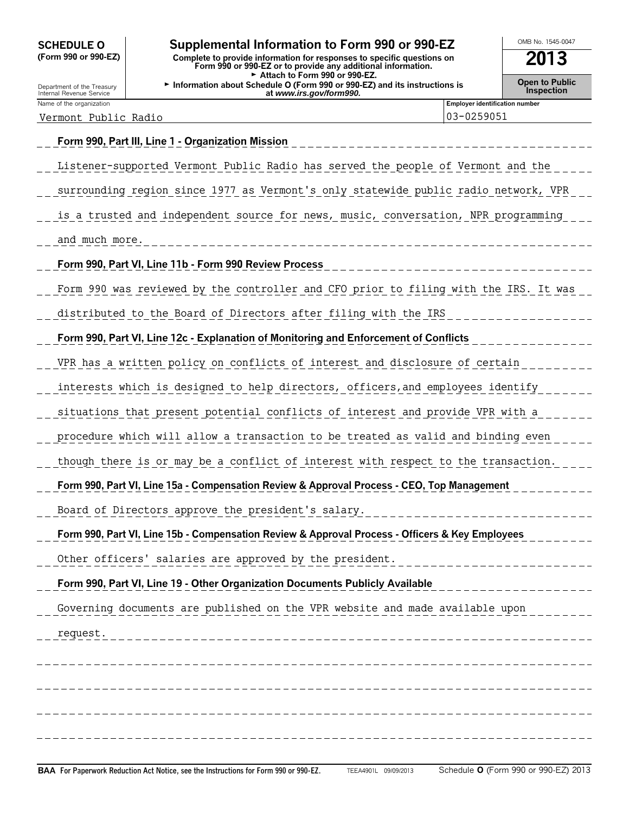| <b>SCHEDULE O</b>    |  |  |
|----------------------|--|--|
| (Form 990 or 990-EZ) |  |  |

## Supplemental Information to Form 990 or 990-EZ **DOMB No. 1545-0047**

**(Form 990 or 990-EZ) Complete to provide information for responses to specific questions on Form 990 or 990-EZ or to provide any additional information. 2013** Attach to Form 990 or 990-EZ. <sup>G</sup>**Open to Public** Department of the Treasury **Information about Schedule O (Form 990 or 990-EZ) and its instructions is** Internal Revenue Service **Inspection at** *www.irs.gov/form990.*

Vermont Public Radio  $\vert$  03-0259051

**Employer identification number** 

# **Form 990, Part III, Line 1 - Organization Mission** Listener-supported Vermont Public Radio has served the people of Vermont and the surrounding region since 1977 as Vermont's only statewide public radio network, VPR is a trusted and independent source for news, music, conversation, NPR programming and much more. **Form 990, Part VI, Line 11b - Form 990 Review Process** Form 990 was reviewed by the controller and CFO prior to filing with the IRS. It was distributed to the Board of Directors after filing with the IRS **Form 990, Part VI, Line 12c - Explanation of Monitoring and Enforcement of Conflicts** VPR has a written policy on conflicts of interest and disclosure of certain interests which is designed to help directors, officers,and employees identify situations that present potential conflicts of interest and provide VPR with a procedure which will allow a transaction to be treated as valid and binding even though there is or may be a conflict of interest with respect to the transaction. **Form 990, Part VI, Line 15a - Compensation Review & Approval Process - CEO, Top Management** Board of Directors approve the president's salary. **Form 990, Part VI, Line 15b - Compensation Review & Approval Process - Officers & Key Employees** Other officers' salaries are approved by the president. **Form 990, Part VI, Line 19 - Other Organization Documents Publicly Available** Governing documents are published on the VPR website and made available upon request.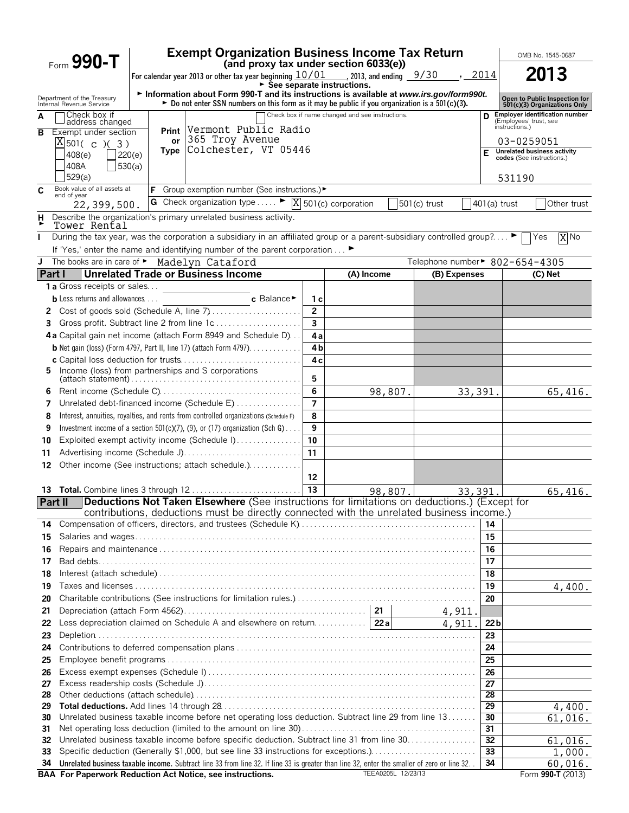|             | Form $990 - T$                                         |                  | <b>Exempt Organization Business Income Tax Return</b>                                                                                                                                                           |                |                                                 |                    |              |                 | OMB No. 1545-0687                                                                 |                   |  |
|-------------|--------------------------------------------------------|------------------|-----------------------------------------------------------------------------------------------------------------------------------------------------------------------------------------------------------------|----------------|-------------------------------------------------|--------------------|--------------|-----------------|-----------------------------------------------------------------------------------|-------------------|--|
|             |                                                        |                  | (and proxy tax under section 6033(e))<br>For calendar year 2013 or other tax year beginning $\frac{10/01}{\sqrt{5}}$ , 2013, and ending $\frac{9/30}{\sqrt{5}}$ , 2014                                          |                | ► Šee separate instructions.                    |                    |              |                 | 2013                                                                              |                   |  |
|             | Department of the Treasury<br>Internal Revenue Service |                  | Information about Form 990-T and its instructions is available at www.irs.gov/form990t.<br>► Do not enter SSN numbers on this form as it may be public if you organization is a 501(c)(3).                      |                |                                                 |                    |              |                 | Open to Public Inspection for<br>501(c)(3) Organizations Only                     |                   |  |
| A           | Check box if<br>address changed                        |                  |                                                                                                                                                                                                                 |                | Check box if name changed and see instructions. |                    |              |                 | <b>Employer identification number</b><br>(Employees' trust, see<br>instructions.) |                   |  |
| в           | Exempt under section<br>$X$ 501( c )( 3)               | <b>Print</b>     | Vermont Public Radio<br>365 Troy Avenue<br>or l                                                                                                                                                                 |                |                                                 |                    |              |                 | 03-0259051                                                                        |                   |  |
|             | 408(e)<br>408A                                         | 220(e)<br>530(a) | Type Colchester, VT 05446                                                                                                                                                                                       |                |                                                 |                    |              | F               | <b>Unrelated business activity</b><br>codes (See instructions.)                   |                   |  |
|             | 529(a)<br>Book value of all assets at                  |                  | <b>F</b> Group exemption number (See instructions.)▶                                                                                                                                                            |                |                                                 |                    |              |                 | 531190                                                                            |                   |  |
| C           | end of year                                            |                  | G Check organization type $\blacktriangleright \boxed{X}$ 501(c) corporation                                                                                                                                    |                |                                                 |                    | 501(c) trust | 401(a) trust    |                                                                                   | Other trust       |  |
| Н           | 22,399,500.                                            |                  | Describe the organization's primary unrelated business activity.                                                                                                                                                |                |                                                 |                    |              |                 |                                                                                   |                   |  |
|             | Tower Rental                                           |                  |                                                                                                                                                                                                                 |                |                                                 |                    |              |                 |                                                                                   |                   |  |
|             |                                                        |                  | During the tax year, was the corporation a subsidiary in an affiliated group or a parent-subsidiary controlled group? ▶                                                                                         |                |                                                 |                    |              |                 | Yes                                                                               | $\overline{X}$ No |  |
|             |                                                        |                  | If 'Yes,' enter the name and identifying number of the parent corporation  ▶                                                                                                                                    |                |                                                 |                    |              |                 |                                                                                   |                   |  |
| J<br>Part I |                                                        |                  | The books are in care of Madelyn Cataford<br><b>Unrelated Trade or Business Income</b>                                                                                                                          |                | (A) Income                                      |                    | (B) Expenses |                 | Telephone number► 802-654-4305<br>$(C)$ Net                                       |                   |  |
|             | 1 a Gross receipts or sales                            |                  |                                                                                                                                                                                                                 |                |                                                 |                    |              |                 |                                                                                   |                   |  |
|             | <b>b</b> Less returns and allowances $\ldots$          |                  | c Balance                                                                                                                                                                                                       | 1 с            |                                                 |                    |              |                 |                                                                                   |                   |  |
|             |                                                        |                  |                                                                                                                                                                                                                 | $\overline{2}$ |                                                 |                    |              |                 |                                                                                   |                   |  |
| 3           |                                                        |                  |                                                                                                                                                                                                                 | 3              |                                                 |                    |              |                 |                                                                                   |                   |  |
|             |                                                        |                  | 4 a Capital gain net income (attach Form 8949 and Schedule D)                                                                                                                                                   | 4a             |                                                 |                    |              |                 |                                                                                   |                   |  |
|             |                                                        |                  | <b>b</b> Net gain (loss) (Form 4797, Part II, line 17) (attach Form 4797). $\ldots$                                                                                                                             | 4 <sub>b</sub> |                                                 |                    |              |                 |                                                                                   |                   |  |
|             |                                                        |                  |                                                                                                                                                                                                                 | 4c             |                                                 |                    |              |                 |                                                                                   |                   |  |
|             |                                                        |                  | 5 Income (loss) from partnerships and S corporations<br>$\mathsf{l}$ (attach statement) $\ldots \ldots \ldots \ldots \ldots \ldots \ldots \ldots \ldots \ldots \ldots \ldots$                                   | 5              |                                                 |                    |              |                 |                                                                                   |                   |  |
| 6           |                                                        |                  |                                                                                                                                                                                                                 | 6              |                                                 | 98,807.            | 33, 391.     |                 |                                                                                   | 65,416.           |  |
| 7           |                                                        |                  | Unrelated debt-financed income (Schedule E)                                                                                                                                                                     | $\overline{7}$ |                                                 |                    |              |                 |                                                                                   |                   |  |
| 8           |                                                        |                  | Interest, annuities, royalties, and rents from controlled organizations (Schedule F)                                                                                                                            | 8              |                                                 |                    |              |                 |                                                                                   |                   |  |
| 9           |                                                        |                  | Investment income of a section $501(c)(7)$ , (9), or (17) organization (Sch G)                                                                                                                                  | 9              |                                                 |                    |              |                 |                                                                                   |                   |  |
| 10          |                                                        |                  | Exploited exempt activity income (Schedule I)                                                                                                                                                                   | 10             |                                                 |                    |              |                 |                                                                                   |                   |  |
| 11          |                                                        |                  |                                                                                                                                                                                                                 | 11             |                                                 |                    |              |                 |                                                                                   |                   |  |
| 12          |                                                        |                  | Other income (See instructions; attach schedule.).                                                                                                                                                              |                |                                                 |                    |              |                 |                                                                                   |                   |  |
|             |                                                        |                  |                                                                                                                                                                                                                 | 12             |                                                 |                    |              |                 |                                                                                   |                   |  |
|             |                                                        |                  |                                                                                                                                                                                                                 | 13             |                                                 | 98,807.            | 33,391.      |                 |                                                                                   | 65,416.           |  |
|             |                                                        |                  | Part II   Deductions Not Taken Elsewhere (See instructions for limitations on deductions.) (Except for                                                                                                          |                |                                                 |                    |              |                 |                                                                                   |                   |  |
|             |                                                        |                  | contributions, deductions must be directly connected with the unrelated business income.)                                                                                                                       |                |                                                 |                    |              |                 |                                                                                   |                   |  |
| 14<br>15    |                                                        |                  |                                                                                                                                                                                                                 |                |                                                 |                    |              | 14<br>15        |                                                                                   |                   |  |
| 16          |                                                        |                  |                                                                                                                                                                                                                 |                |                                                 |                    |              | 16              |                                                                                   |                   |  |
| 17          |                                                        |                  |                                                                                                                                                                                                                 |                |                                                 |                    |              | 17              |                                                                                   |                   |  |
| 18          |                                                        |                  |                                                                                                                                                                                                                 |                |                                                 |                    |              | 18              |                                                                                   |                   |  |
| 19          |                                                        |                  |                                                                                                                                                                                                                 |                |                                                 |                    |              | 19              |                                                                                   | 4,400.            |  |
| 20          |                                                        |                  |                                                                                                                                                                                                                 |                |                                                 |                    |              | 20              |                                                                                   |                   |  |
| 21          |                                                        |                  |                                                                                                                                                                                                                 |                |                                                 |                    | 4,911.       |                 |                                                                                   |                   |  |
| 22          |                                                        |                  |                                                                                                                                                                                                                 |                |                                                 |                    | 4,911        | 22 <sub>b</sub> |                                                                                   |                   |  |
| 23          |                                                        |                  |                                                                                                                                                                                                                 |                |                                                 |                    |              | 23              |                                                                                   |                   |  |
| 24          |                                                        |                  |                                                                                                                                                                                                                 |                |                                                 |                    |              | 24              |                                                                                   |                   |  |
| 25          |                                                        |                  |                                                                                                                                                                                                                 |                |                                                 |                    |              | 25              |                                                                                   |                   |  |
| 26          |                                                        |                  |                                                                                                                                                                                                                 |                |                                                 |                    |              | 26<br>27        |                                                                                   |                   |  |
| 27<br>28    |                                                        |                  |                                                                                                                                                                                                                 |                |                                                 |                    |              | 28              |                                                                                   |                   |  |
| 29          |                                                        |                  |                                                                                                                                                                                                                 |                |                                                 |                    |              | 29              |                                                                                   | 4,400.            |  |
| 30          |                                                        |                  | Unrelated business taxable income before net operating loss deduction. Subtract line 29 from line 13                                                                                                            |                |                                                 |                    |              | 30              |                                                                                   | 61,016.           |  |
| 31          |                                                        |                  |                                                                                                                                                                                                                 |                |                                                 |                    |              | 31              |                                                                                   |                   |  |
| 32          |                                                        |                  | Unrelated business taxable income before specific deduction. Subtract line 31 from line 30                                                                                                                      |                |                                                 |                    |              | 32              |                                                                                   | 61,016.           |  |
| 33          |                                                        |                  | Specific deduction (Generally \$1,000, but see line 33 instructions for exceptions.)                                                                                                                            |                |                                                 |                    |              | 33              |                                                                                   | 1,000.            |  |
| 34          |                                                        |                  | Unrelated business taxable income. Subtract line 33 from line 32. If line 33 is greater than line 32, enter the smaller of zero or line 32.<br><b>BAA For Paperwork Reduction Act Notice, see instructions.</b> |                |                                                 | TEEA0205L 12/23/13 |              | 34              | Form 990-T (2013)                                                                 | 60,016.           |  |
|             |                                                        |                  |                                                                                                                                                                                                                 |                |                                                 |                    |              |                 |                                                                                   |                   |  |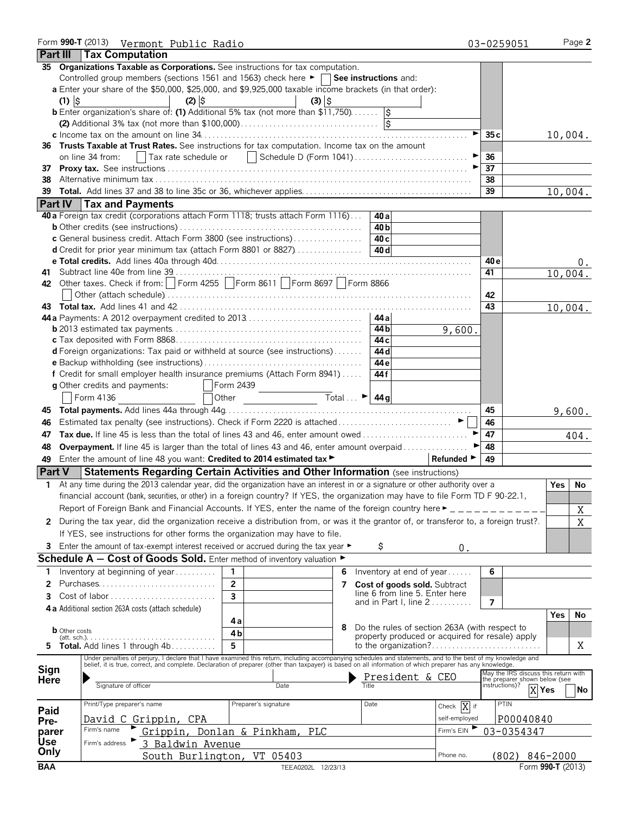|            |                      | Form 990-T (2013) Vermont Public Radio                                                                                                                                                                                         |                                                                                                        |   |                                |                                               | 03-0259051                                      | Page 2            |
|------------|----------------------|--------------------------------------------------------------------------------------------------------------------------------------------------------------------------------------------------------------------------------|--------------------------------------------------------------------------------------------------------|---|--------------------------------|-----------------------------------------------|-------------------------------------------------|-------------------|
|            |                      | <b>Part III Tax Computation</b>                                                                                                                                                                                                |                                                                                                        |   |                                |                                               |                                                 |                   |
|            |                      | 35 Organizations Taxable as Corporations. See instructions for tax computation.                                                                                                                                                |                                                                                                        |   |                                |                                               |                                                 |                   |
|            |                      | Controlled group members (sections 1561 and 1563) check here ► □ See instructions and:                                                                                                                                         |                                                                                                        |   |                                |                                               |                                                 |                   |
|            |                      | a Enter your share of the \$50,000, \$25,000, and \$9,925,000 taxable income brackets (in that order):                                                                                                                         |                                                                                                        |   |                                |                                               |                                                 |                   |
|            | $(1)$ $\upbeta$      | $(2)$ $\hat{S}$                                                                                                                                                                                                                | $(3)$ $\frac{1}{2}$                                                                                    |   |                                |                                               |                                                 |                   |
|            |                      | <b>b</b> Enter organization's share of: (1) Additional 5% tax (not more than $$11,750$ )                                                                                                                                       |                                                                                                        |   |                                |                                               |                                                 |                   |
|            |                      |                                                                                                                                                                                                                                |                                                                                                        |   |                                |                                               |                                                 |                   |
|            |                      |                                                                                                                                                                                                                                |                                                                                                        |   |                                | ►∣                                            | 35 c                                            | 10,004.           |
|            |                      | 36 Trusts Taxable at Trust Rates. See instructions for tax computation. Income tax on the amount                                                                                                                               |                                                                                                        |   |                                |                                               |                                                 |                   |
|            |                      | on line 34 from:<br>  Tax rate schedule or                                                                                                                                                                                     |                                                                                                        |   |                                |                                               | 36                                              |                   |
| 37         |                      |                                                                                                                                                                                                                                |                                                                                                        |   |                                |                                               | 37                                              |                   |
| 38         |                      |                                                                                                                                                                                                                                |                                                                                                        |   |                                |                                               | 38                                              |                   |
| 39         |                      |                                                                                                                                                                                                                                |                                                                                                        |   |                                |                                               | $\overline{39}$                                 | 10,004.           |
|            |                      | Part IV   Tax and Payments                                                                                                                                                                                                     |                                                                                                        |   |                                |                                               |                                                 |                   |
|            |                      | 40 a Foreign tax credit (corporations attach Form 1118; trusts attach Form 1116)                                                                                                                                               |                                                                                                        |   | 40 al                          |                                               |                                                 |                   |
|            |                      |                                                                                                                                                                                                                                |                                                                                                        |   | 40 b                           |                                               |                                                 |                   |
|            |                      |                                                                                                                                                                                                                                |                                                                                                        |   | 40 <sub>c</sub>                |                                               |                                                 |                   |
|            |                      | c General business credit. Attach Form 3800 (see instructions)                                                                                                                                                                 |                                                                                                        |   | 40 d                           |                                               |                                                 |                   |
|            |                      | <b>d</b> Credit for prior year minimum tax (attach Form 8801 or 8827)                                                                                                                                                          |                                                                                                        |   |                                |                                               |                                                 |                   |
|            |                      |                                                                                                                                                                                                                                |                                                                                                        |   |                                |                                               | 40 e                                            | υ.                |
|            |                      | 42 Other taxes. Check if from:   Form 4255   Form 8611   Form 8697   Form 8866                                                                                                                                                 |                                                                                                        |   |                                |                                               | 41                                              | 10,004.           |
|            |                      |                                                                                                                                                                                                                                |                                                                                                        |   |                                |                                               |                                                 |                   |
|            |                      |                                                                                                                                                                                                                                |                                                                                                        |   |                                |                                               | 42                                              |                   |
|            |                      |                                                                                                                                                                                                                                |                                                                                                        |   |                                |                                               | 43                                              | 10,004.           |
|            |                      |                                                                                                                                                                                                                                |                                                                                                        |   |                                |                                               |                                                 |                   |
|            |                      |                                                                                                                                                                                                                                |                                                                                                        |   | 44 bl                          | 9,600.                                        |                                                 |                   |
|            |                      |                                                                                                                                                                                                                                |                                                                                                        |   | 44 c                           |                                               |                                                 |                   |
|            |                      | <b>d</b> Foreign organizations: Tax paid or withheld at source (see instructions)                                                                                                                                              |                                                                                                        |   | 44 d                           |                                               |                                                 |                   |
|            |                      |                                                                                                                                                                                                                                |                                                                                                        |   | 44 e                           |                                               |                                                 |                   |
|            |                      | f Credit for small employer health insurance premiums (Attach Form 8941)                                                                                                                                                       |                                                                                                        |   | 44 f                           |                                               |                                                 |                   |
|            |                      | g Other credits and payments:                                                                                                                                                                                                  | Form 2439                                                                                              |   |                                |                                               |                                                 |                   |
|            |                      | Form 4136                                                                                                                                                                                                                      | $\frac{1}{\sqrt{1-\frac{1}{2}}\cosh(\theta)}$ Total $\therefore$ $\frac{1}{44}$ $\frac{1}{9}$<br>Other |   |                                |                                               |                                                 |                   |
|            |                      |                                                                                                                                                                                                                                |                                                                                                        |   |                                |                                               | 45                                              | 9,600.            |
| 46         |                      | Estimated tax penalty (see instructions). Check if Form 2220 is attached ▶ │ │                                                                                                                                                 |                                                                                                        |   |                                |                                               | 46                                              |                   |
| 47         |                      | Tax due. If line 45 is less than the total of lines 43 and 46, enter amount owed                                                                                                                                               |                                                                                                        |   |                                |                                               | 47                                              | 404.              |
| 48         |                      | Overpayment. If line 45 is larger than the total of lines 43 and 46, enter amount overpaid                                                                                                                                     |                                                                                                        |   |                                |                                               | 48                                              |                   |
| 49         |                      | Enter the amount of line 48 you want: Credited to 2014 estimated tax >                                                                                                                                                         |                                                                                                        |   |                                | Refunded ►                                    | 49                                              |                   |
|            | <b>Part V</b>        | Statements Regarding Certain Activities and Other Information (see instructions)                                                                                                                                               |                                                                                                        |   |                                |                                               |                                                 |                   |
|            |                      | 1 At any time during the 2013 calendar year, did the organization have an interest in or a signature or other authority over a                                                                                                 |                                                                                                        |   |                                |                                               |                                                 | <b>Yes</b><br>No. |
|            |                      | financial account (bank, securities, or other) in a foreign country? If YES, the organization may have to file Form TD F 90-22.1,                                                                                              |                                                                                                        |   |                                |                                               |                                                 |                   |
|            |                      | Report of Foreign Bank and Financial Accounts. If YES, enter the name of the foreign country here $\blacktriangleright$ _ _ _ _ _ _ _ _ _ _                                                                                    |                                                                                                        |   |                                |                                               |                                                 |                   |
|            |                      |                                                                                                                                                                                                                                |                                                                                                        |   |                                |                                               |                                                 | X                 |
| 2          |                      | During the tax year, did the organization receive a distribution from, or was it the grantor of, or transferor to, a foreign trust?.                                                                                           |                                                                                                        |   |                                |                                               |                                                 | X                 |
|            |                      | If YES, see instructions for other forms the organization may have to file.                                                                                                                                                    |                                                                                                        |   |                                |                                               |                                                 |                   |
|            |                      | 3 Enter the amount of tax-exempt interest received or accrued during the tax year ▶                                                                                                                                            |                                                                                                        |   | Ş                              | 0.                                            |                                                 |                   |
|            |                      | Schedule $A - Cost$ of Goods Sold. Enter method of inventory valuation $\blacktriangleright$                                                                                                                                   |                                                                                                        |   |                                |                                               |                                                 |                   |
| 1          |                      | Inventory at beginning of year                                                                                                                                                                                                 | 1                                                                                                      | 6 | Inventory at end of year       |                                               | 6                                               |                   |
| 2          |                      | Purchases                                                                                                                                                                                                                      | $\mathbf{2}$                                                                                           | 7 | Cost of goods sold. Subtract   |                                               |                                                 |                   |
| 3          |                      | Cost of labor                                                                                                                                                                                                                  | 3                                                                                                      |   | line 6 from line 5. Enter here |                                               |                                                 |                   |
|            |                      | 4 a Additional section 263A costs (attach schedule)                                                                                                                                                                            |                                                                                                        |   | and in Part I, line $2$        |                                               | $\overline{7}$                                  |                   |
|            |                      |                                                                                                                                                                                                                                |                                                                                                        |   |                                |                                               |                                                 | Yes<br>No         |
|            | <b>b</b> Other costs |                                                                                                                                                                                                                                | 4а                                                                                                     | 8 |                                | Do the rules of section 263A (with respect to |                                                 |                   |
|            |                      |                                                                                                                                                                                                                                | 4b                                                                                                     |   |                                |                                               | property produced or acquired for resale) apply |                   |
| 5          |                      | Total. Add lines 1 through 4b                                                                                                                                                                                                  | 5                                                                                                      |   |                                |                                               |                                                 | Χ                 |
|            |                      | Under penalties of perjury, I declare that I have examined this return, including accompanying schedules and statements, and to the best of my knowledge and belief, it is true, correct, and complete. Declaration of prepare |                                                                                                        |   |                                |                                               |                                                 |                   |
| Sign       |                      |                                                                                                                                                                                                                                |                                                                                                        |   |                                |                                               | May the IRS discuss this return with            |                   |
| Here       |                      | Signature of officer                                                                                                                                                                                                           | Date                                                                                                   |   | President & CEO                |                                               | the preparer shown below (see<br>instructions)? |                   |
|            |                      |                                                                                                                                                                                                                                |                                                                                                        |   |                                |                                               |                                                 | X Yes<br>No       |
| Paid       |                      | Print/Type preparer's name                                                                                                                                                                                                     | Preparer's signature                                                                                   |   | Date                           | Check $\overline{X}$ if                       | PTIN                                            |                   |
| Pre-       |                      | David C Grippin, CPA                                                                                                                                                                                                           |                                                                                                        |   |                                | self-employed                                 | P00040840                                       |                   |
| parer      |                      | Firm's name                                                                                                                                                                                                                    | Grippin, Donlan & Pinkham, PLC                                                                         |   |                                | Firm's EIN                                    | 03-0354347                                      |                   |
| <b>Use</b> |                      | 3 Baldwin Avenue<br>Firm's address                                                                                                                                                                                             |                                                                                                        |   |                                |                                               |                                                 |                   |
| Only       |                      | South Burlington, VT 05403                                                                                                                                                                                                     |                                                                                                        |   |                                | Phone no.                                     | $(802)$ $846 - 2000$                            |                   |
| <b>BAA</b> |                      |                                                                                                                                                                                                                                | TEEA0202L 12/23/13                                                                                     |   |                                |                                               |                                                 | Form 990-T (2013) |
|            |                      |                                                                                                                                                                                                                                |                                                                                                        |   |                                |                                               |                                                 |                   |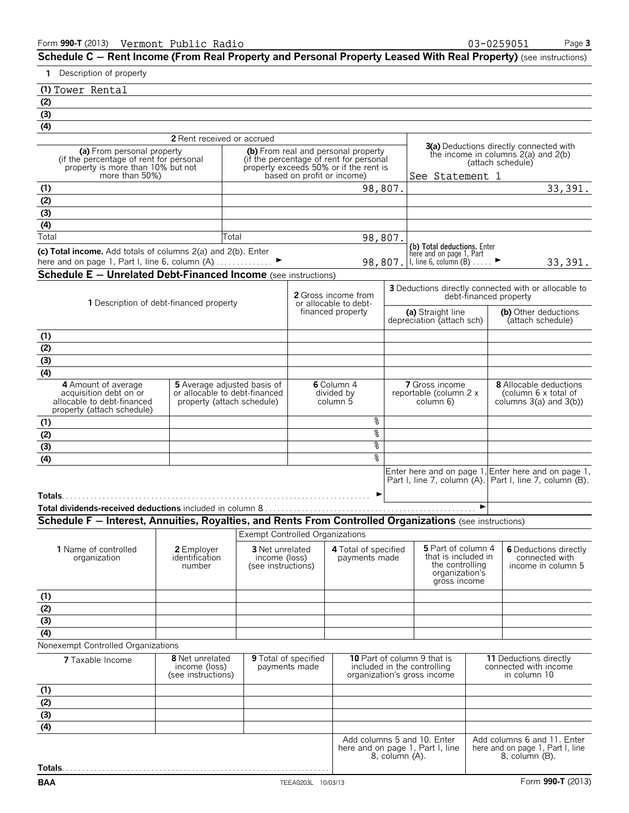**Schedule C – Rent Income (From Real Property and Personal Property Leased With Real Property) (see instructions)** 

## **1** Description of property

|  | (1) Tower Rental |
|--|------------------|

| <u>ے</u>                                                                                                       |                                                             |       |                                        |                                                                      |  |                                                                                |                 |                   |                                                   |                       |  |                                         |                                                                 |
|----------------------------------------------------------------------------------------------------------------|-------------------------------------------------------------|-------|----------------------------------------|----------------------------------------------------------------------|--|--------------------------------------------------------------------------------|-----------------|-------------------|---------------------------------------------------|-----------------------|--|-----------------------------------------|-----------------------------------------------------------------|
| (3)                                                                                                            |                                                             |       |                                        |                                                                      |  |                                                                                |                 |                   |                                                   |                       |  |                                         |                                                                 |
| $\overline{(4)}$                                                                                               |                                                             |       |                                        |                                                                      |  |                                                                                |                 |                   |                                                   |                       |  |                                         |                                                                 |
|                                                                                                                | 2 Rent received or accrued                                  |       |                                        |                                                                      |  |                                                                                |                 |                   |                                                   |                       |  |                                         |                                                                 |
| (a) From personal property<br>(if the percentage of rent for personal                                          |                                                             |       |                                        |                                                                      |  | (b) From real and personal property<br>(if the percentage of rent for personal |                 |                   |                                                   |                       |  | the income in columns $2(a)$ and $2(b)$ | <b>3(a)</b> Deductions directly connected with                  |
| property is more than 10% but not<br>more than 50%)                                                            |                                                             |       |                                        | property exceeds 50% or if the rent is<br>based on profit or income) |  |                                                                                |                 | (attach schedule) |                                                   |                       |  |                                         |                                                                 |
|                                                                                                                |                                                             |       |                                        |                                                                      |  |                                                                                | See Statement 1 |                   |                                                   |                       |  |                                         | $\overline{33}$ , 391.                                          |
| (1)                                                                                                            |                                                             |       |                                        |                                                                      |  | 98,807.                                                                        |                 |                   |                                                   |                       |  |                                         |                                                                 |
| (2)                                                                                                            |                                                             |       |                                        |                                                                      |  |                                                                                |                 |                   |                                                   |                       |  |                                         |                                                                 |
| (3)<br>(4)                                                                                                     |                                                             |       |                                        |                                                                      |  |                                                                                |                 |                   |                                                   |                       |  |                                         |                                                                 |
| Total                                                                                                          |                                                             | Total |                                        |                                                                      |  |                                                                                |                 |                   |                                                   |                       |  |                                         |                                                                 |
|                                                                                                                |                                                             |       |                                        |                                                                      |  | 98,807.                                                                        |                 |                   | (b) Total deductions. Enter                       |                       |  |                                         |                                                                 |
| (c) Total income. Add totals of columns 2(a) and 2(b). Enter<br>here and on page 1, Part I, line 6, column (A) |                                                             |       |                                        |                                                                      |  |                                                                                | 98,807.         |                   | here and on page 1, Part<br>1, line 6, column (B) |                       |  |                                         | 33, 391.                                                        |
| <b>Schedule E - Unrelated Debt-Financed Income</b> (see instructions)                                          |                                                             |       |                                        |                                                                      |  |                                                                                |                 |                   |                                                   |                       |  |                                         |                                                                 |
|                                                                                                                |                                                             |       |                                        |                                                                      |  |                                                                                |                 |                   |                                                   |                       |  |                                         | <b>3</b> Deductions directly connected with or allocable to     |
|                                                                                                                |                                                             |       |                                        |                                                                      |  | <b>2</b> Gross income from                                                     |                 |                   |                                                   |                       |  | debt-financed property                  |                                                                 |
| 1 Description of debt-financed property                                                                        |                                                             |       |                                        |                                                                      |  | or allocable to debt-<br>financed property                                     |                 |                   | (a) Straight line                                 |                       |  |                                         | (b) Other deductions                                            |
|                                                                                                                |                                                             |       |                                        |                                                                      |  |                                                                                |                 |                   | depreciation (attach sch)                         |                       |  |                                         | (attach schedule)                                               |
| (1)                                                                                                            |                                                             |       |                                        |                                                                      |  |                                                                                |                 |                   |                                                   |                       |  |                                         |                                                                 |
| (2)                                                                                                            |                                                             |       |                                        |                                                                      |  |                                                                                |                 |                   |                                                   |                       |  |                                         |                                                                 |
| (3)                                                                                                            |                                                             |       |                                        |                                                                      |  |                                                                                |                 |                   |                                                   |                       |  |                                         |                                                                 |
| (4)                                                                                                            |                                                             |       |                                        |                                                                      |  |                                                                                |                 |                   |                                                   |                       |  |                                         |                                                                 |
| 4 Amount of average                                                                                            | <b>5</b> Average adjusted basis of                          |       |                                        |                                                                      |  | 6 Column 4                                                                     |                 |                   | <b>7</b> Gross income                             |                       |  |                                         | <b>8</b> Allocable deductions                                   |
| acquisition debt on or<br>allocable to debt-financed                                                           | or allocable to debt-financed<br>property (attach schedule) |       |                                        |                                                                      |  | divided by<br>column 5                                                         |                 |                   | reportable (column 2 x                            |                       |  |                                         | (column 6 x total of<br>columns $3(a)$ and $3(b)$ )             |
| property (attach schedule)                                                                                     |                                                             |       |                                        |                                                                      |  |                                                                                |                 |                   | column 6)                                         |                       |  |                                         |                                                                 |
| (1)                                                                                                            |                                                             |       |                                        |                                                                      |  | နွ                                                                             |                 |                   |                                                   |                       |  |                                         |                                                                 |
| (2)                                                                                                            |                                                             |       |                                        |                                                                      |  | ४                                                                              |                 |                   |                                                   |                       |  |                                         |                                                                 |
| $\overline{(\overline{3})}$                                                                                    |                                                             |       |                                        |                                                                      |  | ४                                                                              |                 |                   |                                                   |                       |  |                                         |                                                                 |
| (4)                                                                                                            |                                                             |       |                                        |                                                                      |  | ৡ                                                                              |                 |                   |                                                   |                       |  |                                         |                                                                 |
|                                                                                                                |                                                             |       |                                        |                                                                      |  |                                                                                |                 |                   |                                                   |                       |  |                                         | Enter here and on page 1, Enter here and on page 1,             |
|                                                                                                                |                                                             |       |                                        |                                                                      |  |                                                                                |                 |                   |                                                   |                       |  |                                         | Part I, line 7, column (A). Part I, line 7, column (B).         |
|                                                                                                                |                                                             |       |                                        |                                                                      |  |                                                                                |                 |                   |                                                   |                       |  |                                         |                                                                 |
|                                                                                                                |                                                             |       |                                        |                                                                      |  |                                                                                |                 |                   |                                                   | $\blacktriangleright$ |  |                                         |                                                                 |
| Schedule F - Interest, Annuities, Royalties, and Rents From Controlled Organizations (see instructions)        |                                                             |       |                                        |                                                                      |  |                                                                                |                 |                   |                                                   |                       |  |                                         |                                                                 |
|                                                                                                                |                                                             |       | <b>Exempt Controlled Organizations</b> |                                                                      |  |                                                                                |                 |                   |                                                   |                       |  |                                         |                                                                 |
| 1 Name of controlled                                                                                           | 2 Emplover                                                  |       | <b>3</b> Net unrelated                 |                                                                      |  | 4 Total of specified                                                           |                 |                   | 5 Part of column 4                                |                       |  |                                         | 6 Deductions directly                                           |
| organization                                                                                                   | identification                                              |       | income (loss)                          |                                                                      |  | payments made                                                                  |                 |                   | that is included in                               |                       |  |                                         | connected with                                                  |
|                                                                                                                | number                                                      |       | (see instructions)                     |                                                                      |  |                                                                                |                 |                   | the controlling<br>organization's                 |                       |  |                                         | income in column 5                                              |
|                                                                                                                |                                                             |       |                                        |                                                                      |  |                                                                                |                 |                   | gross income                                      |                       |  |                                         |                                                                 |
|                                                                                                                |                                                             |       |                                        |                                                                      |  |                                                                                |                 |                   |                                                   |                       |  |                                         |                                                                 |
|                                                                                                                |                                                             |       |                                        |                                                                      |  |                                                                                |                 |                   |                                                   |                       |  |                                         |                                                                 |
| $rac{(1)}{(2)}$<br>$rac{(3)}{(4)}$                                                                             |                                                             |       |                                        |                                                                      |  |                                                                                |                 |                   |                                                   |                       |  |                                         |                                                                 |
|                                                                                                                |                                                             |       |                                        |                                                                      |  |                                                                                |                 |                   |                                                   |                       |  |                                         |                                                                 |
| Nonexempt Controlled Organizations                                                                             |                                                             |       |                                        |                                                                      |  |                                                                                |                 |                   |                                                   |                       |  |                                         |                                                                 |
| <b>7</b> Taxable Income                                                                                        | 8 Net unrelated                                             |       | <b>9</b> Total of specified            |                                                                      |  | 10 Part of column 9 that is                                                    |                 |                   |                                                   |                       |  | 11 Deductions directly                  |                                                                 |
|                                                                                                                | income (loss)<br>(see instructions)                         |       |                                        | payments made                                                        |  | included in the controlling<br>organization's gross income                     |                 |                   |                                                   |                       |  | connected with income<br>in column 10   |                                                                 |
|                                                                                                                |                                                             |       |                                        |                                                                      |  |                                                                                |                 |                   |                                                   |                       |  |                                         |                                                                 |
| $rac{(1)}{(2)}$<br>(3)                                                                                         |                                                             |       |                                        |                                                                      |  |                                                                                |                 |                   |                                                   |                       |  |                                         |                                                                 |
|                                                                                                                |                                                             |       |                                        |                                                                      |  |                                                                                |                 |                   |                                                   |                       |  |                                         |                                                                 |
|                                                                                                                |                                                             |       |                                        |                                                                      |  |                                                                                |                 |                   |                                                   |                       |  |                                         |                                                                 |
| (4)                                                                                                            |                                                             |       |                                        |                                                                      |  |                                                                                |                 |                   |                                                   |                       |  |                                         |                                                                 |
|                                                                                                                |                                                             |       |                                        |                                                                      |  | Add columns 5 and 10. Enter<br>here and on page 1, Part I, line                |                 |                   |                                                   |                       |  |                                         | Add columns 6 and 11. Enter<br>here and on page 1, Part I, line |
|                                                                                                                |                                                             |       |                                        |                                                                      |  |                                                                                | 8, column (A).  |                   |                                                   |                       |  | 8, column (B).                          |                                                                 |
| <b>Totals.</b> .                                                                                               |                                                             |       |                                        |                                                                      |  |                                                                                |                 |                   |                                                   |                       |  |                                         |                                                                 |
| <b>BAA</b>                                                                                                     |                                                             |       |                                        | TEEA0203L 10/03/13                                                   |  |                                                                                |                 |                   |                                                   |                       |  |                                         | Form 990-T (2013)                                               |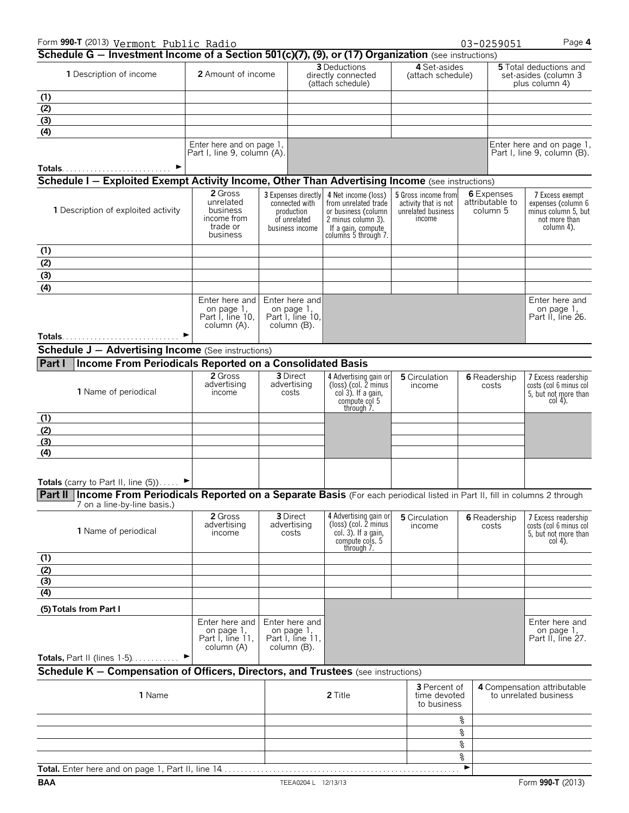| Form 990-T (2013) Vermont Public Radio                                                                                           |                                                                 |                                  |                                                                                        |                                                                                                                                        |                                                                             |                                           | 03-0259051                    | Page 4                                                                                      |
|----------------------------------------------------------------------------------------------------------------------------------|-----------------------------------------------------------------|----------------------------------|----------------------------------------------------------------------------------------|----------------------------------------------------------------------------------------------------------------------------------------|-----------------------------------------------------------------------------|-------------------------------------------|-------------------------------|---------------------------------------------------------------------------------------------|
| Schedule G - Investment Income of a Section 501(c)(7), (9), or (17) Organization (see instructions)                              |                                                                 |                                  | <b>3</b> Deductions                                                                    | 4 Set-asides                                                                                                                           |                                                                             |                                           | <b>5</b> Total deductions and |                                                                                             |
| 1 Description of income                                                                                                          | 2 Amount of income                                              |                                  |                                                                                        | directly connected<br>(attach schedule)                                                                                                | (attach schedule)                                                           |                                           |                               | set-asides (column 3<br>plus column 4)                                                      |
| (1)                                                                                                                              |                                                                 |                                  |                                                                                        |                                                                                                                                        |                                                                             |                                           |                               |                                                                                             |
| (2)                                                                                                                              |                                                                 |                                  |                                                                                        |                                                                                                                                        |                                                                             |                                           |                               |                                                                                             |
| (3)                                                                                                                              |                                                                 |                                  |                                                                                        |                                                                                                                                        |                                                                             |                                           |                               |                                                                                             |
| (4)                                                                                                                              |                                                                 |                                  |                                                                                        |                                                                                                                                        |                                                                             |                                           |                               |                                                                                             |
|                                                                                                                                  | Enter here and on page 1,<br>Part I, line 9, column (A).        |                                  |                                                                                        |                                                                                                                                        |                                                                             |                                           |                               | Enter here and on page 1,<br>Part I, line 9, column (B).                                    |
| Schedule I - Exploited Exempt Activity Income, Other Than Advertising Income (see instructions)                                  |                                                                 |                                  |                                                                                        |                                                                                                                                        |                                                                             |                                           |                               |                                                                                             |
|                                                                                                                                  | 2 Gross                                                         |                                  |                                                                                        |                                                                                                                                        |                                                                             |                                           |                               |                                                                                             |
| 1 Description of exploited activity                                                                                              | unrelated<br>business<br>income from<br>trade or<br>business    |                                  | 3 Expenses directly<br>connected with<br>production<br>of unrelated<br>business income | 4 Net income (loss)<br>from unrelated trade<br>or business (column<br>2 minus column 3).<br>If a gain, compute<br>columns 5 through 7. | 5 Gross income from<br>activity that is not<br>unrelated business<br>income | 6 Expenses<br>attributable to<br>column 5 |                               | 7 Excess exempt<br>expenses (column 6<br>minus column 5, but<br>not more than<br>column 4). |
| (1)                                                                                                                              |                                                                 |                                  |                                                                                        |                                                                                                                                        |                                                                             |                                           |                               |                                                                                             |
| $\frac{(2)}{(3)}$<br>(4)                                                                                                         |                                                                 |                                  |                                                                                        |                                                                                                                                        |                                                                             |                                           |                               |                                                                                             |
|                                                                                                                                  |                                                                 |                                  |                                                                                        |                                                                                                                                        |                                                                             |                                           |                               |                                                                                             |
|                                                                                                                                  |                                                                 |                                  |                                                                                        |                                                                                                                                        |                                                                             |                                           |                               |                                                                                             |
|                                                                                                                                  | Enter here and<br>on page 1,<br>Part I, line 10,<br>column (A). |                                  | Enter here and<br>on page 1,<br>Part I, line 10,<br>column (B).                        |                                                                                                                                        |                                                                             |                                           |                               | Enter here and<br>on page 1,<br>Part II, line 26.                                           |
| <b>Schedule J - Advertising Income</b> (See instructions)                                                                        |                                                                 |                                  |                                                                                        |                                                                                                                                        |                                                                             |                                           |                               |                                                                                             |
|                                                                                                                                  |                                                                 |                                  |                                                                                        |                                                                                                                                        |                                                                             |                                           |                               |                                                                                             |
| Income From Periodicals Reported on a Consolidated Basis<br>Part I                                                               |                                                                 |                                  |                                                                                        |                                                                                                                                        |                                                                             |                                           |                               |                                                                                             |
| 1 Name of periodical                                                                                                             | 2 Gross<br>advertising<br>income                                | 3 Direct<br>advertising<br>costs |                                                                                        | 4 Advertising gain or<br>(loss) (col. 2 minus<br>$col(3)$ . If a gain,<br>compute col 5<br>through 7.                                  | 5 Circulation<br>income                                                     |                                           | 6 Readership<br>costs         | 7 Excess readership<br>costs (col 6 minus col<br>5, but not more than<br>col 4).            |
| (1)                                                                                                                              |                                                                 |                                  |                                                                                        |                                                                                                                                        |                                                                             |                                           |                               |                                                                                             |
| (2)                                                                                                                              |                                                                 |                                  |                                                                                        |                                                                                                                                        |                                                                             |                                           |                               |                                                                                             |
| (3)                                                                                                                              |                                                                 |                                  |                                                                                        |                                                                                                                                        |                                                                             |                                           |                               |                                                                                             |
| (4)                                                                                                                              |                                                                 |                                  |                                                                                        |                                                                                                                                        |                                                                             |                                           |                               |                                                                                             |
|                                                                                                                                  |                                                                 |                                  |                                                                                        |                                                                                                                                        |                                                                             |                                           |                               |                                                                                             |
| Totals (carry to Part II, line $(5)$ )                                                                                           |                                                                 |                                  |                                                                                        |                                                                                                                                        |                                                                             |                                           |                               |                                                                                             |
| Part II   Income From Periodicals Reported on a Separate Basis (For each periodical listed in Part II, fill in columns 2 through |                                                                 |                                  |                                                                                        |                                                                                                                                        |                                                                             |                                           |                               |                                                                                             |
| 7 on a line-by-line basis.)                                                                                                      |                                                                 |                                  |                                                                                        |                                                                                                                                        |                                                                             |                                           |                               |                                                                                             |
| 1 Name of periodical                                                                                                             | 2 Gross<br>advertising<br>income                                |                                  | 3 Direct<br>advertising<br>costs                                                       | 4 Advertising gain or<br>(loss) (col. 2 minus<br>$col. 3$ ). If a gain,<br>compute cols. 5<br>through 7.                               | 5 Circulation<br>income                                                     |                                           | 6 Readership<br>costs         | 7 Excess readership<br>costs (col 6 minus col<br>5, but not more than<br>$col 4$ ).         |
| (1)                                                                                                                              |                                                                 |                                  |                                                                                        |                                                                                                                                        |                                                                             |                                           |                               |                                                                                             |
| $\frac{(2)}{(3)}$                                                                                                                |                                                                 |                                  |                                                                                        |                                                                                                                                        |                                                                             |                                           |                               |                                                                                             |
|                                                                                                                                  |                                                                 |                                  |                                                                                        |                                                                                                                                        |                                                                             |                                           |                               |                                                                                             |
| (4)                                                                                                                              |                                                                 |                                  |                                                                                        |                                                                                                                                        |                                                                             |                                           |                               |                                                                                             |
| (5) Totals from Part I                                                                                                           |                                                                 |                                  |                                                                                        |                                                                                                                                        |                                                                             |                                           |                               |                                                                                             |
|                                                                                                                                  | Enter here and<br>on page 1,<br>Part I, line 11,<br>column (A)  |                                  | Enter here and<br>on page 1,<br>Part I, line 11,<br>column (B).                        |                                                                                                                                        |                                                                             |                                           |                               | Enter here and<br>on page 1,<br>Part II, line 27.                                           |
| Totals, Part II (lines $1-5$ )                                                                                                   | ▶                                                               |                                  |                                                                                        |                                                                                                                                        |                                                                             |                                           |                               |                                                                                             |
| Schedule K - Compensation of Officers, Directors, and Trustees (see instructions)                                                |                                                                 |                                  |                                                                                        |                                                                                                                                        |                                                                             |                                           |                               |                                                                                             |
| 1 Name                                                                                                                           |                                                                 |                                  |                                                                                        | 2 Title                                                                                                                                | <b>3</b> Percent of<br>time devoted<br>to business                          |                                           |                               | 4 Compensation attributable<br>to unrelated business                                        |
|                                                                                                                                  |                                                                 |                                  |                                                                                        |                                                                                                                                        |                                                                             | %                                         |                               |                                                                                             |
|                                                                                                                                  |                                                                 |                                  |                                                                                        |                                                                                                                                        |                                                                             | နွ                                        |                               |                                                                                             |
|                                                                                                                                  |                                                                 |                                  |                                                                                        |                                                                                                                                        |                                                                             | ್ಯೆ                                       |                               |                                                                                             |
|                                                                                                                                  |                                                                 |                                  |                                                                                        |                                                                                                                                        |                                                                             | ್ಯ                                        |                               |                                                                                             |

**Total.** Enter here and on page 1, Part II, line 14. . . . . . . . . . . . . . . . . . . . . . . . . . . . . . . . . . . . . . . . . . . . . . . . . . . . . . . . . . . G **BAA** TEEA0204 L 12/13/13 Form **990-T** (2013)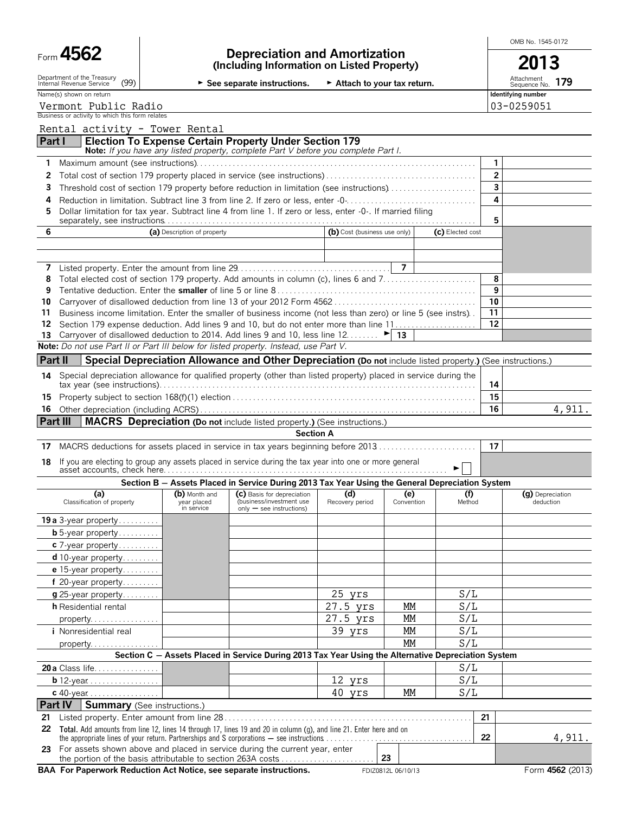| Form | ı. |
|------|----|
|------|----|

OMB No. 1545-0172

|                                                                                                                     |                             | See separate instructions.                                                                                                                          | Attach to your tax return.   |            |                         | Attachment<br>179<br>Sequence No. |
|---------------------------------------------------------------------------------------------------------------------|-----------------------------|-----------------------------------------------------------------------------------------------------------------------------------------------------|------------------------------|------------|-------------------------|-----------------------------------|
| Name(s) shown on return                                                                                             |                             |                                                                                                                                                     |                              |            |                         | Identifying number                |
| Vermont Public Radio<br>Business or activity to which this form relates                                             |                             |                                                                                                                                                     |                              |            |                         | 03-0259051                        |
|                                                                                                                     |                             |                                                                                                                                                     |                              |            |                         |                                   |
| Rental activity - Tower Rental                                                                                      |                             |                                                                                                                                                     |                              |            |                         |                                   |
| Part I                                                                                                              |                             | <b>Election To Expense Certain Property Under Section 179</b><br>Note: If you have any listed property, complete Part V before you complete Part I. |                              |            |                         |                                   |
|                                                                                                                     |                             |                                                                                                                                                     |                              |            | 1                       |                                   |
| 2                                                                                                                   |                             |                                                                                                                                                     |                              |            | $\overline{2}$          |                                   |
| Threshold cost of section 179 property before reduction in limitation (see instructions)<br>3                       |                             |                                                                                                                                                     |                              |            | 3                       |                                   |
| Reduction in limitation. Subtract line 3 from line 2. If zero or less, enter -0-<br>4                               |                             |                                                                                                                                                     |                              |            | 4                       |                                   |
| Dollar limitation for tax year. Subtract line 4 from line 1. If zero or less, enter -0-. If married filing<br>5     |                             |                                                                                                                                                     |                              |            |                         |                                   |
|                                                                                                                     |                             |                                                                                                                                                     |                              |            | 5                       |                                   |
| 6                                                                                                                   | (a) Description of property |                                                                                                                                                     | (b) Cost (business use only) |            | (c) Elected cost        |                                   |
|                                                                                                                     |                             |                                                                                                                                                     |                              |            |                         |                                   |
|                                                                                                                     |                             |                                                                                                                                                     |                              |            |                         |                                   |
| Total elected cost of section 179 property. Add amounts in column (c), lines 6 and 7<br>8                           |                             |                                                                                                                                                     |                              |            | 8                       |                                   |
| 9                                                                                                                   |                             |                                                                                                                                                     |                              |            | 9                       |                                   |
| 10                                                                                                                  |                             |                                                                                                                                                     |                              |            | 10                      |                                   |
| 11<br>Business income limitation. Enter the smaller of business income (not less than zero) or line 5 (see instrs). |                             |                                                                                                                                                     |                              |            | 11                      |                                   |
| 12                                                                                                                  |                             |                                                                                                                                                     |                              |            | 12                      |                                   |
| Carryover of disallowed deduction to 2014. Add lines 9 and 10, less line 12 $\blacktriangleright$ 13<br>13          |                             |                                                                                                                                                     |                              |            |                         |                                   |
| Note: Do not use Part II or Part III below for listed property. Instead, use Part V.                                |                             |                                                                                                                                                     |                              |            |                         |                                   |
| Part II                                                                                                             |                             | Special Depreciation Allowance and Other Depreciation (Do not include listed property.) (See instructions.)                                         |                              |            |                         |                                   |
| 14 Special depreciation allowance for qualified property (other than listed property) placed in service during the  |                             |                                                                                                                                                     |                              |            |                         |                                   |
|                                                                                                                     |                             |                                                                                                                                                     |                              |            | 14                      |                                   |
|                                                                                                                     |                             |                                                                                                                                                     |                              |            |                         |                                   |
|                                                                                                                     |                             |                                                                                                                                                     |                              |            | 15                      |                                   |
|                                                                                                                     |                             |                                                                                                                                                     |                              |            | 16                      | 4,911.                            |
|                                                                                                                     |                             | <b>MACRS</b> Depreciation (Do not include listed property.) (See instructions.)                                                                     |                              |            |                         |                                   |
|                                                                                                                     |                             | <b>Section A</b>                                                                                                                                    |                              |            |                         |                                   |
| MACRS deductions for assets placed in service in tax years beginning before 2013                                    |                             |                                                                                                                                                     |                              |            | 17                      |                                   |
| If you are electing to group any assets placed in service during the tax year into one or more general              |                             |                                                                                                                                                     |                              |            |                         |                                   |
|                                                                                                                     |                             | Section B - Assets Placed in Service During 2013 Tax Year Using the General Depreciation System                                                     |                              |            |                         |                                   |
| (a)                                                                                                                 | (b) Month and               | (C) Basis for depreciation                                                                                                                          | (d)                          | (e)        | (f)                     | (g) Depreciation                  |
| Classification of property                                                                                          | year placed<br>in service   | (business/investment use<br>$only - see$ instructions)                                                                                              | Recovery period              | Convention | Method                  | deduction                         |
|                                                                                                                     |                             |                                                                                                                                                     |                              |            |                         |                                   |
| <b>b</b> 5-year property                                                                                            |                             |                                                                                                                                                     |                              |            |                         |                                   |
| $c$ 7-year property                                                                                                 |                             |                                                                                                                                                     |                              |            |                         |                                   |
| $d$ 10-year property                                                                                                |                             |                                                                                                                                                     |                              |            |                         |                                   |
| e 15-year property                                                                                                  |                             |                                                                                                                                                     |                              |            |                         |                                   |
| 16<br>Part III<br>17<br>18<br><b>19 a</b> 3-year property<br>f 20-year property                                     |                             |                                                                                                                                                     |                              |            |                         |                                   |
| $g$ 25-year property                                                                                                |                             |                                                                                                                                                     | 25 yrs                       |            | S/L                     |                                   |
| <b>h</b> Residential rental                                                                                         |                             |                                                                                                                                                     | 27.5 yrs                     | МM         | S/L                     |                                   |
| property                                                                                                            |                             |                                                                                                                                                     | 27.5 yrs                     | МM         | S/L                     |                                   |
| <i>i</i> Nonresidential real                                                                                        |                             |                                                                                                                                                     | 39 yrs                       | МM         | S/L                     |                                   |
| property.                                                                                                           |                             |                                                                                                                                                     |                              | MМ         | S/L                     |                                   |
|                                                                                                                     |                             | Section C - Assets Placed in Service During 2013 Tax Year Using the Alternative Depreciation System                                                 |                              |            |                         |                                   |
| 20 a Class life                                                                                                     |                             |                                                                                                                                                     |                              |            | S/L                     |                                   |
| <b>b</b> 12-year $\ldots$ $\ldots$ $\ldots$ $\ldots$<br>c 40-year                                                   |                             |                                                                                                                                                     | 12 yrs<br>40 yrs             | МM         | $\overline{S/L}$<br>S/L |                                   |

the portion of the basis attributable to section 263A costs. . . . . . . . . . . . . . . . . . . . . . . . **23 BAA For Paperwork Reduction Act Notice, see separate instructions.** FDIZ0812L 06/10/13 Form 4562 (2013)

**23** For assets shown above and placed in service during the current year, enter

the appropriate lines of your return. Partnerships and S corporations  $-$  see instructions  $\dots\dots\dots\dots\dots\dots\dots\dots\dots\dots\dots$ 

4,911.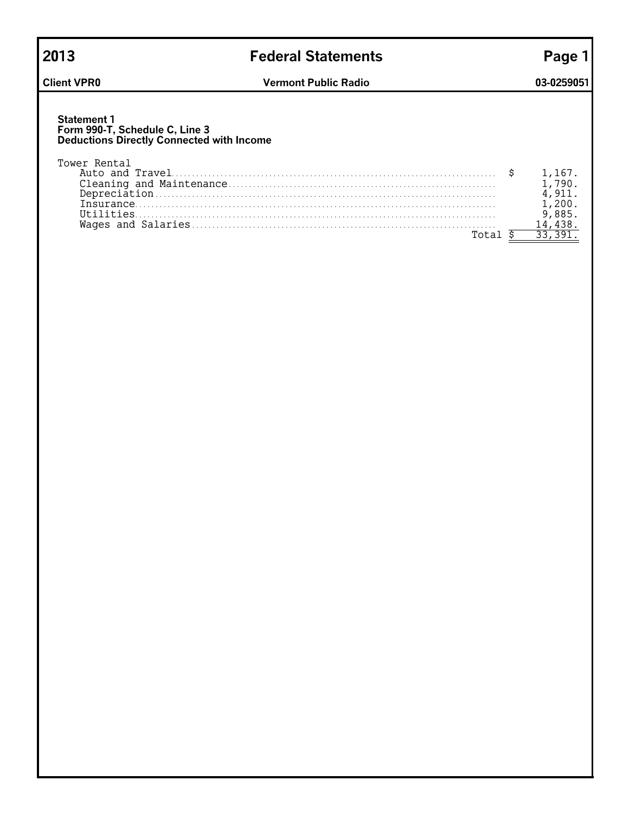## **2013 Federal Statements Page 1**

### **Statement 1 Form 990-T, Schedule C, Line 3 Deductions Directly Connected with Income**

| Tower Rental  |  |
|---------------|--|
|               |  |
|               |  |
|               |  |
|               |  |
| $(1+i)$ ities |  |
|               |  |
|               |  |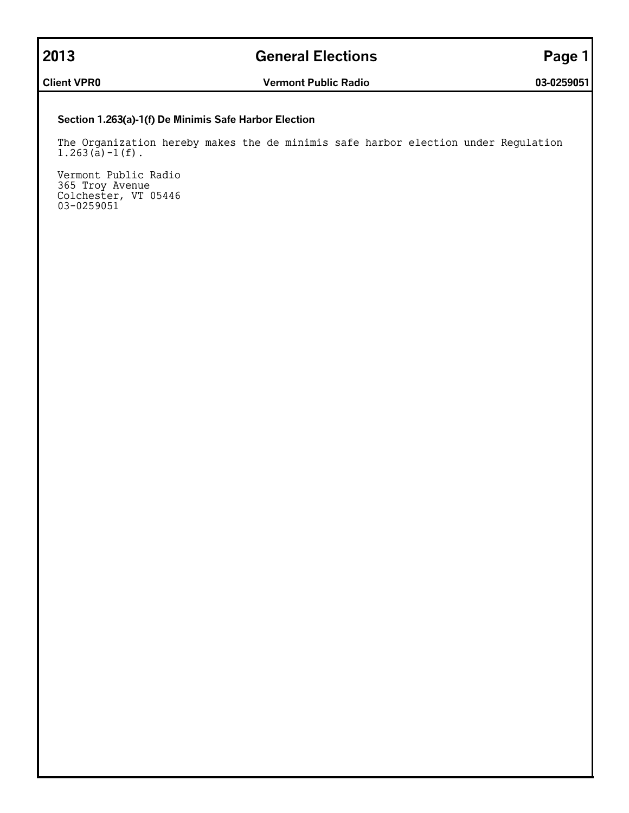## **2013 General Elections Page 1**

**Client VPR0 Vermont Public Radio 03-0259051**

## **Section 1.263(a)-1(f) De Minimis Safe Harbor Election**

The Organization hereby makes the de minimis safe harbor election under Regulation  $1.263(\tilde{a}) - 1(f)$ .

Vermont Public Radio 365 Troy Avenue Colchester, VT 05446 03-0259051